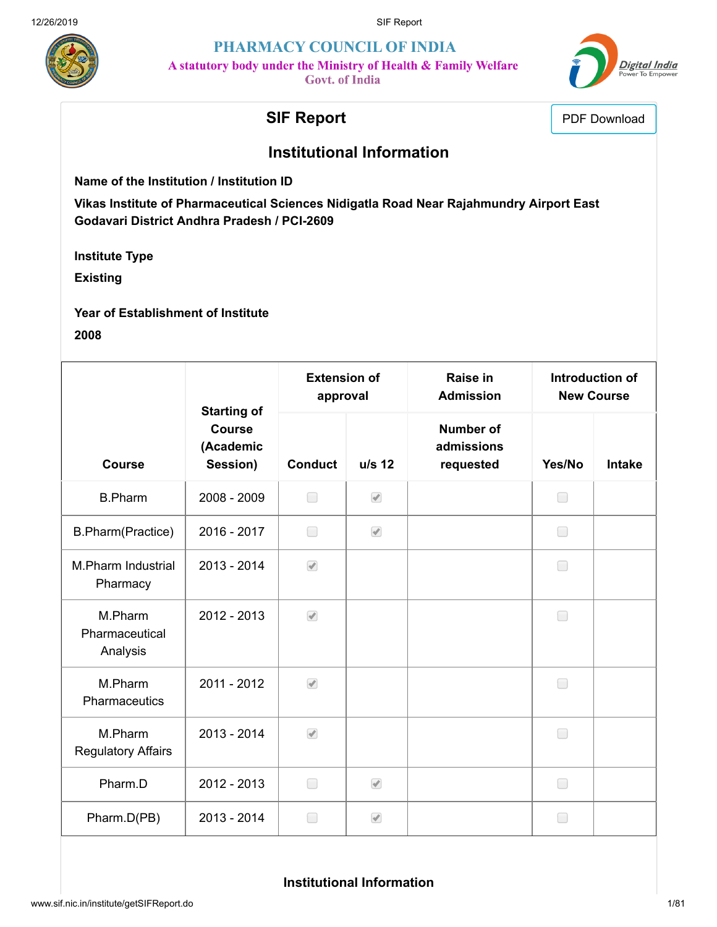

PHARMACY COUNCIL OF INDIA A statutory body under the Ministry of Health & Family Welfare

**Govt.** of India



# **SIF Report** PDF Download

# **Institutional Information**

**Name of the Institution / Institution ID**

**Vikas Institute of Pharmaceutical Sciences Nidigatla Road Near Rajahmundry Airport East Godavari District Andhra Pradesh / PCI-2609**

**Institute Type**

**Existing**

**Year of Establishment of Institute 2008**

|                                       | <b>Starting of</b>                     | <b>Extension of</b><br>approval |                          | Raise in<br><b>Admission</b>                | Introduction of<br><b>New Course</b> |               |
|---------------------------------------|----------------------------------------|---------------------------------|--------------------------|---------------------------------------------|--------------------------------------|---------------|
| <b>Course</b>                         | <b>Course</b><br>(Academic<br>Session) | <b>Conduct</b>                  | u/s 12                   | <b>Number of</b><br>admissions<br>requested | Yes/No                               | <b>Intake</b> |
| <b>B.Pharm</b>                        | 2008 - 2009                            | $\Box$                          | $\blacktriangledown$     |                                             | $\Box$                               |               |
| B.Pharm(Practice)                     | 2016 - 2017                            | □                               | $\blacktriangledown$     |                                             | $\Box$                               |               |
| M.Pharm Industrial<br>Pharmacy        | 2013 - 2014                            | $\sqrt{2}$                      |                          |                                             | □                                    |               |
| M.Pharm<br>Pharmaceutical<br>Analysis | 2012 - 2013                            | $\blacktriangledown$            |                          |                                             | □                                    |               |
| M.Pharm<br>Pharmaceutics              | 2011 - 2012                            | $\sqrt{2}$                      |                          |                                             | $\Box$                               |               |
| M.Pharm<br><b>Regulatory Affairs</b>  | 2013 - 2014                            | $\sqrt{2}$                      |                          |                                             | $\Box$                               |               |
| Pharm.D                               | 2012 - 2013                            | $\Box$                          | $\overline{\mathcal{A}}$ |                                             | ∩                                    |               |
| Pharm.D(PB)                           | 2013 - 2014                            | □                               | $\blacktriangledown$     |                                             | □                                    |               |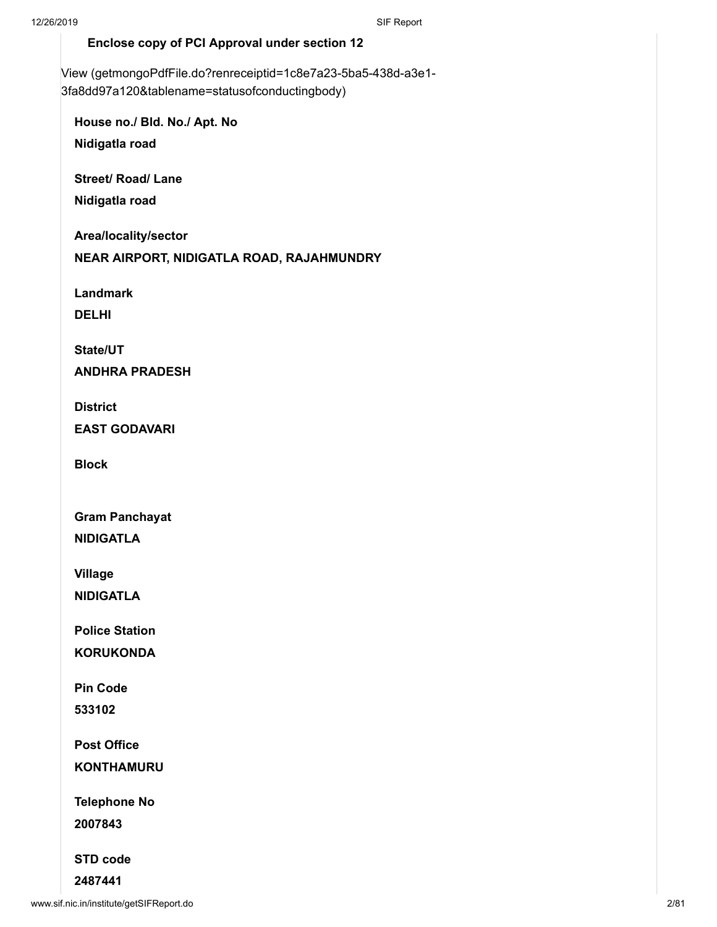#### **Enclose copy of PCI Approval under section 12**

[View \(getmongoPdfFile.do?renreceiptid=1c8e7a23-5ba5-438d-a3e1-](http://www.sif.nic.in/institute/getmongoPdfFile.do?renreceiptid=1c8e7a23-5ba5-438d-a3e1-3fa8dd97a120&tablename=statusofconductingbody) 3fa8dd97a120&tablename=statusofconductingbody)

**House no./ Bld. No./ Apt. No Nidigatla road**

**Street/ Road/ Lane**

**Nidigatla road**

**Area/locality/sector**

**NEAR AIRPORT, NIDIGATLA ROAD, RAJAHMUNDRY**

**Landmark**

**DELHI**

**State/UT**

**ANDHRA PRADESH**

**District**

**EAST GODAVARI**

**Block**

**Gram Panchayat**

**NIDIGATLA**

**Village NIDIGATLA**

**Police Station**

**KORUKONDA**

**Pin Code**

**533102**

**Post Office**

**KONTHAMURU**

**Telephone No**

**2007843**

**STD code**

**2487441**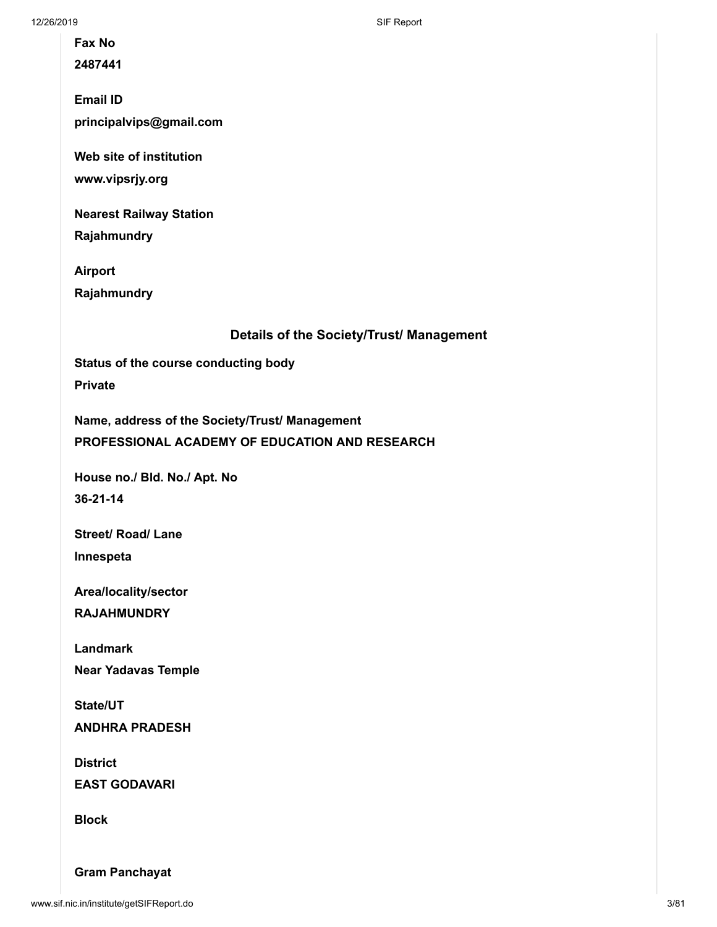12/26/2019 SIF Report

**Fax No**

**2487441**

**Email ID principalvips@gmail.com**

**Web site of institution**

**www.vipsrjy.org**

**Nearest Railway Station**

**Rajahmundry**

**Airport Rajahmundry**

**Details of the Society/Trust/ Management**

**Status of the course conducting body Private**

**Name, address of the Society/Trust/ Management PROFESSIONAL ACADEMY OF EDUCATION AND RESEARCH**

**House no./ Bld. No./ Apt. No 36-21-14**

**Street/ Road/ Lane Innespeta**

**Area/locality/sector**

**RAJAHMUNDRY**

**Landmark**

**Near Yadavas Temple**

**State/UT ANDHRA PRADESH**

**District EAST GODAVARI**

**Block**

**Gram Panchayat**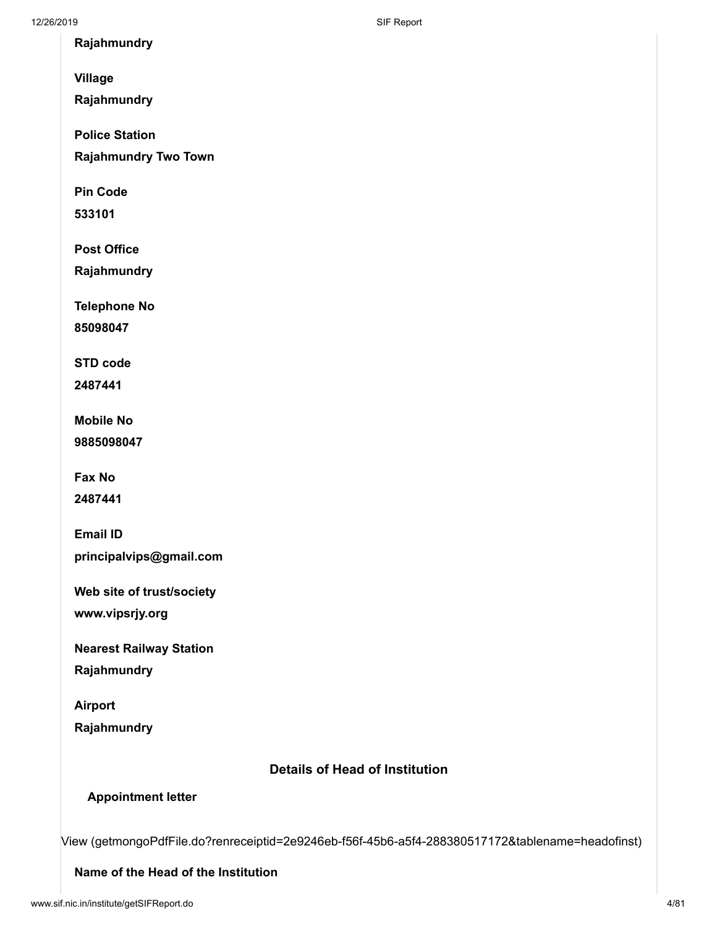**Rajahmundry**

**Village**

**Rajahmundry**

**Police Station**

**Rajahmundry Two Town**

**Pin Code**

**533101**

**Post Office**

**Rajahmundry**

**Telephone No**

**85098047**

**STD code**

**2487441**

**Mobile No 9885098047**

**Fax No**

**2487441**

**Email ID principalvips@gmail.com**

**Web site of trust/society**

**www.vipsrjy.org**

**Nearest Railway Station**

**Rajahmundry**

**Airport Rajahmundry**

## **Details of Head of Institution**

## **Appointment letter**

[View \(getmongoPdfFile.do?renreceiptid=2e9246eb-f56f-45b6-a5f4-288380517172&tablename=headofinst\)](http://www.sif.nic.in/institute/getmongoPdfFile.do?renreceiptid=2e9246eb-f56f-45b6-a5f4-288380517172&tablename=headofinst)

#### **Name of the Head of the Institution**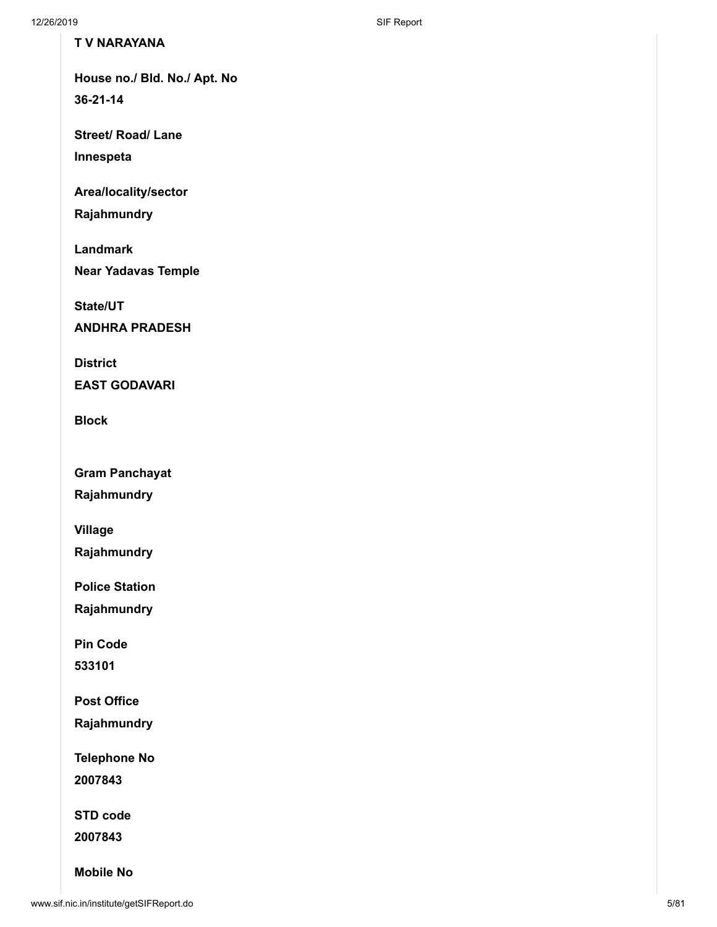## **T V NARAYANA**

**House no./ Bld. No./ Apt. No 36-21-14**

**Street/ Road/ Lane**

**Innespeta**

**Area/locality/sector**

**Rajahmundry**

**Landmark**

**Near Yadavas Temple**

**State/UT**

**ANDHRA PRADESH**

**District**

**EAST GODAVARI**

**Block**

**Gram Panchayat**

**Rajahmundry**

**Village**

**Rajahmundry**

**Police Station**

**Rajahmundry**

**Pin Code**

**533101**

**Post Office**

**Rajahmundry**

**Telephone No**

**2007843**

**STD code**

**2007843**

**Mobile No**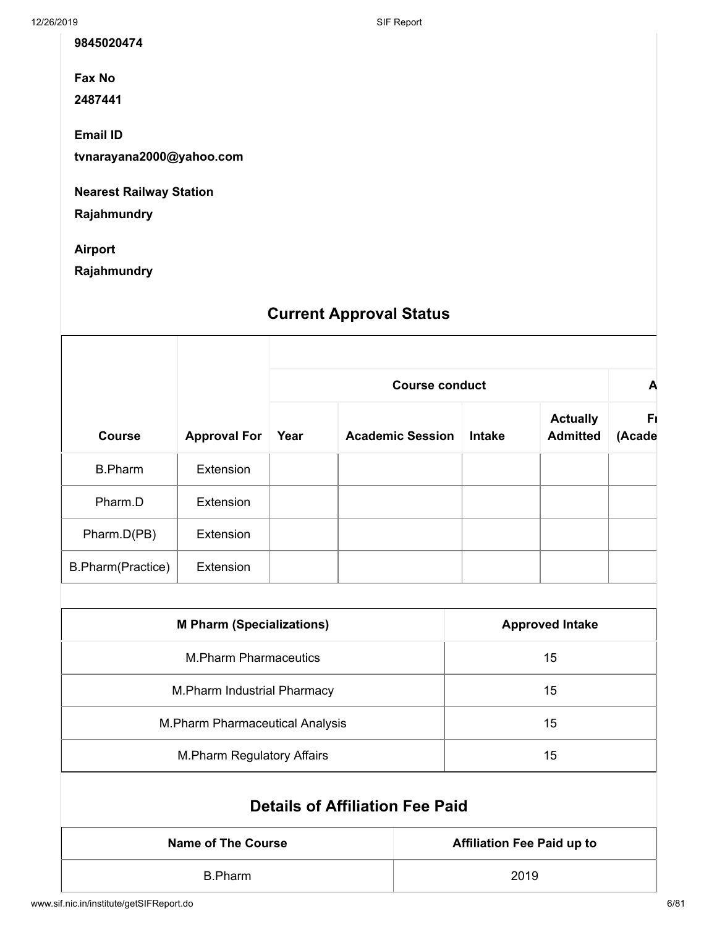**9845020474**

**Fax No**

**2487441**

**Email ID**

**tvnarayana2000@yahoo.com**

**Nearest Railway Station**

**Rajahmundry**

**Airport**

**Rajahmundry**

# **Current Approval Status**

|                   |                     | <b>Course conduct</b> |                         |               |                                    | A            |
|-------------------|---------------------|-----------------------|-------------------------|---------------|------------------------------------|--------------|
| <b>Course</b>     | <b>Approval For</b> | Year                  | <b>Academic Session</b> | <b>Intake</b> | <b>Actually</b><br><b>Admitted</b> | Fı<br>(Acade |
| <b>B.Pharm</b>    | Extension           |                       |                         |               |                                    |              |
| Pharm.D           | Extension           |                       |                         |               |                                    |              |
| Pharm.D(PB)       | Extension           |                       |                         |               |                                    |              |
| B.Pharm(Practice) | Extension           |                       |                         |               |                                    |              |
|                   |                     |                       |                         |               |                                    |              |

| <b>M Pharm (Specializations)</b>  | <b>Approved Intake</b> |
|-----------------------------------|------------------------|
| <b>M.Pharm Pharmaceutics</b>      | 15                     |
| M. Pharm Industrial Pharmacy      | 15                     |
| M. Pharm Pharmaceutical Analysis  | 15                     |
| <b>M.Pharm Regulatory Affairs</b> | 15                     |

# **Details of Affiliation Fee Paid**

| Name of The Course | <b>Affiliation Fee Paid up to</b> |
|--------------------|-----------------------------------|
| B.Pharm            | 2019                              |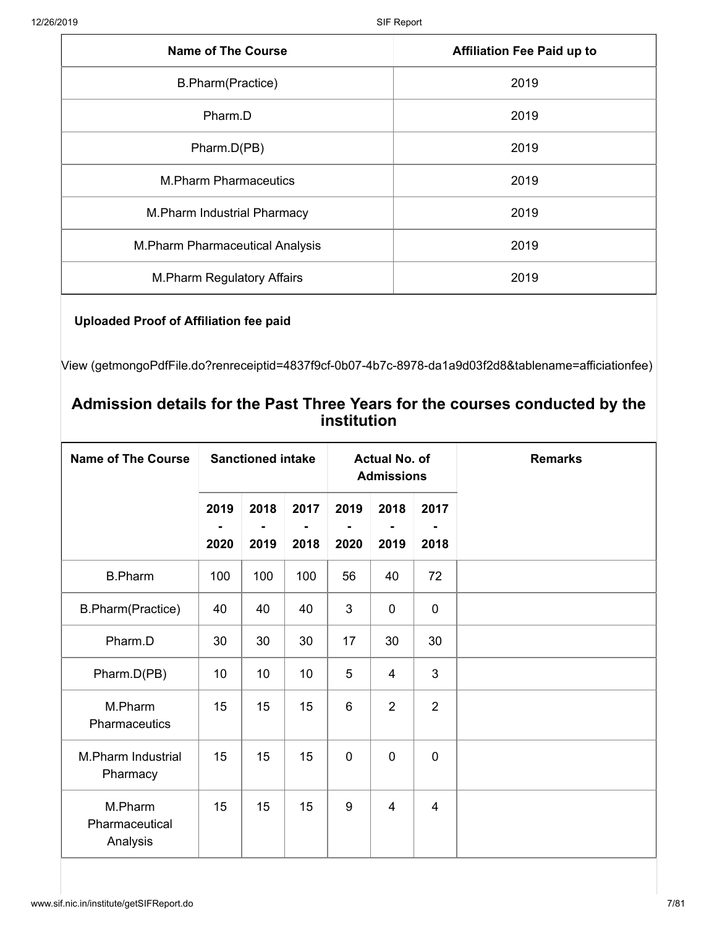| <b>Name of The Course</b>         | <b>Affiliation Fee Paid up to</b> |
|-----------------------------------|-----------------------------------|
| B.Pharm(Practice)                 | 2019                              |
| Pharm.D                           | 2019                              |
| Pharm.D(PB)                       | 2019                              |
| <b>M.Pharm Pharmaceutics</b>      | 2019                              |
| M. Pharm Industrial Pharmacy      | 2019                              |
| M. Pharm Pharmaceutical Analysis  | 2019                              |
| <b>M.Pharm Regulatory Affairs</b> | 2019                              |

## **Uploaded Proof of Affiliation fee paid**

[View \(getmongoPdfFile.do?renreceiptid=4837f9cf-0b07-4b7c-8978-da1a9d03f2d8&tablename=afficiationfee\)](http://www.sif.nic.in/institute/getmongoPdfFile.do?renreceiptid=4837f9cf-0b07-4b7c-8978-da1a9d03f2d8&tablename=afficiationfee)

## **Admission details for the Past Three Years for the courses conducted by the institution**

| <b>Name of The Course</b>             | <b>Sanctioned intake</b> |              |              | <b>Actual No. of</b><br><b>Admissions</b> |                |                | <b>Remarks</b> |  |
|---------------------------------------|--------------------------|--------------|--------------|-------------------------------------------|----------------|----------------|----------------|--|
|                                       | 2019<br>2020             | 2018<br>2019 | 2017<br>2018 | 2019<br>2020                              | 2018<br>2019   | 2017<br>2018   |                |  |
| <b>B.Pharm</b>                        | 100                      | 100          | 100          | 56                                        | 40             | 72             |                |  |
| B.Pharm(Practice)                     | 40                       | 40           | 40           | 3                                         | $\mathbf 0$    | $\mathbf 0$    |                |  |
| Pharm.D                               | 30                       | 30           | 30           | 17                                        | 30             | 30             |                |  |
| Pharm.D(PB)                           | 10                       | 10           | 10           | 5                                         | $\overline{4}$ | 3              |                |  |
| M.Pharm<br>Pharmaceutics              | 15                       | 15           | 15           | 6                                         | $\overline{2}$ | $\overline{2}$ |                |  |
| <b>M.Pharm Industrial</b><br>Pharmacy | 15                       | 15           | 15           | $\mathbf 0$                               | $\mathbf 0$    | $\overline{0}$ |                |  |
| M.Pharm<br>Pharmaceutical<br>Analysis | 15                       | 15           | 15           | 9                                         | $\overline{4}$ | $\overline{4}$ |                |  |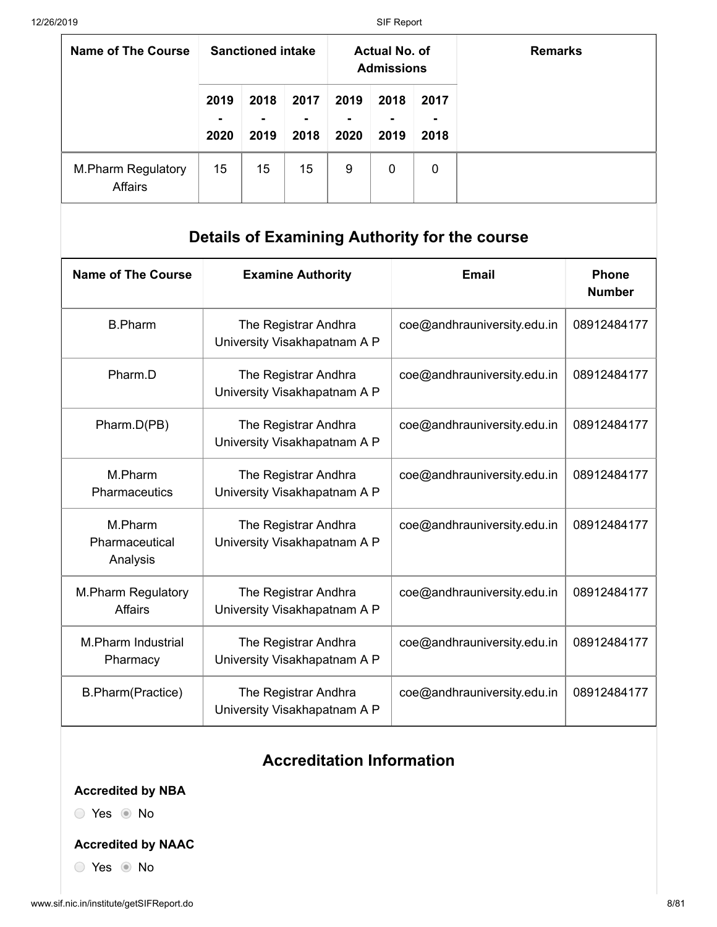| Name of The Course                   | <b>Sanctioned intake</b> |                   | <b>Actual No. of</b><br><b>Admissions</b> |                   |              | <b>Remarks</b>    |  |
|--------------------------------------|--------------------------|-------------------|-------------------------------------------|-------------------|--------------|-------------------|--|
|                                      | 2019<br>۰<br>2020        | 2018<br>٠<br>2019 | 2017<br>$\overline{\phantom{a}}$<br>2018  | 2019<br>۰<br>2020 | 2018<br>2019 | 2017<br>۰<br>2018 |  |
| <b>M.Pharm Regulatory</b><br>Affairs | 15                       | 15                | 15                                        | 9                 | $\mathbf 0$  | 0                 |  |

# **Details of Examining Authority for the course**

| <b>Name of The Course</b>                   | <b>Examine Authority</b>                             | <b>Email</b>                | <b>Phone</b><br><b>Number</b> |
|---------------------------------------------|------------------------------------------------------|-----------------------------|-------------------------------|
| <b>B.Pharm</b>                              | The Registrar Andhra<br>University Visakhapatnam A P | coe@andhrauniversity.edu.in | 08912484177                   |
| Pharm.D                                     | The Registrar Andhra<br>University Visakhapatnam A P | coe@andhrauniversity.edu.in | 08912484177                   |
| Pharm.D(PB)                                 | The Registrar Andhra<br>University Visakhapatnam A P | coe@andhrauniversity.edu.in | 08912484177                   |
| M.Pharm<br><b>Pharmaceutics</b>             | The Registrar Andhra<br>University Visakhapatnam A P | coe@andhrauniversity.edu.in | 08912484177                   |
| M.Pharm<br>Pharmaceutical<br>Analysis       | The Registrar Andhra<br>University Visakhapatnam A P | coe@andhrauniversity.edu.in | 08912484177                   |
| <b>M.Pharm Regulatory</b><br><b>Affairs</b> | The Registrar Andhra<br>University Visakhapatnam A P | coe@andhrauniversity.edu.in | 08912484177                   |
| <b>M.Pharm Industrial</b><br>Pharmacy       | The Registrar Andhra<br>University Visakhapatnam A P | coe@andhrauniversity.edu.in | 08912484177                   |
| B.Pharm(Practice)                           | The Registrar Andhra<br>University Visakhapatnam A P | coe@andhrauniversity.edu.in | 08912484177                   |

# **Accreditation Information**

## **Accredited by NBA**

O Yes <sup>O</sup> No

## **Accredited by NAAC**

◯ Yes ◉ No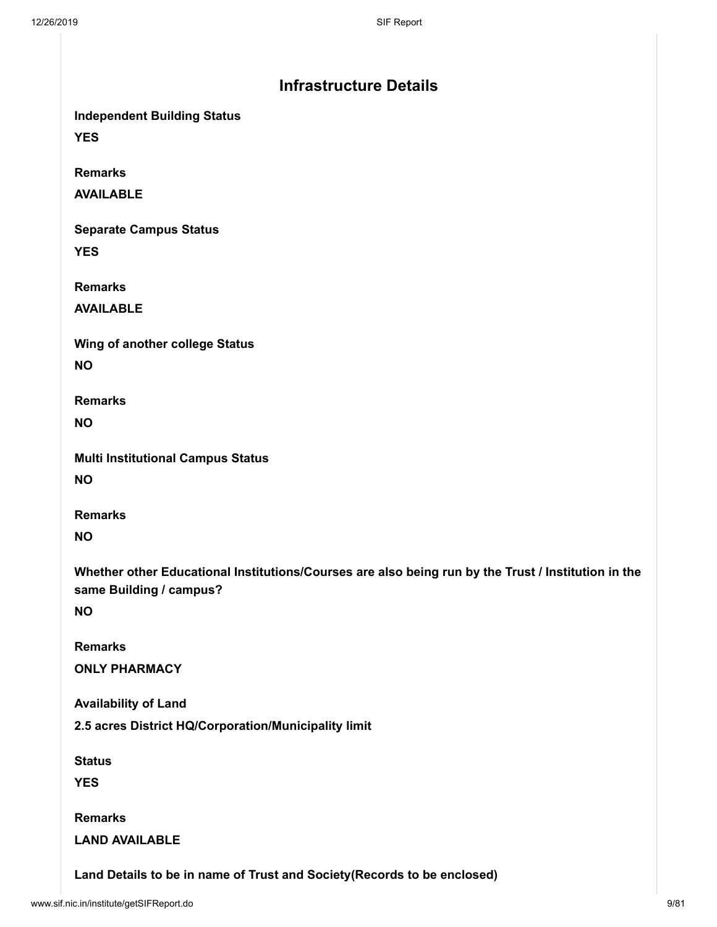| <b>Infrastructure Details</b>                                                                                                               |  |
|---------------------------------------------------------------------------------------------------------------------------------------------|--|
| <b>Independent Building Status</b><br><b>YES</b>                                                                                            |  |
| <b>Remarks</b><br><b>AVAILABLE</b>                                                                                                          |  |
| <b>Separate Campus Status</b><br><b>YES</b>                                                                                                 |  |
| <b>Remarks</b><br><b>AVAILABLE</b>                                                                                                          |  |
| Wing of another college Status<br><b>NO</b>                                                                                                 |  |
| <b>Remarks</b><br><b>NO</b>                                                                                                                 |  |
| <b>Multi Institutional Campus Status</b><br><b>NO</b>                                                                                       |  |
| <b>Remarks</b><br><b>NO</b>                                                                                                                 |  |
| Whether other Educational Institutions/Courses are also being run by the Trust / Institution in the<br>same Building / campus?<br><b>NO</b> |  |
| <b>Remarks</b><br><b>ONLY PHARMACY</b>                                                                                                      |  |
| <b>Availability of Land</b>                                                                                                                 |  |
| 2.5 acres District HQ/Corporation/Municipality limit                                                                                        |  |
| <b>Status</b><br><b>YES</b>                                                                                                                 |  |
| <b>Remarks</b><br><b>LAND AVAILABLE</b>                                                                                                     |  |
| Land Details to be in name of Trust and Society (Records to be enclosed)                                                                    |  |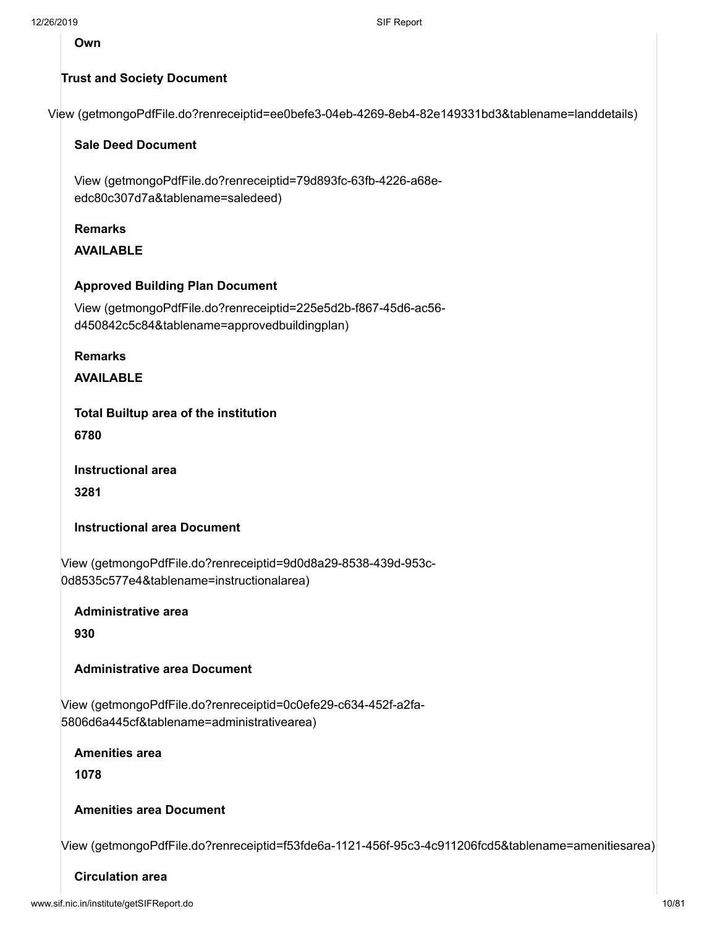**Own**

#### **Trust and Society Document**

[View \(getmongoPdfFile.do?renreceiptid=ee0befe3-04eb-4269-8eb4-82e149331bd3&tablename=landdetails\)](http://www.sif.nic.in/institute/getmongoPdfFile.do?renreceiptid=ee0befe3-04eb-4269-8eb4-82e149331bd3&tablename=landdetails)

#### **Sale Deed Document**

[View \(getmongoPdfFile.do?renreceiptid=79d893fc-63fb-4226-a68e](http://www.sif.nic.in/institute/getmongoPdfFile.do?renreceiptid=79d893fc-63fb-4226-a68e-edc80c307d7a&tablename=saledeed)edc80c307d7a&tablename=saledeed)

#### **Remarks**

**AVAILABLE**

#### **Approved Building Plan Document**

[View \(getmongoPdfFile.do?renreceiptid=225e5d2b-f867-45d6-ac56](http://www.sif.nic.in/institute/getmongoPdfFile.do?renreceiptid=225e5d2b-f867-45d6-ac56-d450842c5c84&tablename=approvedbuildingplan) d450842c5c84&tablename=approvedbuildingplan)

**Remarks**

**AVAILABLE**

**Total Builtup area of the institution**

**6780**

**Instructional area**

**3281**

**Instructional area Document**

[View \(getmongoPdfFile.do?renreceiptid=9d0d8a29-8538-439d-953c-](http://www.sif.nic.in/institute/getmongoPdfFile.do?renreceiptid=9d0d8a29-8538-439d-953c-0d8535c577e4&tablename=instructionalarea)0d8535c577e4&tablename=instructionalarea)

**Administrative area**

**930**

#### **Administrative area Document**

[View \(getmongoPdfFile.do?renreceiptid=0c0efe29-c634-452f-a2fa-](http://www.sif.nic.in/institute/getmongoPdfFile.do?renreceiptid=0c0efe29-c634-452f-a2fa-5806d6a445cf&tablename=administrativearea)5806d6a445cf&tablename=administrativearea)

**Amenities area**

**1078**

#### **Amenities area Document**

[View \(getmongoPdfFile.do?renreceiptid=f53fde6a-1121-456f-95c3-4c911206fcd5&tablename=amenitiesarea\)](http://www.sif.nic.in/institute/getmongoPdfFile.do?renreceiptid=f53fde6a-1121-456f-95c3-4c911206fcd5&tablename=amenitiesarea)

#### **Circulation area**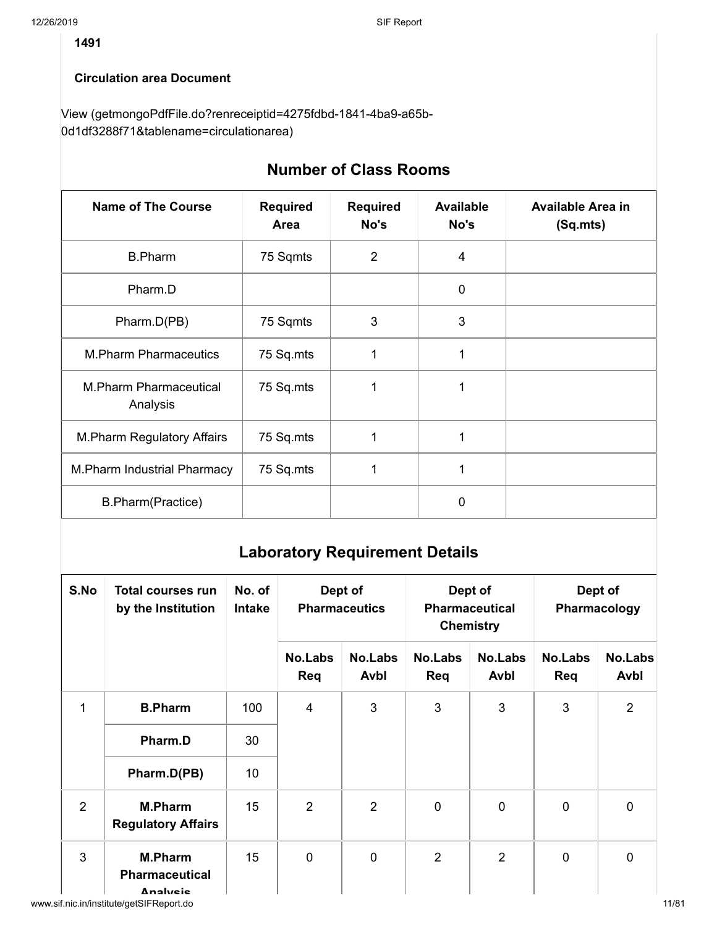## **Circulation area Document**

[View \(getmongoPdfFile.do?renreceiptid=4275fdbd-1841-4ba9-a65b-](http://www.sif.nic.in/institute/getmongoPdfFile.do?renreceiptid=4275fdbd-1841-4ba9-a65b-0d1df3288f71&tablename=circulationarea)0d1df3288f71&tablename=circulationarea)

| <b>Number of Class Rooms</b>       |                         |                         |                          |                                      |  |  |  |  |
|------------------------------------|-------------------------|-------------------------|--------------------------|--------------------------------------|--|--|--|--|
| <b>Name of The Course</b>          | <b>Required</b><br>Area | <b>Required</b><br>No's | <b>Available</b><br>No's | <b>Available Area in</b><br>(Sq.mts) |  |  |  |  |
| <b>B.Pharm</b>                     | 75 Sqmts                | $\overline{2}$          | 4                        |                                      |  |  |  |  |
| Pharm.D                            |                         |                         | $\mathbf 0$              |                                      |  |  |  |  |
| Pharm.D(PB)                        | 75 Sqmts                | 3                       | 3                        |                                      |  |  |  |  |
| <b>M.Pharm Pharmaceutics</b>       | 75 Sq.mts               | 1                       | 1                        |                                      |  |  |  |  |
| M.Pharm Pharmaceutical<br>Analysis | 75 Sq.mts               | 1                       | 1                        |                                      |  |  |  |  |
| <b>M.Pharm Regulatory Affairs</b>  | 75 Sq.mts               | 1                       | 1                        |                                      |  |  |  |  |
| M. Pharm Industrial Pharmacy       | 75 Sq.mts               | 1                       | 1                        |                                      |  |  |  |  |
| B.Pharm(Practice)                  |                         |                         | 0                        |                                      |  |  |  |  |

# **Laboratory Requirement Details**

| S.No | <b>Total courses run</b><br>by the Institution      | No. of<br><b>Intake</b> | Dept of<br><b>Pharmaceutics</b> |                        |                       | Dept of<br><b>Pharmaceutical</b><br><b>Chemistry</b> | Dept of<br>Pharmacology |                        |
|------|-----------------------------------------------------|-------------------------|---------------------------------|------------------------|-----------------------|------------------------------------------------------|-------------------------|------------------------|
|      |                                                     |                         | <b>No.Labs</b><br>Req           | <b>No.Labs</b><br>Avbl | <b>No.Labs</b><br>Req | <b>No.Labs</b><br>Avbl                               | <b>No.Labs</b><br>Req   | <b>No.Labs</b><br>Avbl |
| 1    | <b>B.Pharm</b>                                      | 100                     | $\overline{4}$                  | 3                      | 3                     | 3                                                    | 3                       | $\overline{2}$         |
|      | Pharm.D                                             | 30                      |                                 |                        |                       |                                                      |                         |                        |
|      | Pharm.D(PB)                                         | 10                      |                                 |                        |                       |                                                      |                         |                        |
| 2    | <b>M.Pharm</b><br><b>Regulatory Affairs</b>         | 15                      | $\overline{2}$                  | $\overline{2}$         | $\overline{0}$        | $\overline{0}$                                       | $\mathbf 0$             | $\mathbf 0$            |
| 3    | <b>M.Pharm</b><br><b>Pharmaceutical</b><br>Analysis | 15                      | $\mathbf 0$                     | $\mathbf 0$            | $\overline{2}$        | $\overline{2}$                                       | $\mathbf 0$             | $\mathbf 0$            |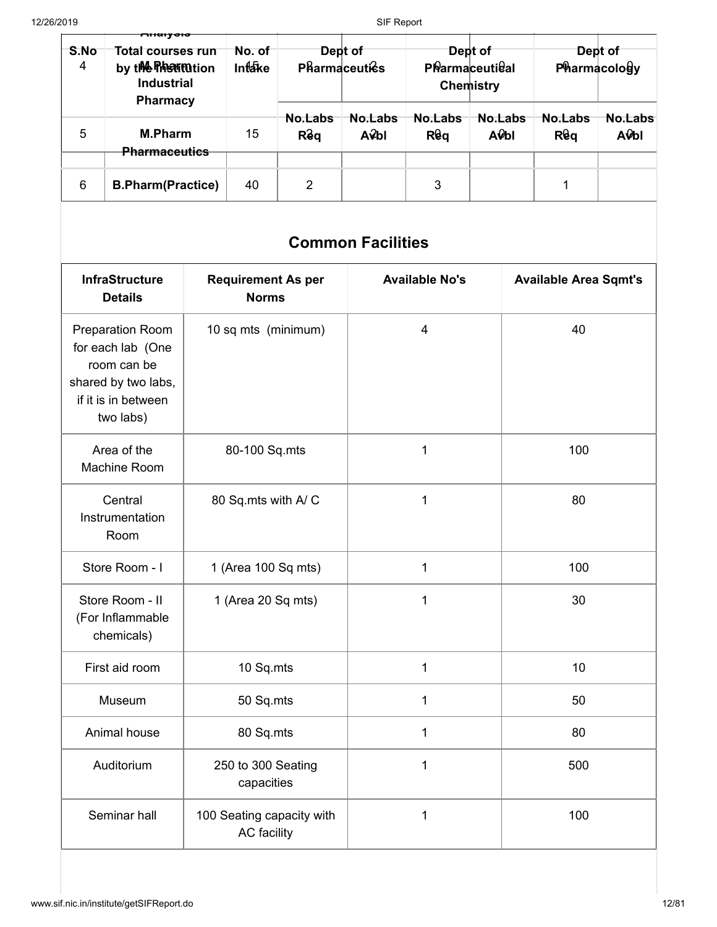| S.No<br>4 | <b>Total courses run</b><br>by the Press motion<br><b>Industrial</b><br><b>Pharmacy</b> | No. of<br><b>Intake</b> | <b>Pharmaceuties</b> | Dept of                  |                       | Dept of<br>PRarmaceutieal<br><b>Chemistry</b> |                       | Dept of<br>Pharmacology |
|-----------|-----------------------------------------------------------------------------------------|-------------------------|----------------------|--------------------------|-----------------------|-----------------------------------------------|-----------------------|-------------------------|
| 5         | <b>M.Pharm</b><br><b>Pharmaceutics</b>                                                  | 15                      | No.Labs<br>Rêq       | No.Labs<br>$A\hat{V}$ bl | No.Labs<br><b>Req</b> | No.Labs<br>AObl                               | No.Labs<br><b>Req</b> | No.Labs<br>AObl         |
| 6         | <b>B.Pharm(Practice)</b>                                                                | 40                      | 2                    |                          | 3                     |                                               |                       |                         |

# **Common Facilities**

| <b>InfraStructure</b><br><b>Details</b>                                                                                | <b>Requirement As per</b><br><b>Norms</b> | <b>Available No's</b> | <b>Available Area Sqmt's</b> |
|------------------------------------------------------------------------------------------------------------------------|-------------------------------------------|-----------------------|------------------------------|
| <b>Preparation Room</b><br>for each lab (One<br>room can be<br>shared by two labs,<br>if it is in between<br>two labs) | 10 sq mts (minimum)                       | $\overline{4}$        | 40                           |
| Area of the<br>Machine Room                                                                                            | 80-100 Sq.mts                             | $\mathbf{1}$          | 100                          |
| Central<br>Instrumentation<br>Room                                                                                     | 80 Sq.mts with A/C                        | 1                     | 80                           |
| Store Room - I                                                                                                         | 1 (Area 100 Sq mts)                       | 1                     | 100                          |
| Store Room - II<br>(For Inflammable<br>chemicals)                                                                      | 1 (Area 20 Sq mts)                        | $\overline{1}$        | 30                           |
| First aid room                                                                                                         | 10 Sq.mts                                 | 1                     | 10                           |
| Museum                                                                                                                 | 50 Sq.mts                                 | $\mathbf 1$           | 50                           |
| Animal house                                                                                                           | 80 Sq.mts                                 | $\mathbf 1$           | 80                           |
| Auditorium                                                                                                             | 250 to 300 Seating<br>capacities          | 1                     | 500                          |
| Seminar hall                                                                                                           | 100 Seating capacity with<br>AC facility  | 1                     | 100                          |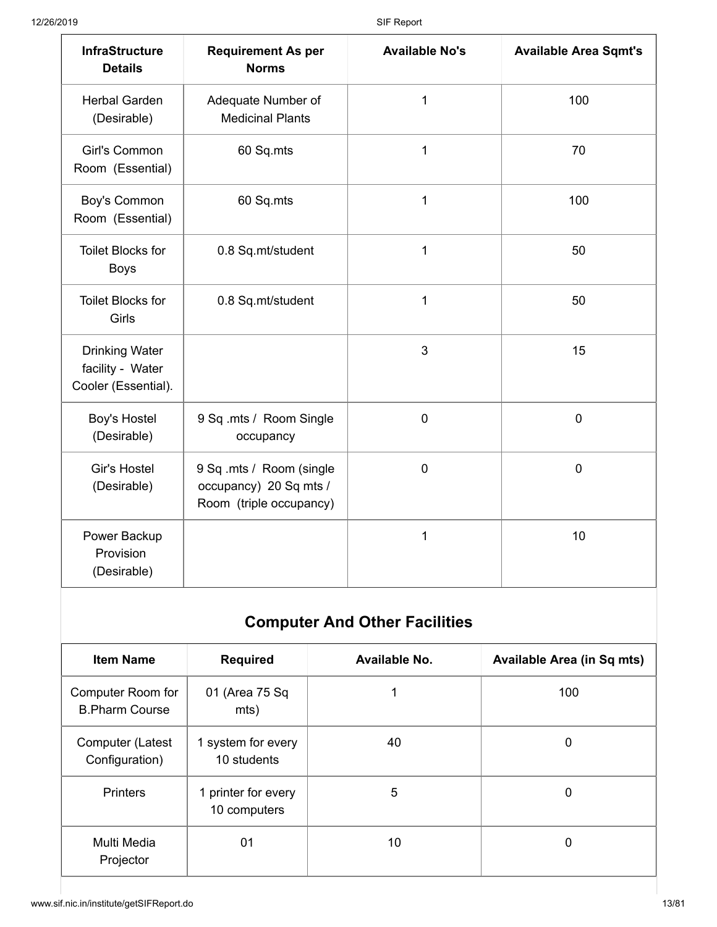| <b>InfraStructure</b><br><b>Details</b>                          | <b>Requirement As per</b><br><b>Norms</b>                                     | <b>Available No's</b> | <b>Available Area Sqmt's</b> |
|------------------------------------------------------------------|-------------------------------------------------------------------------------|-----------------------|------------------------------|
| <b>Herbal Garden</b><br>(Desirable)                              | Adequate Number of<br><b>Medicinal Plants</b>                                 | $\mathbf{1}$          | 100                          |
| Girl's Common<br>Room (Essential)                                | 60 Sq.mts                                                                     | 1                     | 70                           |
| Boy's Common<br>Room (Essential)                                 | 60 Sq.mts                                                                     | 1                     | 100                          |
| <b>Toilet Blocks for</b><br><b>Boys</b>                          | 0.8 Sq.mt/student                                                             | 1                     | 50                           |
| <b>Toilet Blocks for</b><br>Girls                                | 0.8 Sq.mt/student                                                             | 1                     | 50                           |
| <b>Drinking Water</b><br>facility - Water<br>Cooler (Essential). |                                                                               | 3                     | 15                           |
| Boy's Hostel<br>(Desirable)                                      | 9 Sq .mts / Room Single<br>occupancy                                          | $\mathbf 0$           | $\mathbf 0$                  |
| Gir's Hostel<br>(Desirable)                                      | 9 Sq .mts / Room (single<br>occupancy) 20 Sq mts /<br>Room (triple occupancy) | $\mathbf 0$           | $\mathbf 0$                  |
| Power Backup<br>Provision<br>(Desirable)                         |                                                                               | 1                     | 10                           |

# **Computer And Other Facilities**

| <b>Item Name</b>                           | <b>Required</b>                     | Available No. | <b>Available Area (in Sq mts)</b> |
|--------------------------------------------|-------------------------------------|---------------|-----------------------------------|
| Computer Room for<br><b>B.Pharm Course</b> | 01 (Area 75 Sq<br>mts)              |               | 100                               |
| Computer (Latest<br>Configuration)         | 1 system for every<br>10 students   | 40            | 0                                 |
| <b>Printers</b>                            | 1 printer for every<br>10 computers | 5             | 0                                 |
| Multi Media<br>Projector                   | 01                                  | 10            | 0                                 |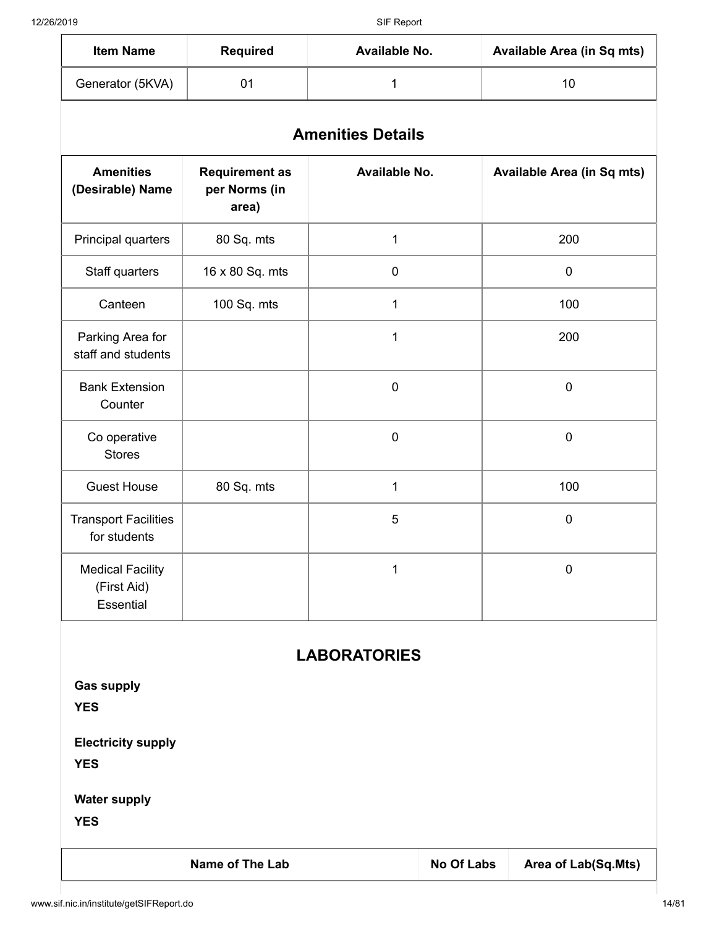| <b>Item Name</b> | <b>Required</b> | Available No. | <b>Available Area (in Sq mts)</b> |
|------------------|-----------------|---------------|-----------------------------------|
| Generator (5KVA) |                 |               |                                   |

| <b>Amenities Details</b> |  |  |  |  |
|--------------------------|--|--|--|--|
|                          |  |  |  |  |

| <b>Amenities</b><br>(Desirable) Name                | <b>Requirement as</b><br>per Norms (in<br>area) | Available No. | <b>Available Area (in Sq mts)</b> |
|-----------------------------------------------------|-------------------------------------------------|---------------|-----------------------------------|
| Principal quarters                                  | 80 Sq. mts                                      | 1             | 200                               |
| Staff quarters                                      | 16 x 80 Sq. mts                                 | 0             | 0                                 |
| Canteen                                             | 100 Sq. mts                                     | 1             | 100                               |
| Parking Area for<br>staff and students              |                                                 | 1             | 200                               |
| <b>Bank Extension</b><br>Counter                    |                                                 | $\pmb{0}$     | $\pmb{0}$                         |
| Co operative<br><b>Stores</b>                       |                                                 | $\pmb{0}$     | $\pmb{0}$                         |
| <b>Guest House</b>                                  | 80 Sq. mts                                      | 1             | 100                               |
| <b>Transport Facilities</b><br>for students         |                                                 | 5             | $\mathbf 0$                       |
| <b>Medical Facility</b><br>(First Aid)<br>Essential |                                                 | 1             | $\pmb{0}$                         |

# **LABORATORIES**

**Gas supply**

**YES**

**Electricity supply**

**YES**

**Water supply**

**YES**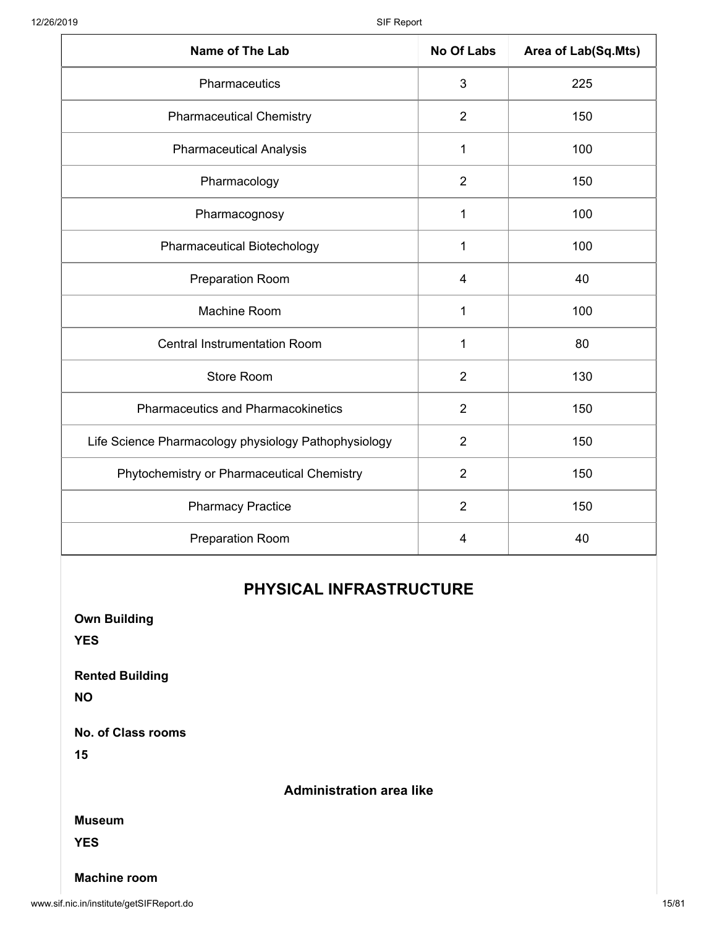| Name of The Lab                                      | <b>No Of Labs</b> | Area of Lab(Sq.Mts) |
|------------------------------------------------------|-------------------|---------------------|
| Pharmaceutics                                        | $\mathbf{3}$      | 225                 |
| <b>Pharmaceutical Chemistry</b>                      | $\overline{2}$    | 150                 |
| <b>Pharmaceutical Analysis</b>                       | 1                 | 100                 |
| Pharmacology                                         | $\overline{2}$    | 150                 |
| Pharmacognosy                                        | 1                 | 100                 |
| <b>Pharmaceutical Biotechology</b>                   | $\mathbf{1}$      | 100                 |
| <b>Preparation Room</b>                              | $\overline{4}$    | 40                  |
| Machine Room                                         | 1                 | 100                 |
| <b>Central Instrumentation Room</b>                  | 1                 | 80                  |
| Store Room                                           | $\overline{2}$    | 130                 |
| <b>Pharmaceutics and Pharmacokinetics</b>            | $\overline{2}$    | 150                 |
| Life Science Pharmacology physiology Pathophysiology | $\overline{2}$    | 150                 |
| Phytochemistry or Pharmaceutical Chemistry           | $\overline{2}$    | 150                 |
| <b>Pharmacy Practice</b>                             | $\overline{2}$    | 150                 |
| <b>Preparation Room</b>                              | $\overline{4}$    | 40                  |

## **PHYSICAL INFRASTRUCTURE**

| <b>Own Building</b><br><b>YES</b>   |                                 |
|-------------------------------------|---------------------------------|
| <b>Rented Building</b><br><b>NO</b> |                                 |
| <b>No. of Class rooms</b><br>15     |                                 |
|                                     | <b>Administration area like</b> |
| <b>Museum</b>                       |                                 |
| <b>YES</b>                          |                                 |
| <b>Machine room</b>                 |                                 |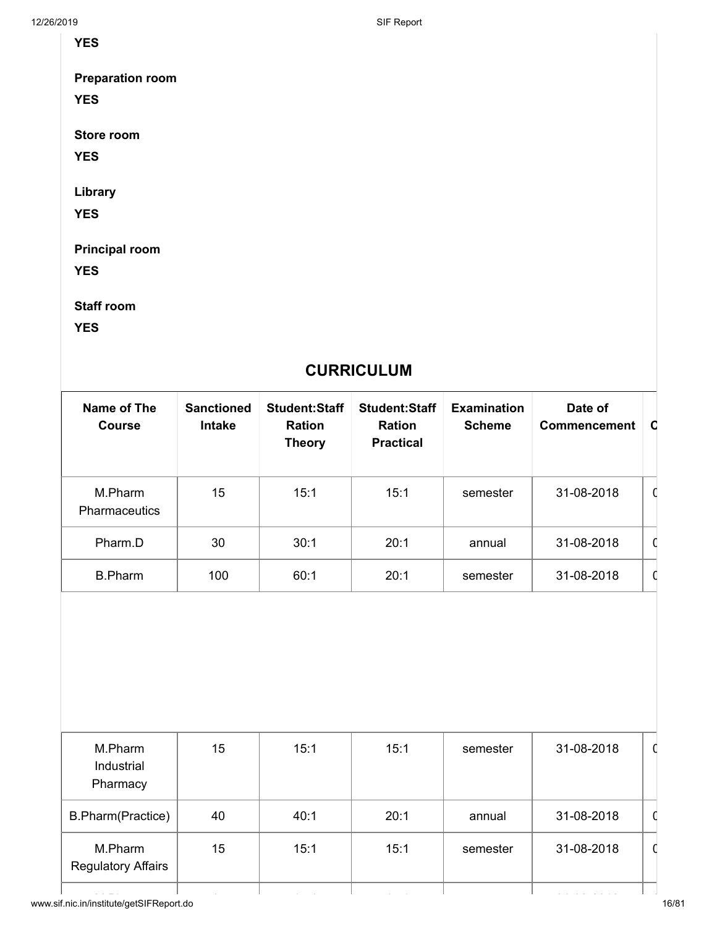12/26/2019 SIF Report

**YES**

**Preparation room**

**YES**

**Store room**

**YES**

**Library**

**YES**

**Principal room**

**YES**

**Staff room**

**YES**

# **CURRICULUM**

| Name of The<br><b>Course</b>    | <b>Sanctioned</b><br><b>Intake</b> | <b>Student: Staff</b><br><b>Ration</b><br><b>Theory</b> | <b>Student: Staff</b><br><b>Ration</b><br><b>Practical</b> | <b>Examination</b><br><b>Scheme</b> | Date of<br><b>Commencement</b> | <b>O</b> |
|---------------------------------|------------------------------------|---------------------------------------------------------|------------------------------------------------------------|-------------------------------------|--------------------------------|----------|
| M.Pharm<br><b>Pharmaceutics</b> | 15                                 | 15:1                                                    | 15:1                                                       | semester                            | 31-08-2018                     | C        |
| Pharm.D                         | 30                                 | 30:1                                                    | 20:1                                                       | annual                              | 31-08-2018                     |          |
| <b>B.Pharm</b>                  | 100                                | 60:1                                                    | 20:1                                                       | semester                            | 31-08-2018                     | C        |

| M.Pharm<br>Industrial<br>Pharmacy    | 15 | 15:1 | 15:1 | semester | 31-08-2018 |  |
|--------------------------------------|----|------|------|----------|------------|--|
| B.Pharm(Practice)                    | 40 | 40:1 | 20:1 | annual   | 31-08-2018 |  |
| M.Pharm<br><b>Regulatory Affairs</b> | 15 | 15:1 | 15:1 | semester | 31-08-2018 |  |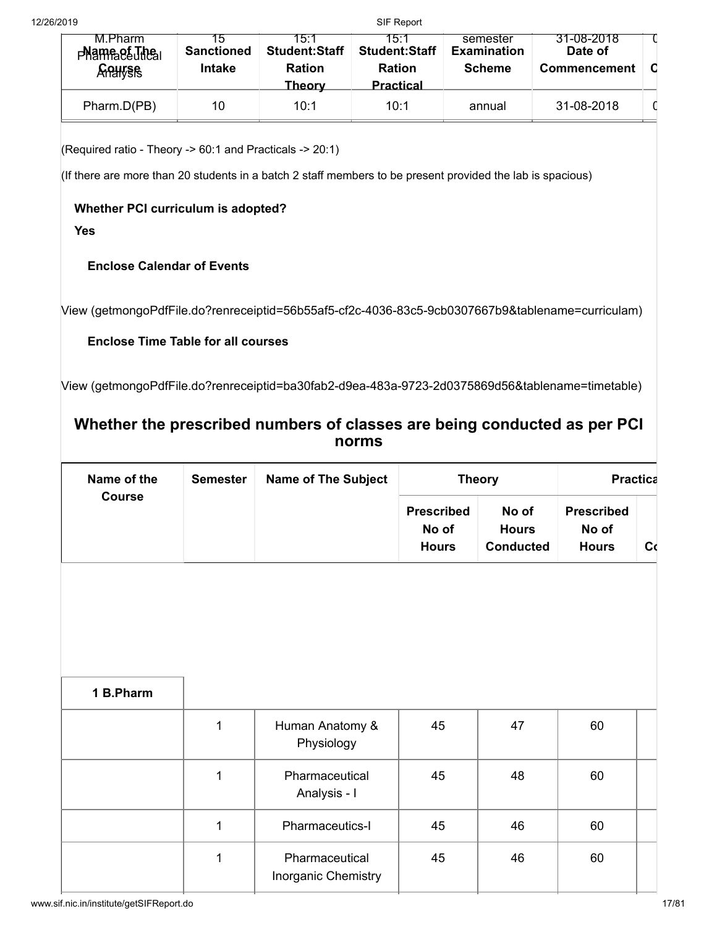| M.Pharm<br>$P$ <sup>N</sup> ame $P$ $E$ <sub>U</sub> $P$ $E$ <sub>U</sub><br><b>Analysis</b> | ר: ו<br><b>Sanctioned</b><br><b>Intake</b> | 15 <sup>.</sup> 1<br><b>Student:Staff</b><br><b>Ration</b><br>Theorv | 15 1<br><b>Student:Staff</b><br><b>Ration</b><br><b>Practical</b> | semester<br><b>Examination</b><br><b>Scheme</b> | 31-08-2018<br>Date of<br><b>Commencement</b> |  |
|----------------------------------------------------------------------------------------------|--------------------------------------------|----------------------------------------------------------------------|-------------------------------------------------------------------|-------------------------------------------------|----------------------------------------------|--|
| Pharm.D(PB)                                                                                  | 10                                         | 10:1                                                                 | 10:1                                                              | annual                                          | 31-08-2018                                   |  |

(Required ratio - Theory -> 60:1 and Practicals -> 20:1)

(If there are more than 20 students in a batch 2 staff members to be present provided the lab is spacious)

### **Whether PCI curriculum is adopted?**

**Yes**

## **Enclose Calendar of Events**

[View \(getmongoPdfFile.do?renreceiptid=56b55af5-cf2c-4036-83c5-9cb0307667b9&tablename=curriculam\)](http://www.sif.nic.in/institute/getmongoPdfFile.do?renreceiptid=56b55af5-cf2c-4036-83c5-9cb0307667b9&tablename=curriculam)

## **Enclose Time Table for all courses**

[View \(getmongoPdfFile.do?renreceiptid=ba30fab2-d9ea-483a-9723-2d0375869d56&tablename=timetable\)](http://www.sif.nic.in/institute/getmongoPdfFile.do?renreceiptid=ba30fab2-d9ea-483a-9723-2d0375869d56&tablename=timetable)

## **Whether the prescribed numbers of classes are being conducted as per PCI norms**

| Name of the<br><b>Course</b> | <b>Semester</b> | <b>Name of The Subject</b> |                                            | <b>Theory</b>                             | <b>Practica</b>                            |    |
|------------------------------|-----------------|----------------------------|--------------------------------------------|-------------------------------------------|--------------------------------------------|----|
|                              |                 |                            | <b>Prescribed</b><br>No of<br><b>Hours</b> | No of<br><b>Hours</b><br><b>Conducted</b> | <b>Prescribed</b><br>No of<br><b>Hours</b> | Сc |

| 1 B.Pharm |   |                                       |    |    |    |  |
|-----------|---|---------------------------------------|----|----|----|--|
|           | 1 | Human Anatomy &<br>Physiology         | 45 | 47 | 60 |  |
|           |   | Pharmaceutical<br>Analysis - I        | 45 | 48 | 60 |  |
|           |   | Pharmaceutics-I                       | 45 | 46 | 60 |  |
|           |   | Pharmaceutical<br>Inorganic Chemistry | 45 | 46 | 60 |  |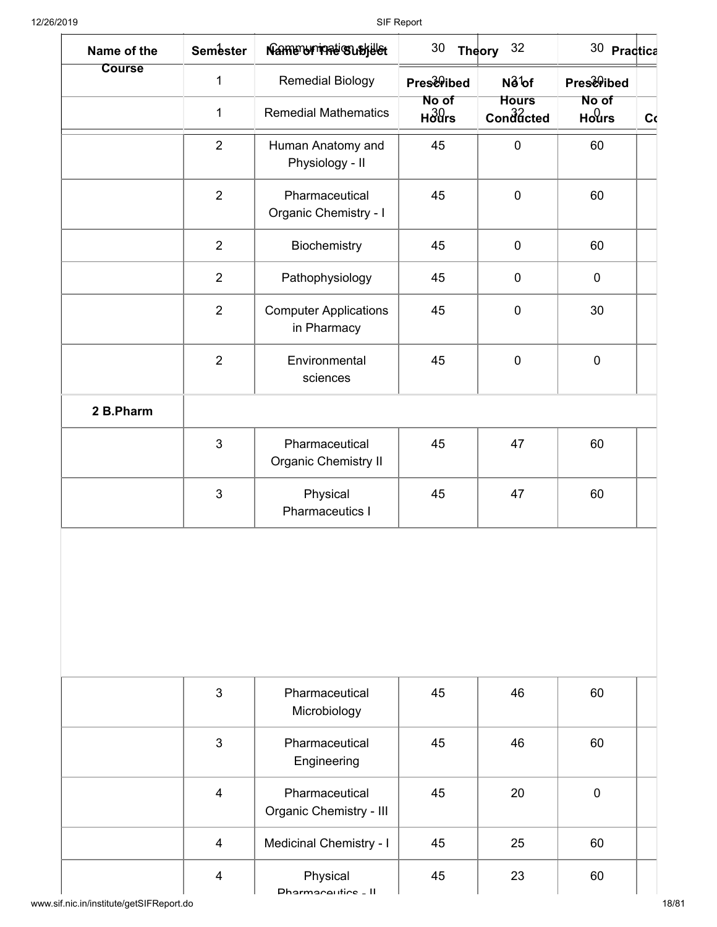| Name of the   | <b>Semester</b> | Namenunmati Subjelet                          | 30                                 | Theory 32                 | 30 Practica                          |    |
|---------------|-----------------|-----------------------------------------------|------------------------------------|---------------------------|--------------------------------------|----|
| <b>Course</b> | 1               | <b>Remedial Biology</b>                       | <b>PrestPibed</b>                  | No <sup>1</sup> of        | <b>PrestPibed</b>                    |    |
|               | $\mathbf{1}$    | <b>Remedial Mathematics</b>                   | No of<br>$H_0^3$ <i>H</i> $\sigma$ | <b>Hours</b><br>Conddcted | No of<br>H <sub>o</sub> <sup>0</sup> | C( |
|               | $\overline{2}$  | Human Anatomy and<br>Physiology - II          | 45                                 | $\mathbf 0$               | 60                                   |    |
|               | $\overline{2}$  | Pharmaceutical<br>Organic Chemistry - I       | 45                                 | $\mathbf 0$               | 60                                   |    |
|               | $\overline{2}$  | Biochemistry                                  | 45                                 | $\mathbf 0$               | 60                                   |    |
|               | $\overline{2}$  | Pathophysiology                               | 45                                 | $\mathbf 0$               | $\pmb{0}$                            |    |
|               | $\overline{2}$  | <b>Computer Applications</b><br>in Pharmacy   | 45                                 | $\mathbf 0$               | 30                                   |    |
|               | $\overline{2}$  | Environmental<br>sciences                     | 45                                 | $\mathbf 0$               | $\mathbf 0$                          |    |
| 2 B.Pharm     |                 |                                               |                                    |                           |                                      |    |
|               | $\mathbf{3}$    | Pharmaceutical<br><b>Organic Chemistry II</b> | 45                                 | 47                        | 60                                   |    |
|               | $\mathbf{3}$    | Physical<br><b>Pharmaceutics I</b>            | 45                                 | 47                        | 60                                   |    |
|               | 3               | Pharmaceutical<br>Microbiology                | 45                                 | 46                        | 60                                   |    |
|               | 3               | Pharmaceutical<br>Engineering                 | 45                                 | 46                        | 60                                   |    |
|               | $\overline{4}$  | Pharmaceutical<br>Organic Chemistry - III     | 45                                 | 20                        | $\mathbf 0$                          |    |
|               | $\overline{4}$  | <b>Medicinal Chemistry - I</b>                | 45                                 | 25                        | 60                                   |    |
|               | $\overline{4}$  | Physical<br>Dharmacoutics LL                  | 45                                 | 23                        | 60                                   |    |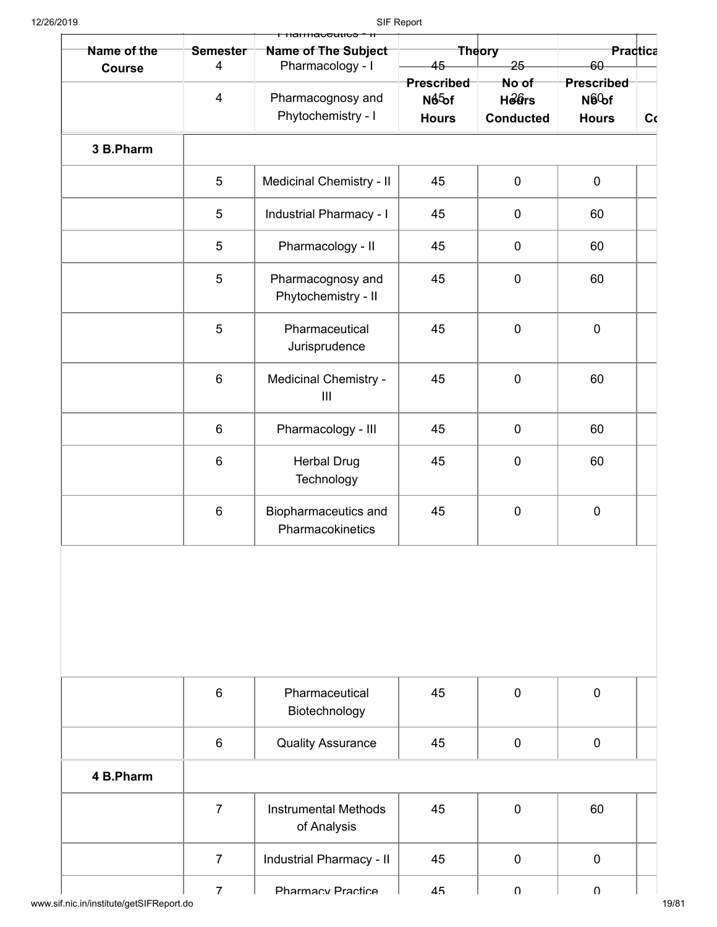| Name of the   | <b>Semester</b> | <b>Name of The Subject</b>                 |                                                         | <b>Theory</b>                             | <b>Practica</b>                                  |    |
|---------------|-----------------|--------------------------------------------|---------------------------------------------------------|-------------------------------------------|--------------------------------------------------|----|
| <b>Course</b> | $\overline{4}$  | Pharmacology - I                           | 45                                                      | $25 -$                                    | $60 -$                                           |    |
|               | $\overline{4}$  | Pharmacognosy and<br>Phytochemistry - I    | <b>Prescribed</b><br>N <sub>65</sub> of<br><b>Hours</b> | No of<br><b>Hears</b><br><b>Conducted</b> | Prescribed<br>N6 <sup>0</sup> of<br><b>Hours</b> | C( |
|               |                 |                                            |                                                         |                                           |                                                  |    |
| 3 B.Pharm     |                 |                                            |                                                         |                                           |                                                  |    |
|               | $\overline{5}$  | <b>Medicinal Chemistry - II</b>            | 45                                                      | $\pmb{0}$                                 | $\mathbf 0$                                      |    |
|               | $\overline{5}$  | Industrial Pharmacy - I                    | 45                                                      | $\pmb{0}$                                 | 60                                               |    |
|               | $\overline{5}$  | Pharmacology - II                          | 45                                                      | $\mathbf 0$                               | 60                                               |    |
|               | $\overline{5}$  | Pharmacognosy and<br>Phytochemistry - II   | 45                                                      | $\pmb{0}$                                 | 60                                               |    |
|               | $\overline{5}$  | Pharmaceutical<br>Jurisprudence            | 45                                                      | $\pmb{0}$                                 | $\pmb{0}$                                        |    |
|               | $6\phantom{1}$  | Medicinal Chemistry -<br>III               | 45                                                      | $\mathbf 0$                               | 60                                               |    |
|               | $\,6\,$         | Pharmacology - III                         | 45                                                      | $\pmb{0}$                                 | 60                                               |    |
|               | $\,6\,$         | <b>Herbal Drug</b><br>Technology           | 45                                                      | $\pmb{0}$                                 | 60                                               |    |
|               | $6\phantom{1}$  | Biopharmaceutics and<br>Pharmacokinetics   | 45                                                      | $\pmb{0}$                                 | $\pmb{0}$                                        |    |
|               |                 |                                            |                                                         |                                           |                                                  |    |
|               | $6\phantom{1}$  | Pharmaceutical                             | 45                                                      | $\mathbf 0$                               | $\mathbf 0$                                      |    |
|               |                 | Biotechnology                              |                                                         |                                           |                                                  |    |
|               | 6               | <b>Quality Assurance</b>                   | 45                                                      | $\mathbf 0$                               | $\pmb{0}$                                        |    |
| 4 B.Pharm     |                 |                                            |                                                         |                                           |                                                  |    |
|               | $\overline{7}$  | <b>Instrumental Methods</b><br>of Analysis | 45                                                      | $\mathbf 0$                               | 60                                               |    |
|               | $\overline{7}$  | Industrial Pharmacy - II                   | 45                                                      | $\mathbf 0$                               | $\pmb{0}$                                        |    |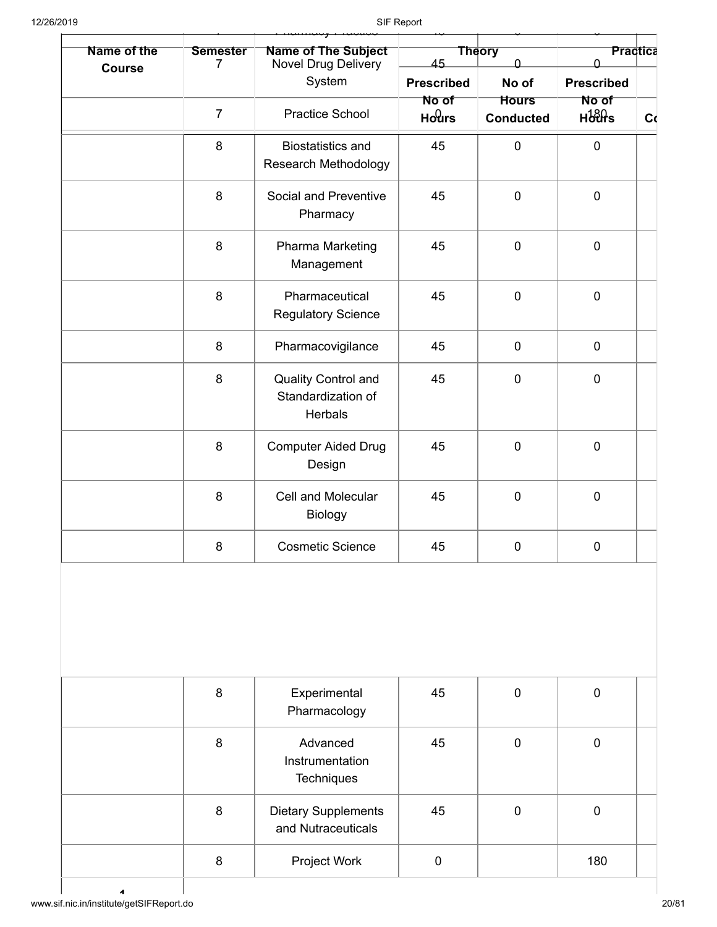| Name of the   | <b>Semester</b><br>7 | <b>Name of The Subject</b><br>Novel Drug Delivery       | 45                | <b>Theory</b><br>$\Omega$        | <b>Practica</b><br>U  |    |
|---------------|----------------------|---------------------------------------------------------|-------------------|----------------------------------|-----------------------|----|
| <b>Course</b> |                      | System                                                  | <b>Prescribed</b> | No of                            | <b>Prescribed</b>     |    |
|               | $\overline{7}$       | <b>Practice School</b>                                  | No of<br>Hours    | <b>Hours</b><br><b>Conducted</b> | No of<br><b>Hours</b> | C( |
|               | 8                    | <b>Biostatistics and</b><br><b>Research Methodology</b> | 45                | $\mathbf 0$                      | $\pmb{0}$             |    |
|               | 8                    | Social and Preventive<br>Pharmacy                       | 45                | $\mathbf 0$                      | $\mathbf 0$           |    |
|               | 8                    | Pharma Marketing<br>Management                          | 45                | $\mathbf 0$                      | $\mathbf 0$           |    |
|               | 8                    | Pharmaceutical<br><b>Regulatory Science</b>             | 45                | $\mathbf 0$                      | $\mathbf 0$           |    |
|               | 8                    | Pharmacovigilance                                       | 45                | $\pmb{0}$                        | $\pmb{0}$             |    |
|               | 8                    | Quality Control and<br>Standardization of<br>Herbals    | 45                | $\mathbf 0$                      | $\pmb{0}$             |    |
|               | 8                    | <b>Computer Aided Drug</b><br>Design                    | 45                | $\mathbf 0$                      | $\mathbf 0$           |    |
|               | 8                    | <b>Cell and Molecular</b><br>Biology                    | 45                | $\mathbf 0$                      | $\mathbf 0$           |    |
|               | 8                    | <b>Cosmetic Science</b>                                 | 45                | $\pmb{0}$                        | $\pmb{0}$             |    |
|               | 8                    | Experimental<br>Pharmacology                            | 45                | $\pmb{0}$                        | $\pmb{0}$             |    |
|               | 8                    | Advanced<br>Instrumentation<br>Techniques               | 45                | $\mathbf 0$                      | $\mathbf 0$           |    |
|               | 8                    | <b>Dietary Supplements</b><br>and Nutraceuticals        | 45                | $\mathbf 0$                      | $\mathbf 0$           |    |
|               |                      |                                                         |                   |                                  |                       |    |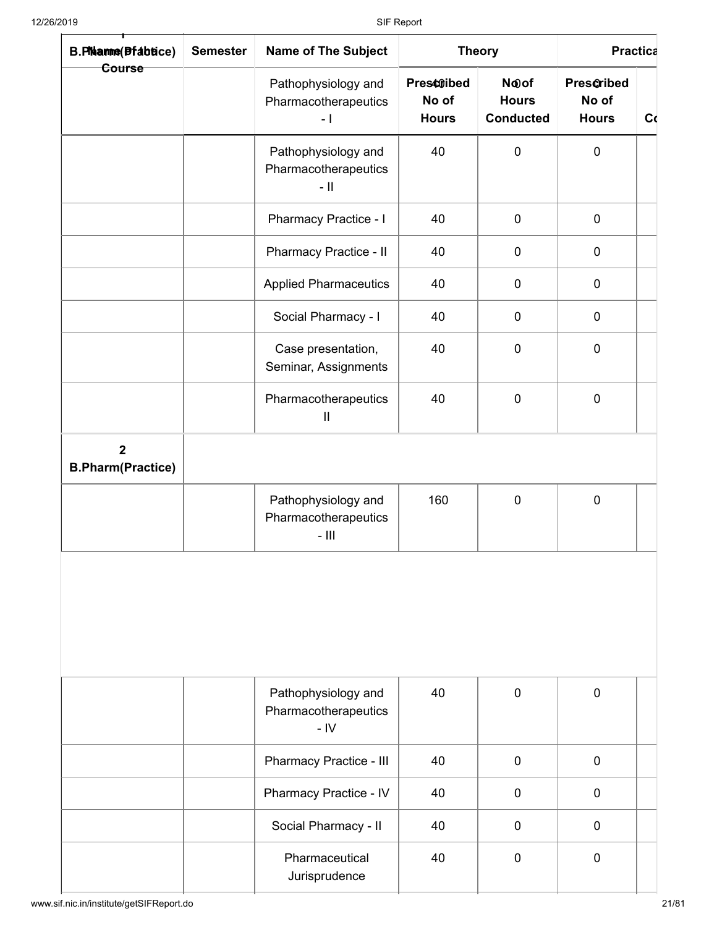| B.Phanne(Pfabtice)                         | <b>Semester</b> | <b>Name of The Subject</b>                                  |                                            | <b>Theory</b>                                        | <b>Practica</b>                     |    |  |
|--------------------------------------------|-----------------|-------------------------------------------------------------|--------------------------------------------|------------------------------------------------------|-------------------------------------|----|--|
| Course                                     |                 | Pathophysiology and<br>Pharmacotherapeutics<br>$-1$         | <b>Presctibed</b><br>No of<br><b>Hours</b> | N <sub>oof</sub><br><b>Hours</b><br><b>Conducted</b> | Prescribed<br>No of<br><b>Hours</b> | C( |  |
|                                            |                 | Pathophysiology and<br>Pharmacotherapeutics<br>$-$ II       | 40                                         | $\mathbf 0$                                          | $\mathbf 0$                         |    |  |
|                                            |                 | <b>Pharmacy Practice - I</b>                                | 40                                         | $\boldsymbol{0}$                                     | $\pmb{0}$                           |    |  |
|                                            |                 | Pharmacy Practice - II                                      | 40                                         | $\pmb{0}$                                            | $\pmb{0}$                           |    |  |
|                                            |                 | <b>Applied Pharmaceutics</b>                                | 40                                         | $\boldsymbol{0}$                                     | $\mathbf 0$                         |    |  |
|                                            |                 | Social Pharmacy - I                                         | 40                                         | $\pmb{0}$                                            | $\boldsymbol{0}$                    |    |  |
|                                            |                 | Case presentation,<br>Seminar, Assignments                  | 40                                         | $\pmb{0}$                                            | $\mathbf 0$                         |    |  |
|                                            |                 | Pharmacotherapeutics<br>Ш                                   | 40                                         | $\pmb{0}$                                            | $\pmb{0}$                           |    |  |
| $\overline{2}$<br><b>B.Pharm(Practice)</b> |                 |                                                             |                                            |                                                      |                                     |    |  |
|                                            |                 | Pathophysiology and<br>Pharmacotherapeutics<br>$ \parallel$ | 160                                        | $\mathbf 0$                                          | $\mathbf 0$                         |    |  |
|                                            |                 | Pathophysiology and<br>Pharmacotherapeutics<br>$-IV$        | 40                                         | $\mathbf 0$                                          | $\mathbf 0$                         |    |  |
|                                            |                 | Pharmacy Practice - III                                     | 40                                         | $\mathbf 0$                                          | $\mathbf 0$                         |    |  |
|                                            |                 | Pharmacy Practice - IV                                      | 40                                         | $\mathbf 0$                                          | $\mathbf 0$                         |    |  |
|                                            |                 | Social Pharmacy - II                                        | 40                                         | $\mathbf 0$                                          | $\mathbf 0$                         |    |  |
|                                            |                 | Pharmaceutical<br>Jurisprudence                             | 40                                         | $\mathbf 0$                                          | $\mathbf 0$                         |    |  |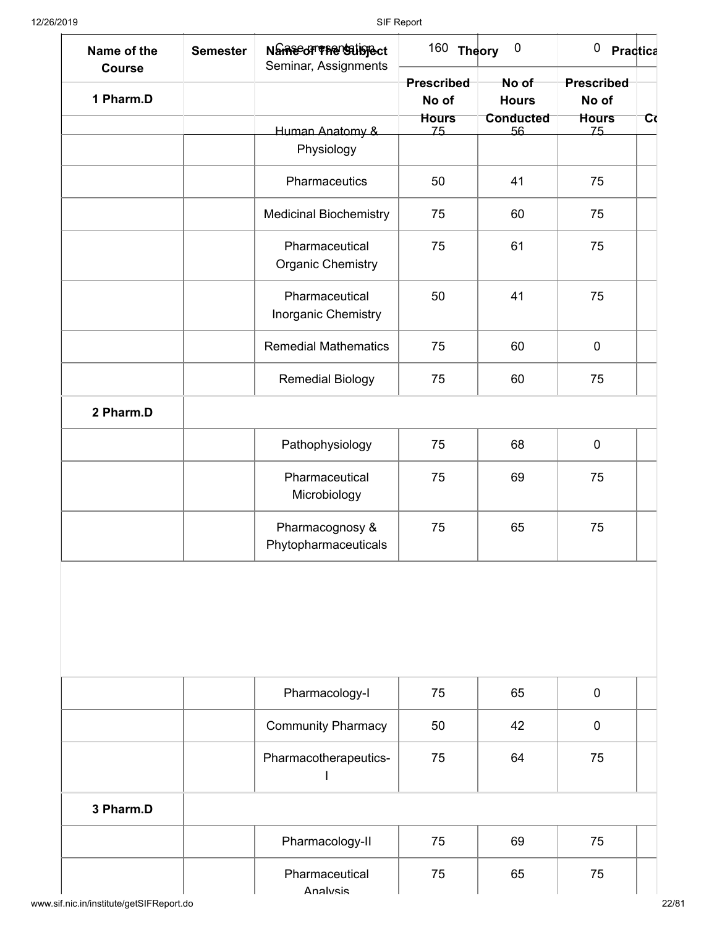| Name of the<br><b>Course</b> | <b>Semester</b> | Name of The Stiglect<br>Seminar, Assignments | 160 Theory         | $\boldsymbol{0}$       | $0$ Practica       |   |
|------------------------------|-----------------|----------------------------------------------|--------------------|------------------------|--------------------|---|
|                              |                 |                                              | Prescribed         | No of                  | Prescribed         |   |
| 1 Pharm.D                    |                 |                                              | No of              | <b>Hours</b>           | No of              |   |
|                              |                 |                                              | <b>Hours</b><br>75 | <b>Conducted</b><br>56 | <b>Hours</b><br>75 | ত |
|                              |                 | Human Anatomy &<br>Physiology                |                    |                        |                    |   |
|                              |                 |                                              |                    |                        |                    |   |
|                              |                 | Pharmaceutics                                | 50                 | 41                     | 75                 |   |
|                              |                 | <b>Medicinal Biochemistry</b>                | 75                 | 60                     | 75                 |   |
|                              |                 | Pharmaceutical<br><b>Organic Chemistry</b>   | 75                 | 61                     | 75                 |   |
|                              |                 | Pharmaceutical<br>Inorganic Chemistry        | 50                 | 41                     | 75                 |   |
|                              |                 | <b>Remedial Mathematics</b>                  | 75                 | 60                     | $\pmb{0}$          |   |
|                              |                 | <b>Remedial Biology</b>                      | 75                 | 60                     | 75                 |   |
| 2 Pharm.D                    |                 |                                              |                    |                        |                    |   |
|                              |                 | Pathophysiology                              | 75                 | 68                     | $\pmb{0}$          |   |
|                              |                 | Pharmaceutical<br>Microbiology               | 75                 | 69                     | 75                 |   |
|                              |                 | Pharmacognosy &<br>Phytopharmaceuticals      | 75                 | 65                     | 75                 |   |
|                              |                 |                                              |                    |                        |                    |   |
|                              |                 | Pharmacology-I                               | 75                 | 65                     | $\pmb{0}$          |   |
|                              |                 | <b>Community Pharmacy</b>                    | 50                 | 42                     | $\mathbf 0$        |   |
|                              |                 | Pharmacotherapeutics-                        | 75                 | 64                     | 75                 |   |
|                              |                 |                                              |                    |                        |                    |   |
| 3 Pharm.D                    |                 |                                              |                    |                        |                    |   |
|                              |                 | Pharmacology-II                              | 75                 | 69                     | 75                 |   |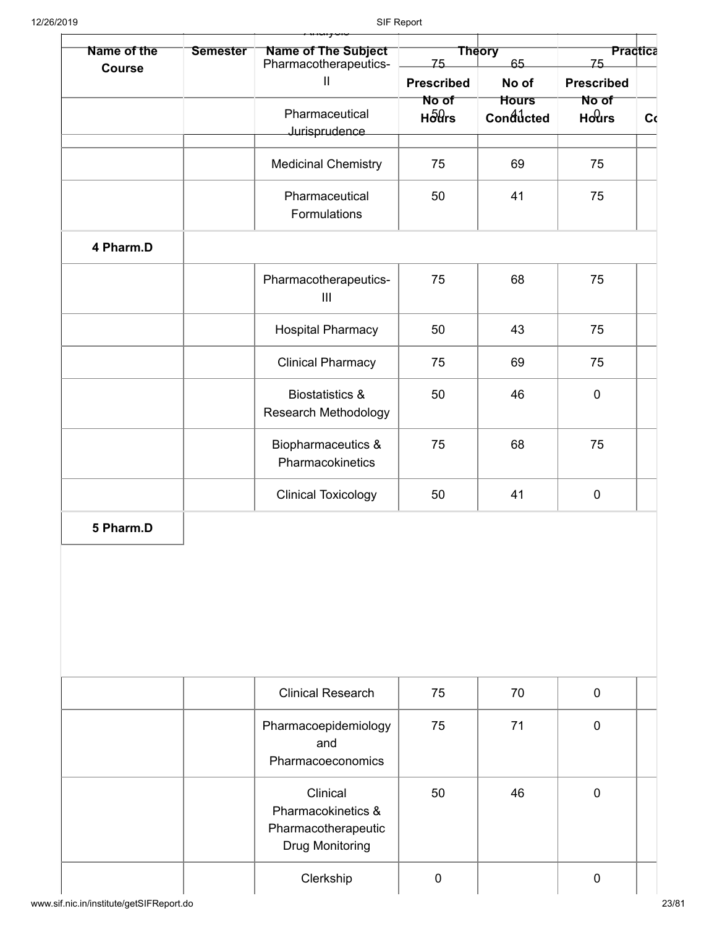| Name of the   | <b>Semester</b> | Name of The Subject<br>Pharmacotherapeutics-                                    | 75                          | <b>Theory</b><br>65       | Practica<br>75    |    |  |
|---------------|-----------------|---------------------------------------------------------------------------------|-----------------------------|---------------------------|-------------------|----|--|
| <b>Course</b> |                 | $\sf II$                                                                        | <b>Prescribed</b>           | No of                     | <b>Prescribed</b> |    |  |
|               |                 | Pharmaceutical                                                                  | No of<br>$H\delta\theta$ rs | <b>Hours</b><br>Conducted | No of<br>Hours    | C( |  |
|               |                 | Jurisprudence                                                                   |                             |                           |                   |    |  |
|               |                 | <b>Medicinal Chemistry</b>                                                      | 75                          | 69                        | 75                |    |  |
|               |                 | Pharmaceutical<br>Formulations                                                  | 50                          | 41                        | 75                |    |  |
| 4 Pharm.D     |                 |                                                                                 |                             |                           |                   |    |  |
|               |                 | Pharmacotherapeutics-<br>$\mathbf{III}$                                         | 75                          | 68                        | 75                |    |  |
|               |                 | <b>Hospital Pharmacy</b>                                                        | 50                          | 43                        | 75                |    |  |
|               |                 | <b>Clinical Pharmacy</b>                                                        | 75                          | 69                        | 75                |    |  |
|               |                 | <b>Biostatistics &amp;</b><br><b>Research Methodology</b>                       | 50                          | 46                        | $\mathbf 0$       |    |  |
|               |                 | Biopharmaceutics &<br>Pharmacokinetics                                          | 75                          | 68                        | 75                |    |  |
|               |                 | <b>Clinical Toxicology</b>                                                      | 50                          | 41                        | $\mathbf 0$       |    |  |
| 5 Pharm.D     |                 |                                                                                 |                             |                           |                   |    |  |
|               |                 |                                                                                 |                             |                           |                   |    |  |
|               |                 | <b>Clinical Research</b>                                                        | 75                          | 70                        | $\mathbf 0$       |    |  |
|               |                 | Pharmacoepidemiology<br>and<br>Pharmacoeconomics                                | 75                          | 71                        | $\mathbf 0$       |    |  |
|               |                 | Clinical<br>Pharmacokinetics &<br>Pharmacotherapeutic<br><b>Drug Monitoring</b> | 50                          | 46                        | $\mathbf 0$       |    |  |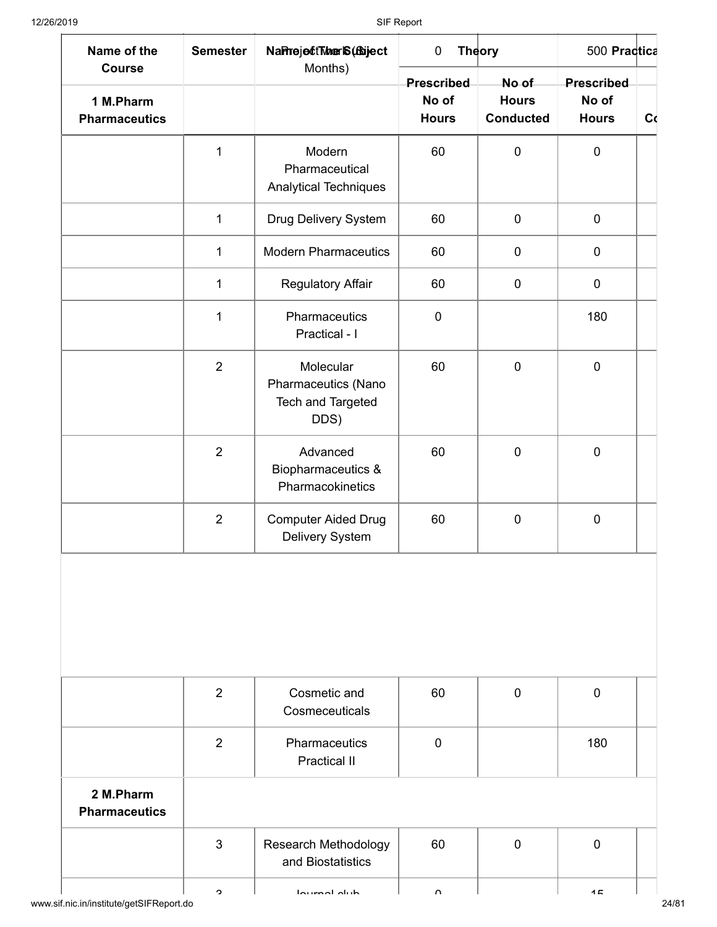| Name of the                                        | <b>Semester</b> | NaPrejectTherIS (fbiject                                      | $\mathbf 0$                         | <b>Theory</b>                             | 500 Practica                               |    |
|----------------------------------------------------|-----------------|---------------------------------------------------------------|-------------------------------------|-------------------------------------------|--------------------------------------------|----|
| <b>Course</b><br>1 M.Pharm<br><b>Pharmaceutics</b> |                 | Months)                                                       | Prescribed<br>No of<br><b>Hours</b> | No of<br><b>Hours</b><br><b>Conducted</b> | <b>Prescribed</b><br>No of<br><b>Hours</b> | C( |
|                                                    | $\mathbf 1$     | Modern<br>Pharmaceutical<br>Analytical Techniques             | 60                                  | $\pmb{0}$                                 | $\pmb{0}$                                  |    |
|                                                    | $\mathbf{1}$    | Drug Delivery System                                          | 60                                  | $\pmb{0}$                                 | $\pmb{0}$                                  |    |
|                                                    | $\mathbf 1$     | <b>Modern Pharmaceutics</b>                                   | 60                                  | $\pmb{0}$                                 | $\pmb{0}$                                  |    |
|                                                    | $\mathbf 1$     | <b>Regulatory Affair</b>                                      | 60                                  | $\pmb{0}$                                 | $\mathbf 0$                                |    |
|                                                    | $\mathbf{1}$    | Pharmaceutics<br>Practical - I                                | $\mathbf 0$                         |                                           | 180                                        |    |
|                                                    | $\overline{2}$  | Molecular<br>Pharmaceutics (Nano<br>Tech and Targeted<br>DDS) | 60                                  | $\mathbf 0$                               | $\pmb{0}$                                  |    |
|                                                    | $\overline{2}$  | Advanced<br>Biopharmaceutics &<br>Pharmacokinetics            | 60                                  | $\pmb{0}$                                 | $\mathbf 0$                                |    |
|                                                    | $\overline{2}$  | <b>Computer Aided Drug</b><br>Delivery System                 | 60                                  | $\mathbf 0$                               | $\mathbf 0$                                |    |
|                                                    | $\overline{2}$  | Cosmetic and<br>Cosmeceuticals                                | 60                                  | $\mathbf 0$                               | $\mathbf 0$                                |    |
|                                                    | $\overline{2}$  | Pharmaceutics<br><b>Practical II</b>                          | $\mathbf 0$                         |                                           | 180                                        |    |
| 2 M.Pharm<br><b>Pharmaceutics</b>                  |                 |                                                               |                                     |                                           |                                            |    |
|                                                    | 3               | <b>Research Methodology</b><br>and Biostatistics              | 60                                  | $\mathbf 0$                               | $\mathbf 0$                                |    |
|                                                    | ◠               | بإيبام لمصيبها                                                |                                     |                                           | 15                                         |    |

www.sif.nic.in/institute/getSIFReport.do 24/81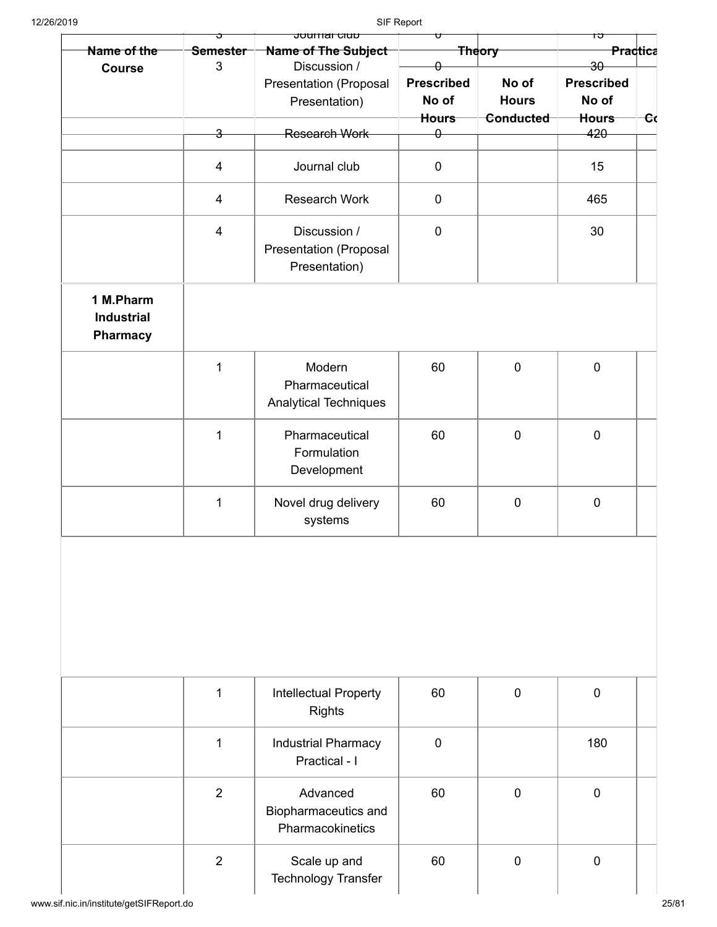| 12/26/2019                                        |                         |                                                                       | SIF Report                                 |                                    |                                            |               |
|---------------------------------------------------|-------------------------|-----------------------------------------------------------------------|--------------------------------------------|------------------------------------|--------------------------------------------|---------------|
| Name of the                                       | Semester<br>3           | <del>Journar Glub</del><br><b>Name of The Subject</b><br>Discussion / |                                            | <b>Theory</b>                      | ᠤ<br>Practica<br>$30 -$                    |               |
| <b>Course</b>                                     |                         | <b>Presentation (Proposal</b><br>Presentation)                        | <b>Prescribed</b><br>No of<br><b>Hours</b> | No of<br><b>Hours</b><br>Conducted | <b>Prescribed</b><br>No of<br><b>Hours</b> | <del>ان</del> |
|                                                   | $\overline{\mathbf{3}}$ | <b>Research Work</b>                                                  | $\theta$                                   |                                    | 420                                        |               |
|                                                   | $\overline{\mathbf{4}}$ | Journal club                                                          | $\mathbf 0$                                |                                    | 15                                         |               |
|                                                   | $\overline{4}$          | <b>Research Work</b>                                                  | $\mathbf 0$                                |                                    | 465                                        |               |
|                                                   | $\overline{4}$          | Discussion /<br><b>Presentation (Proposal</b><br>Presentation)        | $\pmb{0}$                                  |                                    | 30                                         |               |
| 1 M.Pharm<br><b>Industrial</b><br><b>Pharmacy</b> |                         |                                                                       |                                            |                                    |                                            |               |
|                                                   | $\mathbf 1$             | Modern<br>Pharmaceutical<br><b>Analytical Techniques</b>              | 60                                         | $\mathbf 0$                        | $\mathbf 0$                                |               |
|                                                   | $\mathbf 1$             | Pharmaceutical<br>Formulation<br>Development                          | 60                                         | $\mathbf 0$                        | $\pmb{0}$                                  |               |
|                                                   | $\mathbf 1$             | Novel drug delivery<br>systems                                        | 60                                         | $\mathbf 0$                        | $\pmb{0}$                                  |               |
|                                                   |                         |                                                                       |                                            |                                    |                                            |               |
|                                                   | $\mathbf 1$             | Intellectual Property<br>Rights                                       | 60                                         | $\mathbf 0$                        | $\pmb{0}$                                  |               |
|                                                   | $\mathbf 1$             | <b>Industrial Pharmacy</b><br>Practical - I                           | $\pmb{0}$                                  |                                    | 180                                        |               |
|                                                   | $\overline{2}$          | Advanced<br>Biopharmaceutics and<br>Pharmacokinetics                  | 60                                         | $\mathbf 0$                        | $\pmb{0}$                                  |               |
|                                                   | $\overline{2}$          | Scale up and                                                          | 60                                         | $\mathbf 0$                        | $\pmb{0}$                                  |               |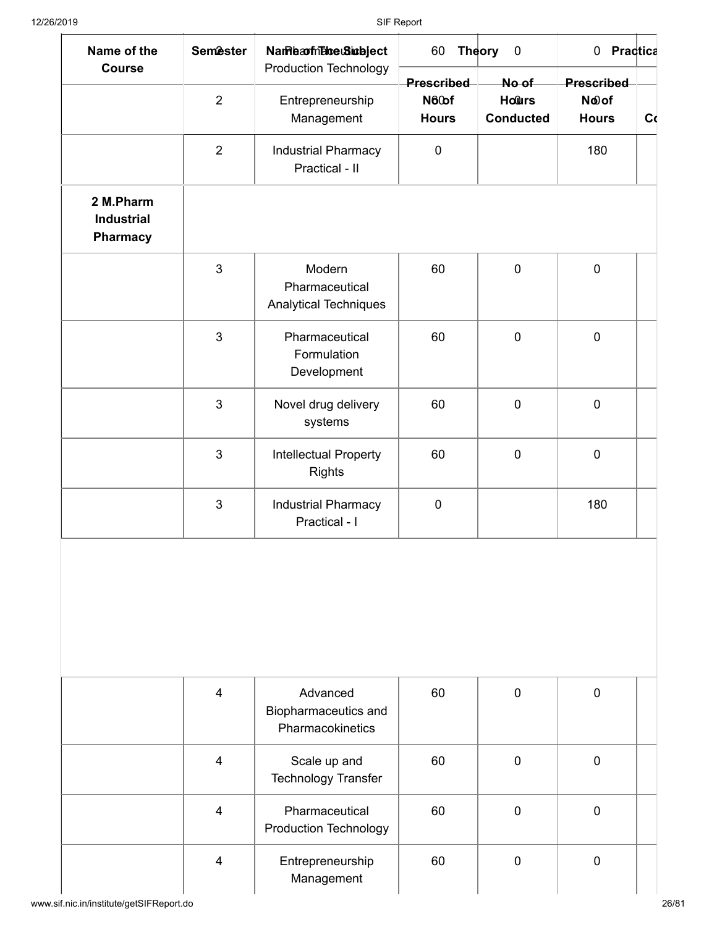| Name of the<br><b>Course</b>               | <b>Semester</b> | Name a milho e Sina bject<br>Production Technology       | 60                                  | <b>Theory</b><br>$\pmb{0}$                | 0 Practica                                     |    |  |
|--------------------------------------------|-----------------|----------------------------------------------------------|-------------------------------------|-------------------------------------------|------------------------------------------------|----|--|
|                                            | $\overline{2}$  | Entrepreneurship<br>Management                           | Prescribed<br>N60of<br><b>Hours</b> | No of<br><b>Hours</b><br><b>Conducted</b> | Prescribed<br>N <sub>oof</sub><br><b>Hours</b> | C( |  |
|                                            | $\overline{2}$  | <b>Industrial Pharmacy</b><br>Practical - II             | $\mathbf 0$                         |                                           | 180                                            |    |  |
| 2 M.Pharm<br><b>Industrial</b><br>Pharmacy |                 |                                                          |                                     |                                           |                                                |    |  |
|                                            | 3               | Modern<br>Pharmaceutical<br><b>Analytical Techniques</b> | 60                                  | $\mathbf 0$                               | $\mathbf 0$                                    |    |  |
|                                            | $\mathfrak{B}$  | Pharmaceutical<br>Formulation<br>Development             | 60                                  | $\mathbf 0$                               | $\mathbf 0$                                    |    |  |
|                                            | $\mathfrak{B}$  | Novel drug delivery<br>systems                           | 60                                  | $\mathbf 0$                               | $\mathbf 0$                                    |    |  |
|                                            | 3               | Intellectual Property<br><b>Rights</b>                   | 60                                  | $\mathbf 0$                               | $\mathbf 0$                                    |    |  |
|                                            | $\mathbf{3}$    | <b>Industrial Pharmacy</b><br>Practical - I              | $\pmb{0}$                           |                                           | 180                                            |    |  |
|                                            |                 |                                                          |                                     |                                           |                                                |    |  |
|                                            | $\overline{4}$  | Advanced<br>Biopharmaceutics and<br>Pharmacokinetics     | 60                                  | $\mathbf 0$                               | $\mathbf 0$                                    |    |  |
|                                            | $\overline{4}$  | Scale up and<br>Technology Transfer                      | 60                                  | $\mathbf 0$                               | $\mathbf 0$                                    |    |  |
|                                            | $\overline{4}$  | Pharmaceutical<br><b>Production Technology</b>           | 60                                  | $\mathbf 0$                               | $\mathbf 0$                                    |    |  |
|                                            | $\overline{4}$  | Entrepreneurship<br>Management                           | 60                                  | $\mathbf 0$                               | $\mathbf 0$                                    |    |  |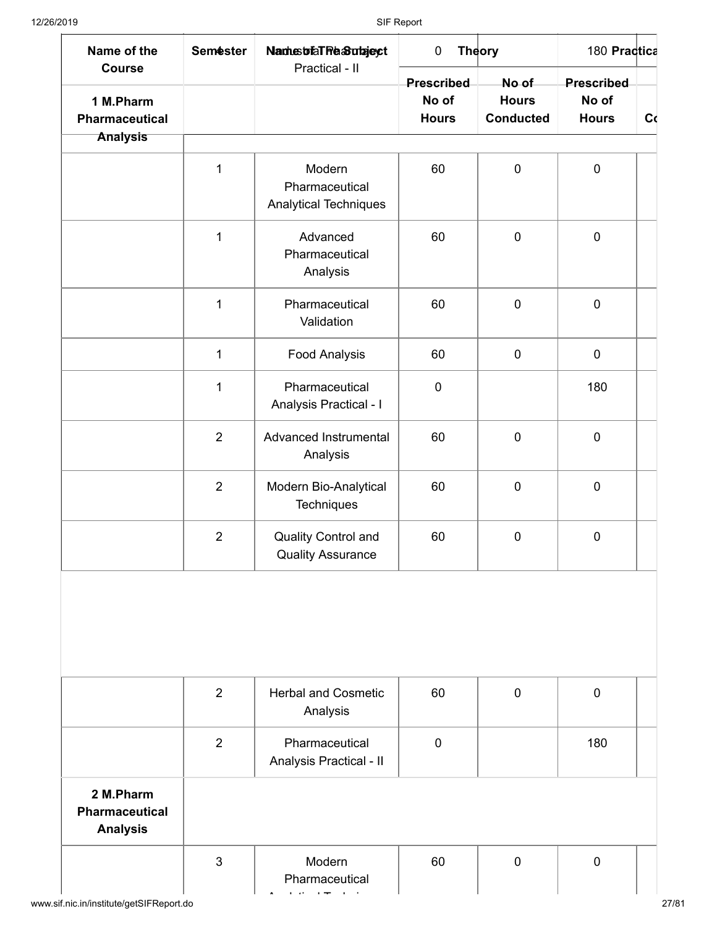| Name of the<br><b>Course</b>                          | <b>Semester</b> | Names of all Reason ages t<br>Practical - II             | $\pmb{0}$             | <b>Theory</b>                    | 180 Practica          |    |
|-------------------------------------------------------|-----------------|----------------------------------------------------------|-----------------------|----------------------------------|-----------------------|----|
|                                                       |                 |                                                          | <b>Prescribed</b>     | No of                            | Prescribed            |    |
| 1 M.Pharm<br><b>Pharmaceutical</b><br><b>Analysis</b> |                 |                                                          | No of<br><b>Hours</b> | <b>Hours</b><br><b>Conducted</b> | No of<br><b>Hours</b> | C( |
|                                                       |                 |                                                          |                       |                                  |                       |    |
|                                                       | 1               | Modern<br>Pharmaceutical<br><b>Analytical Techniques</b> | 60                    | $\pmb{0}$                        | $\pmb{0}$             |    |
|                                                       | $\mathbf{1}$    | Advanced<br>Pharmaceutical<br>Analysis                   | 60                    | $\pmb{0}$                        | $\pmb{0}$             |    |
|                                                       | $\mathbf{1}$    | Pharmaceutical<br>Validation                             | 60                    | $\mathbf 0$                      | $\pmb{0}$             |    |
|                                                       | $\mathbf 1$     | <b>Food Analysis</b>                                     | 60                    | $\pmb{0}$                        | $\pmb{0}$             |    |
|                                                       | 1               | Pharmaceutical<br>Analysis Practical - I                 | $\pmb{0}$             |                                  | 180                   |    |
|                                                       | $\overline{2}$  | Advanced Instrumental<br>Analysis                        | 60                    | $\mathbf 0$                      | $\mathbf 0$           |    |
|                                                       | $\overline{2}$  | Modern Bio-Analytical<br>Techniques                      | 60                    | $\mathbf 0$                      | $\pmb{0}$             |    |
|                                                       | $\overline{2}$  | <b>Quality Control and</b><br><b>Quality Assurance</b>   | 60                    | $\pmb{0}$                        | $\boldsymbol{0}$      |    |
|                                                       | $\overline{2}$  | <b>Herbal and Cosmetic</b><br>Analysis                   | 60                    | $\mathbf 0$                      | $\pmb{0}$             |    |
|                                                       | $\overline{2}$  | Pharmaceutical<br>Analysis Practical - II                | $\mathbf 0$           |                                  | 180                   |    |
| 2 M.Pharm<br><b>Pharmaceutical</b>                    |                 |                                                          |                       |                                  |                       |    |
| <b>Analysis</b>                                       |                 |                                                          |                       |                                  |                       |    |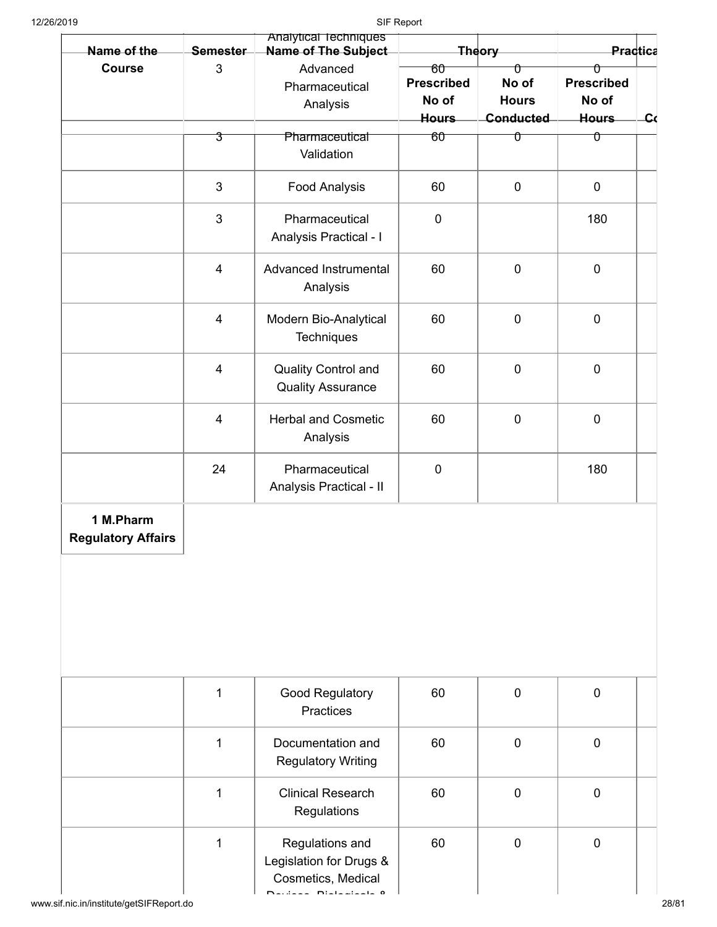| Name of the                            | <b>Semester</b> | Analytical Techniques<br>Name of The Subject                     |                                                  | <b>Theory</b>                           |                                                 | <b>Practica</b> |
|----------------------------------------|-----------------|------------------------------------------------------------------|--------------------------------------------------|-----------------------------------------|-------------------------------------------------|-----------------|
| <b>Course</b>                          | 3               | Advanced<br>Pharmaceutical<br>Analysis                           | 60<br><b>Prescribed</b><br>No of<br><b>Hours</b> | Û<br>No of<br><b>Hours</b><br>Conducted | Û<br><b>Prescribed</b><br>No of<br><b>Hours</b> | $c_{\rm G}$     |
|                                        | 3               | Pharmaceutical<br>Validation                                     | 60                                               | ᠐                                       | Û                                               |                 |
|                                        | 3               | <b>Food Analysis</b>                                             | 60                                               | $\mathbf 0$                             | $\mathbf 0$                                     |                 |
|                                        | 3               | Pharmaceutical<br>Analysis Practical - I                         | $\pmb{0}$                                        |                                         | 180                                             |                 |
|                                        | $\overline{4}$  | Advanced Instrumental<br>Analysis                                | 60                                               | $\mathbf 0$                             | $\mathbf 0$                                     |                 |
|                                        | $\overline{4}$  | Modern Bio-Analytical<br>Techniques                              | 60                                               | $\mathbf 0$                             | $\mathbf 0$                                     |                 |
|                                        | $\overline{4}$  | <b>Quality Control and</b><br><b>Quality Assurance</b>           | 60                                               | $\mathbf 0$                             | $\mathbf 0$                                     |                 |
|                                        | $\overline{4}$  | <b>Herbal and Cosmetic</b><br>Analysis                           | 60                                               | $\mathbf 0$                             | $\mathbf 0$                                     |                 |
|                                        | 24              | Pharmaceutical<br>Analysis Practical - II                        | $\mathbf 0$                                      |                                         | 180                                             |                 |
| 1 M.Pharm<br><b>Regulatory Affairs</b> |                 |                                                                  |                                                  |                                         |                                                 |                 |
|                                        | 1               | Good Regulatory<br>Practices                                     | 60                                               | $\mathbf 0$                             | $\mathbf 0$                                     |                 |
|                                        | 1               | Documentation and<br><b>Regulatory Writing</b>                   | 60                                               | $\mathbf 0$                             | $\mathbf 0$                                     |                 |
|                                        | $\mathbf{1}$    | <b>Clinical Research</b><br>Regulations                          | 60                                               | $\mathbf 0$                             | $\mathbf 0$                                     |                 |
|                                        | $\mathbf{1}$    | Regulations and<br>Legislation for Drugs &<br>Cosmetics, Medical | 60                                               | $\mathbf 0$                             | $\mathbf 0$                                     |                 |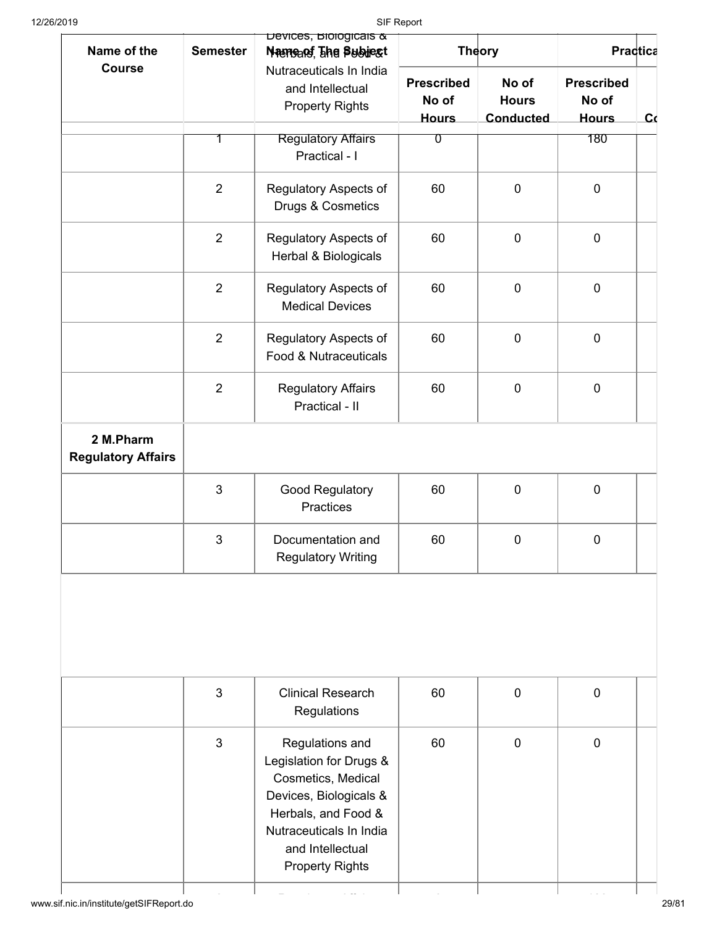| Name of the                            | <b>Semester</b> | Devices, <b>Blooglears</b> &<br>Nameans, The Subject                                                                                                                                       |                                            | <b>Theory</b>                             | Practica                                   |              |  |
|----------------------------------------|-----------------|--------------------------------------------------------------------------------------------------------------------------------------------------------------------------------------------|--------------------------------------------|-------------------------------------------|--------------------------------------------|--------------|--|
| <b>Course</b>                          |                 | Nutraceuticals In India<br>and Intellectual<br><b>Property Rights</b>                                                                                                                      | <b>Prescribed</b><br>No of<br><b>Hours</b> | No of<br><b>Hours</b><br><b>Conducted</b> | <b>Prescribed</b><br>No of<br><b>Hours</b> | $\mathbf{C}$ |  |
|                                        |                 | <b>Regulatory Affairs</b><br>Practical - I                                                                                                                                                 | $\overline{0}$                             |                                           | 180                                        |              |  |
|                                        | $\overline{2}$  | Regulatory Aspects of<br>Drugs & Cosmetics                                                                                                                                                 | 60                                         | $\mathbf 0$                               | $\mathbf 0$                                |              |  |
|                                        | $\overline{2}$  | Regulatory Aspects of<br>Herbal & Biologicals                                                                                                                                              | 60                                         | $\mathbf 0$                               | $\pmb{0}$                                  |              |  |
|                                        | $\overline{2}$  | Regulatory Aspects of<br><b>Medical Devices</b>                                                                                                                                            | 60                                         | $\mathbf 0$                               | $\pmb{0}$                                  |              |  |
|                                        | $\overline{2}$  | Regulatory Aspects of<br>Food & Nutraceuticals                                                                                                                                             | 60                                         | $\mathbf 0$                               | $\pmb{0}$                                  |              |  |
|                                        | $\overline{2}$  | <b>Regulatory Affairs</b><br>Practical - II                                                                                                                                                | 60                                         | $\pmb{0}$                                 | $\mathbf 0$                                |              |  |
| 2 M.Pharm<br><b>Regulatory Affairs</b> |                 |                                                                                                                                                                                            |                                            |                                           |                                            |              |  |
|                                        | 3               | Good Regulatory<br>Practices                                                                                                                                                               | 60                                         | $\pmb{0}$                                 | $\pmb{0}$                                  |              |  |
|                                        | 3               | Documentation and<br><b>Regulatory Writing</b>                                                                                                                                             | 60                                         | $\mathbf 0$                               | $\mathbf 0$                                |              |  |
|                                        | 3               | <b>Clinical Research</b>                                                                                                                                                                   | 60                                         | $\mathbf 0$                               | $\mathbf 0$                                |              |  |
|                                        |                 | Regulations                                                                                                                                                                                |                                            |                                           |                                            |              |  |
|                                        | 3               | Regulations and<br>Legislation for Drugs &<br>Cosmetics, Medical<br>Devices, Biologicals &<br>Herbals, and Food &<br>Nutraceuticals In India<br>and Intellectual<br><b>Property Rights</b> | 60                                         | $\overline{0}$                            | $\mathbf 0$                                |              |  |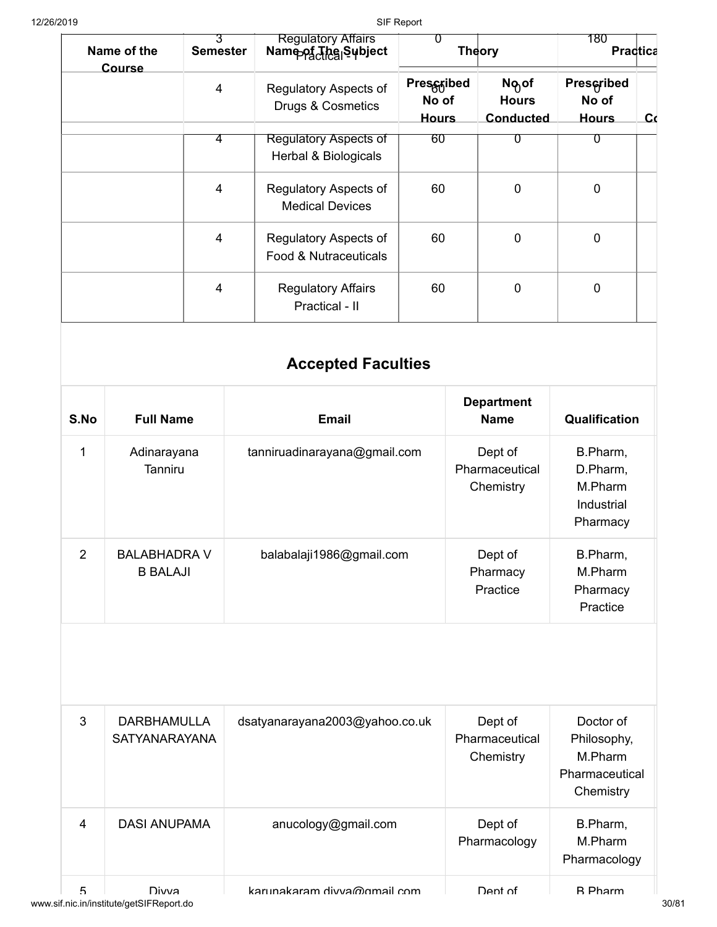|           | Name of the      | 3<br><b>Semester</b> | <b>Regulatory Attairs</b><br>Name of The Subject     | $\Omega$                            | <b>Theory</b>                                         | 180                                        | Practica     |
|-----------|------------------|----------------------|------------------------------------------------------|-------------------------------------|-------------------------------------------------------|--------------------------------------------|--------------|
|           | Course           | $\overline{4}$       | Regulatory Aspects of<br>Drugs & Cosmetics           | Prescribed<br>No of<br><b>Hours</b> | N <sub>o</sub> of<br><b>Hours</b><br><b>Conducted</b> | <b>Prescribed</b><br>No of<br><b>Hours</b> | $\mathbf{C}$ |
|           |                  | 4                    | <b>Regulatory Aspects of</b><br>Herbal & Biologicals | 60                                  | U                                                     | σ                                          |              |
|           |                  | $\overline{4}$       | Regulatory Aspects of<br><b>Medical Devices</b>      | 60                                  | $\mathbf 0$                                           | $\mathbf 0$                                |              |
|           |                  | $\overline{4}$       | Regulatory Aspects of<br>Food & Nutraceuticals       | 60                                  | $\mathbf 0$                                           | $\mathbf 0$                                |              |
|           |                  | $\overline{4}$       | <b>Regulatory Affairs</b><br>Practical - II          | 60                                  | $\overline{0}$                                        | $\mathbf 0$                                |              |
|           |                  |                      | <b>Accepted Faculties</b>                            |                                     |                                                       |                                            |              |
| $S$ . No. | <b>Full Name</b> |                      | <b>Email</b>                                         |                                     | <b>Department</b><br><b>Name</b>                      | Qualification                              |              |

| S.No           | <b>Full Name</b>                           | <b>Email</b>                   | <b>Name</b>                            | Qualification                                             |
|----------------|--------------------------------------------|--------------------------------|----------------------------------------|-----------------------------------------------------------|
| 1              | Adinarayana<br><b>Tanniru</b>              | tanniruadinarayana@gmail.com   | Dept of<br>Pharmaceutical<br>Chemistry | B.Pharm,<br>D.Pharm,<br>M.Pharm<br>Industrial<br>Pharmacy |
| $\overline{2}$ | <b>BALABHADRA V</b><br><b>B BALAJI</b>     | balabalaji1986@gmail.com       | Dept of<br>Pharmacy<br>Practice        | B.Pharm,<br>M.Pharm<br>Pharmacy<br>Practice               |
|                |                                            |                                |                                        |                                                           |
|                |                                            |                                |                                        |                                                           |
| 3              | <b>DARBHAMULLA</b><br><b>SATYANARAYANA</b> | dsatyanarayana2003@yahoo.co.uk | Dept of<br>Pharmaceutical<br>Chemistry | Doctor of<br>Philosophy,<br>M.Pharm<br>Chemistry          |
| $\overline{4}$ | <b>DASI ANUPAMA</b>                        | anucology@gmail.com            | Dept of<br>Pharmacology                | Pharmaceutical<br>B.Pharm,<br>M.Pharm<br>Pharmacology     |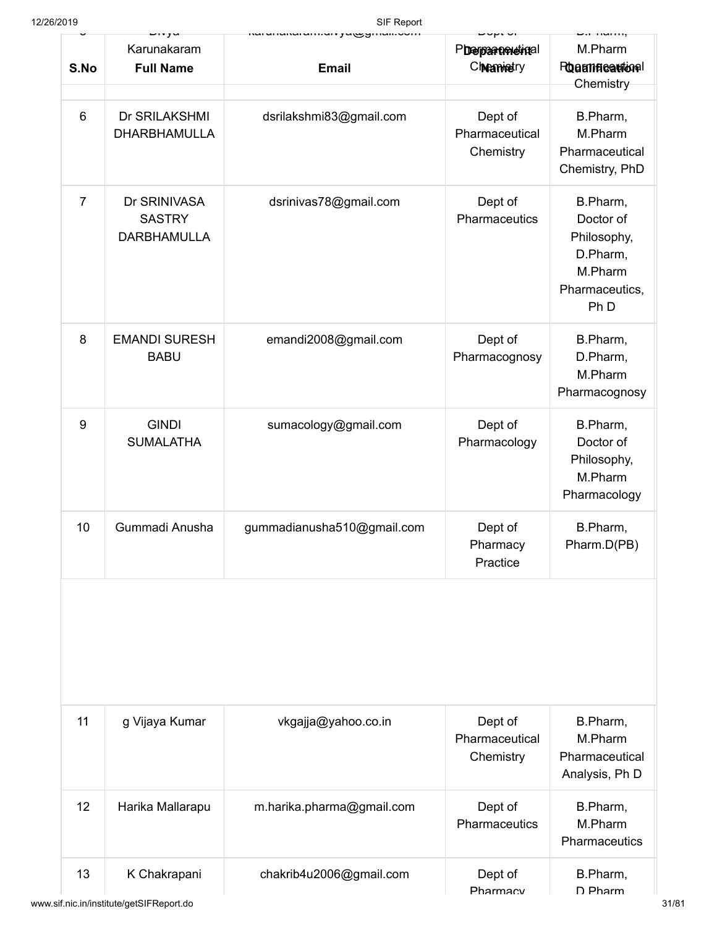| 12/26/2019     |                                                     | SIF Report                 |                                        |                                                                                                  |  |  |
|----------------|-----------------------------------------------------|----------------------------|----------------------------------------|--------------------------------------------------------------------------------------------------|--|--|
| S.No           | Karunakaram<br><b>Full Name</b>                     | <b>Email</b>               | Pherpartmetinal<br>Chramistry          | M.Pharm<br><b>Proammeautional</b><br>Chemistry                                                   |  |  |
| 6              | Dr SRILAKSHMI<br><b>DHARBHAMULLA</b>                | dsrilakshmi83@gmail.com    | Dept of<br>Pharmaceutical<br>Chemistry | B.Pharm,<br>M.Pharm<br>Pharmaceutical<br>Chemistry, PhD                                          |  |  |
| $\overline{7}$ | Dr SRINIVASA<br><b>SASTRY</b><br><b>DARBHAMULLA</b> | dsrinivas78@gmail.com      | Dept of<br>Pharmaceutics               | B.Pharm,<br>Doctor of<br>Philosophy,<br>D.Pharm,<br>M.Pharm<br>Pharmaceutics,<br>Ph <sub>D</sub> |  |  |
| 8              | <b>EMANDI SURESH</b><br><b>BABU</b>                 | emandi2008@gmail.com       | Dept of<br>Pharmacognosy               | B.Pharm,<br>D.Pharm,<br>M.Pharm<br>Pharmacognosy                                                 |  |  |
| 9              | <b>GINDI</b><br><b>SUMALATHA</b>                    | sumacology@gmail.com       | Dept of<br>Pharmacology                | B.Pharm,<br>Doctor of<br>Philosophy,<br>M.Pharm<br>Pharmacology                                  |  |  |
| 10             | Gummadi Anusha                                      | gummadianusha510@gmail.com | Dept of<br>Pharmacy<br>Practice        | B.Pharm,<br>Pharm.D(PB)                                                                          |  |  |
|                |                                                     |                            |                                        |                                                                                                  |  |  |
| 11             | g Vijaya Kumar                                      | vkgajja@yahoo.co.in        | Dept of<br>Pharmaceutical<br>Chemistry | B.Pharm,<br>M.Pharm<br>Pharmaceutical<br>Analysis, Ph D                                          |  |  |
| 12             | Harika Mallarapu                                    | m.harika.pharma@gmail.com  | Dept of<br>Pharmaceutics               | B.Pharm,<br>M.Pharm<br>Pharmaceutics                                                             |  |  |
| 13             | K Chakrapani                                        | chakrib4u2006@gmail.com    | Dept of<br>Pharmacv                    | B.Pharm,<br>D Pharm                                                                              |  |  |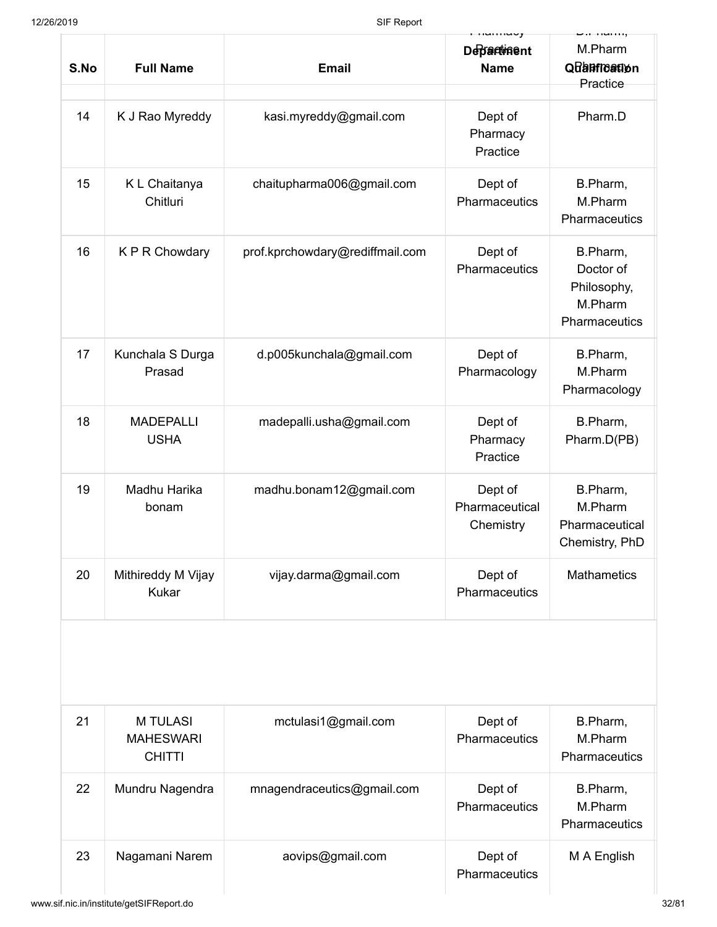|      |                                                      |                                 | umuy                                   | . ,                                                              |
|------|------------------------------------------------------|---------------------------------|----------------------------------------|------------------------------------------------------------------|
| S.No | <b>Full Name</b>                                     | <b>Email</b>                    | <b>Departiment</b><br><b>Name</b>      | M.Pharm<br>Quantication<br>Practice                              |
| 14   | K J Rao Myreddy                                      | kasi.myreddy@gmail.com          | Dept of<br>Pharmacy<br>Practice        | Pharm.D                                                          |
| 15   | K L Chaitanya<br>Chitluri                            | chaitupharma006@gmail.com       | Dept of<br>Pharmaceutics               | B.Pharm,<br>M.Pharm<br>Pharmaceutics                             |
| 16   | K P R Chowdary                                       | prof.kprchowdary@rediffmail.com | Dept of<br>Pharmaceutics               | B.Pharm,<br>Doctor of<br>Philosophy,<br>M.Pharm<br>Pharmaceutics |
| 17   | Kunchala S Durga<br>Prasad                           | d.p005kunchala@gmail.com        | Dept of<br>Pharmacology                | B.Pharm,<br>M.Pharm<br>Pharmacology                              |
| 18   | <b>MADEPALLI</b><br><b>USHA</b>                      | madepalli.usha@gmail.com        | Dept of<br>Pharmacy<br>Practice        | B.Pharm,<br>Pharm.D(PB)                                          |
| 19   | Madhu Harika<br>bonam                                | madhu.bonam12@gmail.com         | Dept of<br>Pharmaceutical<br>Chemistry | B.Pharm,<br>M.Pharm<br>Pharmaceutical<br>Chemistry, PhD          |
| 20   | Mithireddy M Vijay<br><b>Kukar</b>                   | vijay.darma@gmail.com           | Dept of<br>Pharmaceutics               | <b>Mathametics</b>                                               |
|      |                                                      |                                 |                                        |                                                                  |
| 21   | <b>M TULASI</b><br><b>MAHESWARI</b><br><b>CHITTI</b> | mctulasi1@gmail.com             | Dept of<br>Pharmaceutics               | B.Pharm,<br>M.Pharm<br>Pharmaceutics                             |
| 22   | Mundru Nagendra                                      | mnagendraceutics@gmail.com      | Dept of<br>Pharmaceutics               | B.Pharm,<br>M.Pharm<br>Pharmaceutics                             |
| 23   | Nagamani Narem                                       | aovips@gmail.com                | Dept of<br>Pharmaceutics               | M A English                                                      |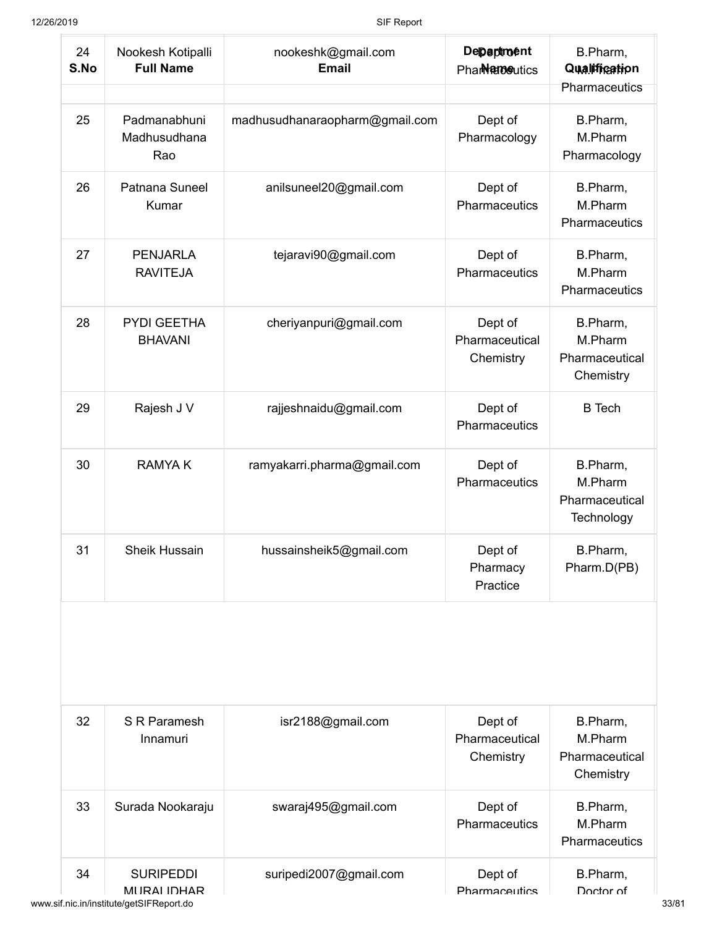| 24<br>S.No | Nookesh Kotipalli<br><b>Full Name</b> | nookeshk@gmail.com<br><b>Email</b> | Department<br>Phar <b>Name</b> utics   | B.Pharm,<br>Qualification                           |  |
|------------|---------------------------------------|------------------------------------|----------------------------------------|-----------------------------------------------------|--|
|            |                                       |                                    |                                        | Pharmaceutics                                       |  |
| 25         | Padmanabhuni<br>Madhusudhana<br>Rao   | madhusudhanaraopharm@gmail.com     | Dept of<br>Pharmacology                | B.Pharm,<br>M.Pharm<br>Pharmacology                 |  |
| 26         | Patnana Suneel<br>Kumar               | anilsuneel20@gmail.com             | Dept of<br>Pharmaceutics               | B.Pharm,<br>M.Pharm<br>Pharmaceutics                |  |
| 27         | <b>PENJARLA</b><br><b>RAVITEJA</b>    | tejaravi90@gmail.com               | Dept of<br>Pharmaceutics               | B.Pharm,<br>M.Pharm<br>Pharmaceutics                |  |
| 28         | <b>PYDI GEETHA</b><br><b>BHAVANI</b>  | cheriyanpuri@gmail.com             | Dept of<br>Pharmaceutical<br>Chemistry | B.Pharm,<br>M.Pharm<br>Pharmaceutical<br>Chemistry  |  |
| 29         | Rajesh J V                            | rajjeshnaidu@gmail.com             | Dept of<br>Pharmaceutics               | <b>B</b> Tech                                       |  |
| 30         | <b>RAMYAK</b>                         | ramyakarri.pharma@gmail.com        | Dept of<br>Pharmaceutics               | B.Pharm,<br>M.Pharm<br>Pharmaceutical<br>Technology |  |
| 31         | <b>Sheik Hussain</b>                  | hussainsheik5@gmail.com            | Dept of<br>Pharmacy<br>Practice        | B.Pharm,<br>Pharm.D(PB)                             |  |
| 32         | S R Paramesh<br>Innamuri              | isr2188@gmail.com                  | Dept of<br>Pharmaceutical<br>Chemistry | B.Pharm,<br>M.Pharm<br>Pharmaceutical               |  |
| 33         | Surada Nookaraju                      | swaraj495@gmail.com                | Dept of<br>Pharmaceutics               | Chemistry<br>B.Pharm,<br>M.Pharm<br>Pharmaceutics   |  |
|            |                                       |                                    | Dept of                                |                                                     |  |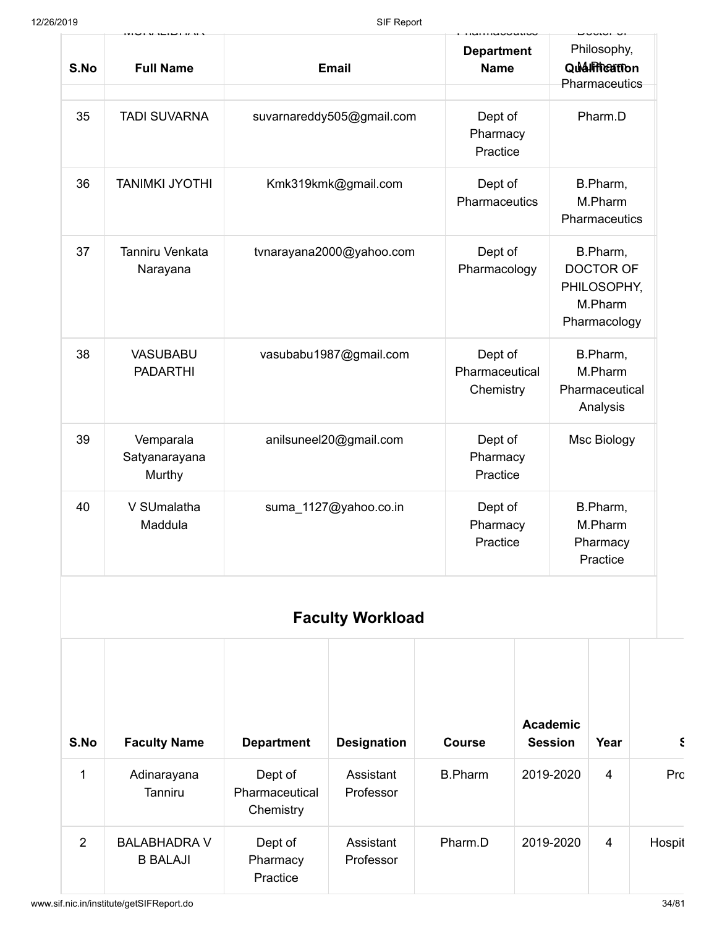| 12/26/2019  |                                                                          |                                                                  | SIF Report                                                   |                                      |                                                                        |                                               |        |
|-------------|--------------------------------------------------------------------------|------------------------------------------------------------------|--------------------------------------------------------------|--------------------------------------|------------------------------------------------------------------------|-----------------------------------------------|--------|
| S.No        | <b>Full Name</b>                                                         |                                                                  | <b>Email</b>                                                 | <b>Department</b><br><b>Name</b>     |                                                                        | Philosophy,<br>Qualification<br>Pharmaceutics |        |
| 35          | <b>TADI SUVARNA</b>                                                      |                                                                  | suvarnareddy505@gmail.com<br>Dept of<br>Pharmacy<br>Practice |                                      |                                                                        |                                               |        |
| 36          | <b>TANIMKI JYOTHI</b><br>Kmk319kmk@gmail.com<br>Dept of<br>Pharmaceutics |                                                                  |                                                              | B.Pharm,<br>M.Pharm<br>Pharmaceutics |                                                                        |                                               |        |
| 37          | Tanniru Venkata<br>Narayana                                              | tvnarayana2000@yahoo.com                                         | Dept of<br>Pharmacology                                      |                                      | B.Pharm,<br><b>DOCTOR OF</b><br>PHILOSOPHY,<br>M.Pharm<br>Pharmacology |                                               |        |
| 38          | <b>VASUBABU</b><br><b>PADARTHI</b>                                       | vasubabu1987@gmail.com<br>Dept of<br>Pharmaceutical<br>Chemistry |                                                              |                                      | B.Pharm,<br>M.Pharm<br>Pharmaceutical<br>Analysis                      |                                               |        |
| 39          | Vemparala<br>Satyanarayana<br>Murthy                                     |                                                                  | anilsuneel20@gmail.com                                       | Dept of<br>Pharmacy<br>Practice      |                                                                        | Msc Biology                                   |        |
| 40          | V SUmalatha<br>Maddula                                                   | suma 1127@yahoo.co.in<br>Dept of<br>Pharmacy<br>Practice         |                                                              |                                      | B.Pharm,<br>M.Pharm<br>Pharmacy<br>Practice                            |                                               |        |
|             |                                                                          |                                                                  | <b>Faculty Workload</b>                                      |                                      |                                                                        |                                               |        |
| S.No        | <b>Faculty Name</b>                                                      | <b>Department</b>                                                | <b>Designation</b>                                           | <b>Course</b>                        | <b>Academic</b><br><b>Session</b>                                      | Year                                          | S      |
| $\mathbf 1$ | Adinarayana<br><b>Tanniru</b>                                            | Dept of<br>Pharmaceutical<br>Chemistry                           | Assistant<br>Professor                                       | <b>B.Pharm</b>                       | 2019-2020                                                              | $\overline{4}$                                | Prc    |
| 2           | <b>BALABHADRA V</b><br><b>B BALAJI</b>                                   | Dept of<br>Pharmacy<br>Practice                                  | Assistant<br>Professor                                       | Pharm.D                              | 2019-2020                                                              | 4                                             | Hospit |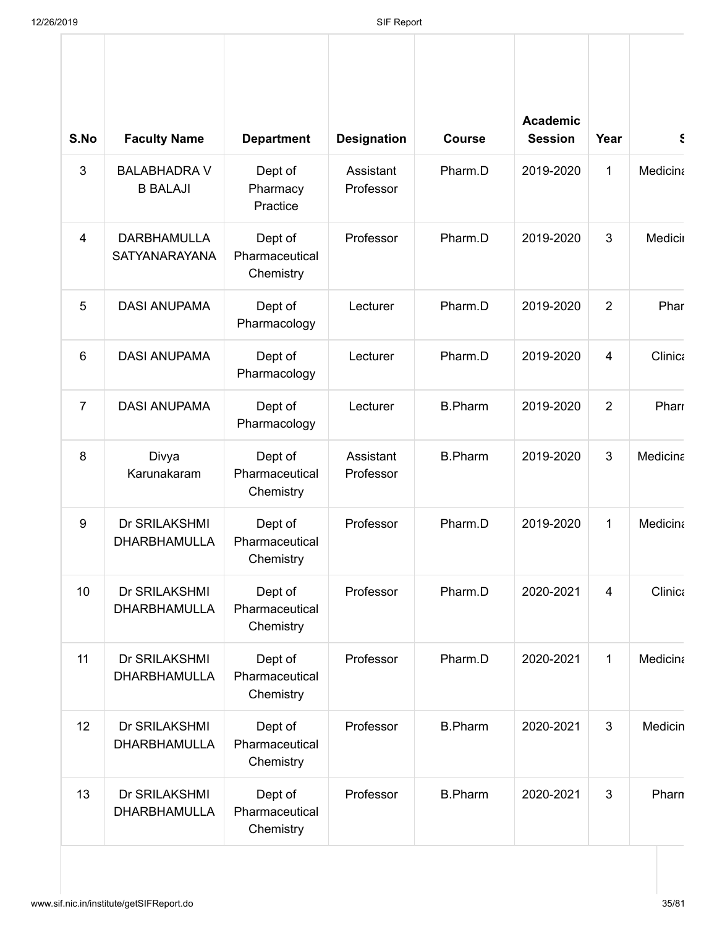| S.No           | <b>Faculty Name</b>                        | <b>Department</b>                      | <b>Designation</b>     | <b>Course</b>  | <b>Academic</b><br><b>Session</b> | Year           | $\epsilon$      |
|----------------|--------------------------------------------|----------------------------------------|------------------------|----------------|-----------------------------------|----------------|-----------------|
| 3              | <b>BALABHADRA V</b><br><b>B BALAJI</b>     | Dept of<br>Pharmacy<br>Practice        | Assistant<br>Professor | Pharm.D        | 2019-2020                         | 1              | <b>Medicina</b> |
| $\overline{4}$ | <b>DARBHAMULLA</b><br><b>SATYANARAYANA</b> | Dept of<br>Pharmaceutical<br>Chemistry | Professor              | Pharm.D        | 2019-2020                         | 3              | Medicin         |
| 5              | <b>DASI ANUPAMA</b>                        | Dept of<br>Pharmacology                | Lecturer               | Pharm.D        | 2019-2020                         | 2              | Phar            |
| 6              | <b>DASI ANUPAMA</b>                        | Dept of<br>Pharmacology                | Lecturer               | Pharm.D        | 2019-2020                         | $\overline{4}$ | Clinica         |
| $\overline{7}$ | <b>DASI ANUPAMA</b>                        | Dept of<br>Pharmacology                | Lecturer               | <b>B.Pharm</b> | 2019-2020                         | $\overline{2}$ | Pharr           |
| 8              | Divya<br>Karunakaram                       | Dept of<br>Pharmaceutical<br>Chemistry | Assistant<br>Professor | <b>B.Pharm</b> | 2019-2020                         | 3              | Medicina        |
| 9              | Dr SRILAKSHMI<br><b>DHARBHAMULLA</b>       | Dept of<br>Pharmaceutical<br>Chemistry | Professor              | Pharm.D        | 2019-2020                         | $\mathbf{1}$   | Medicina        |
| 10             | Dr SRILAKSHMI<br><b>DHARBHAMULLA</b>       | Dept of<br>Pharmaceutical<br>Chemistry | Professor              | Pharm.D        | 2020-2021                         | 4              | Clinica         |
| 11             | Dr SRILAKSHMI<br><b>DHARBHAMULLA</b>       | Dept of<br>Pharmaceutical<br>Chemistry | Professor              | Pharm.D        | 2020-2021                         | $\mathbf{1}$   | Medicina        |
| 12             | Dr SRILAKSHMI<br><b>DHARBHAMULLA</b>       | Dept of<br>Pharmaceutical<br>Chemistry | Professor              | <b>B.Pharm</b> | 2020-2021                         | 3              | Medicin         |
| 13             | Dr SRILAKSHMI<br><b>DHARBHAMULLA</b>       | Dept of<br>Pharmaceutical<br>Chemistry | Professor              | <b>B.Pharm</b> | 2020-2021                         | 3              | Pharn           |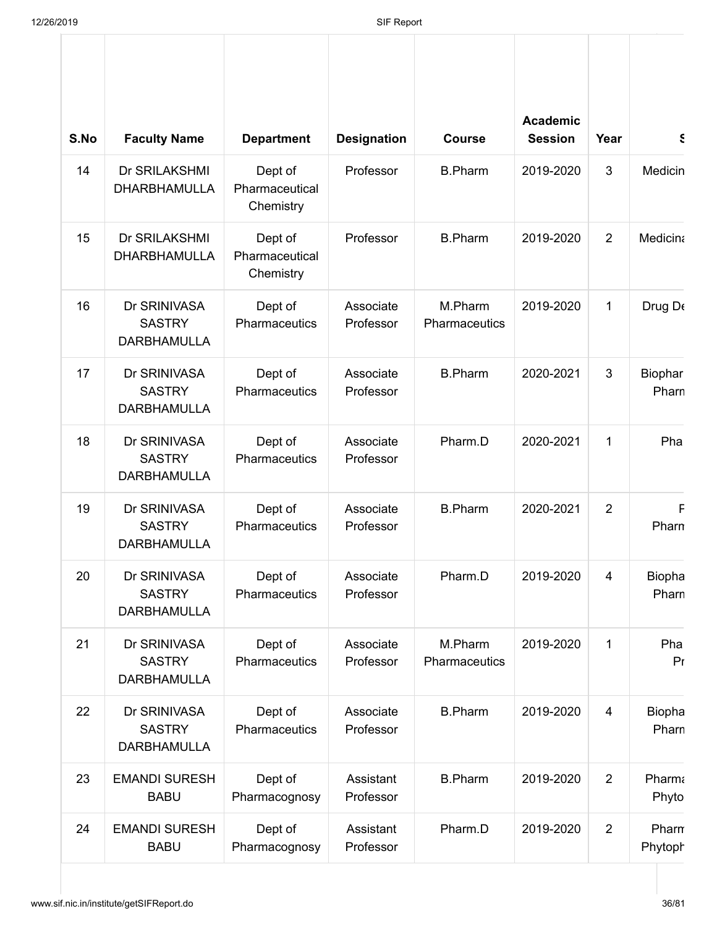| S.No | <b>Faculty Name</b>                                 | <b>Department</b>                      | <b>Designation</b>     | <b>Course</b>            | <b>Academic</b><br><b>Session</b> | Year           | $\epsilon$             |
|------|-----------------------------------------------------|----------------------------------------|------------------------|--------------------------|-----------------------------------|----------------|------------------------|
| 14   | Dr SRILAKSHMI<br><b>DHARBHAMULLA</b>                | Dept of<br>Pharmaceutical<br>Chemistry | Professor              | <b>B.Pharm</b>           | 2019-2020                         | 3              | <b>Medicin</b>         |
| 15   | Dr SRILAKSHMI<br><b>DHARBHAMULLA</b>                | Dept of<br>Pharmaceutical<br>Chemistry | Professor              | <b>B.Pharm</b>           | 2019-2020                         | 2              | <b>Medicina</b>        |
| 16   | Dr SRINIVASA<br><b>SASTRY</b><br><b>DARBHAMULLA</b> | Dept of<br>Pharmaceutics               | Associate<br>Professor | M.Pharm<br>Pharmaceutics | 2019-2020                         | 1              | Drug De                |
| 17   | Dr SRINIVASA<br><b>SASTRY</b><br><b>DARBHAMULLA</b> | Dept of<br>Pharmaceutics               | Associate<br>Professor | <b>B.Pharm</b>           | 2020-2021                         | 3              | Biophar<br>Pharn       |
| 18   | Dr SRINIVASA<br><b>SASTRY</b><br><b>DARBHAMULLA</b> | Dept of<br>Pharmaceutics               | Associate<br>Professor | Pharm.D                  | 2020-2021                         | 1              | Pha                    |
| 19   | Dr SRINIVASA<br><b>SASTRY</b><br><b>DARBHAMULLA</b> | Dept of<br>Pharmaceutics               | Associate<br>Professor | <b>B.Pharm</b>           | 2020-2021                         | $\overline{2}$ | F<br>Pharn             |
| 20   | Dr SRINIVASA<br><b>SASTRY</b><br><b>DARBHAMULLA</b> | Dept of<br>Pharmaceutics               | Associate<br>Professor | Pharm.D                  | 2019-2020                         | $\overline{4}$ | <b>Biopha</b><br>Pharn |
| 21   | Dr SRINIVASA<br><b>SASTRY</b><br><b>DARBHAMULLA</b> | Dept of<br>Pharmaceutics               | Associate<br>Professor | M.Pharm<br>Pharmaceutics | 2019-2020                         | $\mathbf{1}$   | Pha<br>Pr              |
| 22   | Dr SRINIVASA<br><b>SASTRY</b><br><b>DARBHAMULLA</b> | Dept of<br>Pharmaceutics               | Associate<br>Professor | <b>B.Pharm</b>           | 2019-2020                         | $\overline{4}$ | <b>Biopha</b><br>Pharn |
| 23   | <b>EMANDI SURESH</b><br><b>BABU</b>                 | Dept of<br>Pharmacognosy               | Assistant<br>Professor | <b>B.Pharm</b>           | 2019-2020                         | $\overline{2}$ | Pharm<br>Phyto         |
| 24   | <b>EMANDI SURESH</b><br><b>BABU</b>                 | Dept of<br>Pharmacognosy               | Assistant<br>Professor | Pharm.D                  | 2019-2020                         | $\overline{2}$ | Pharn<br>Phytoph       |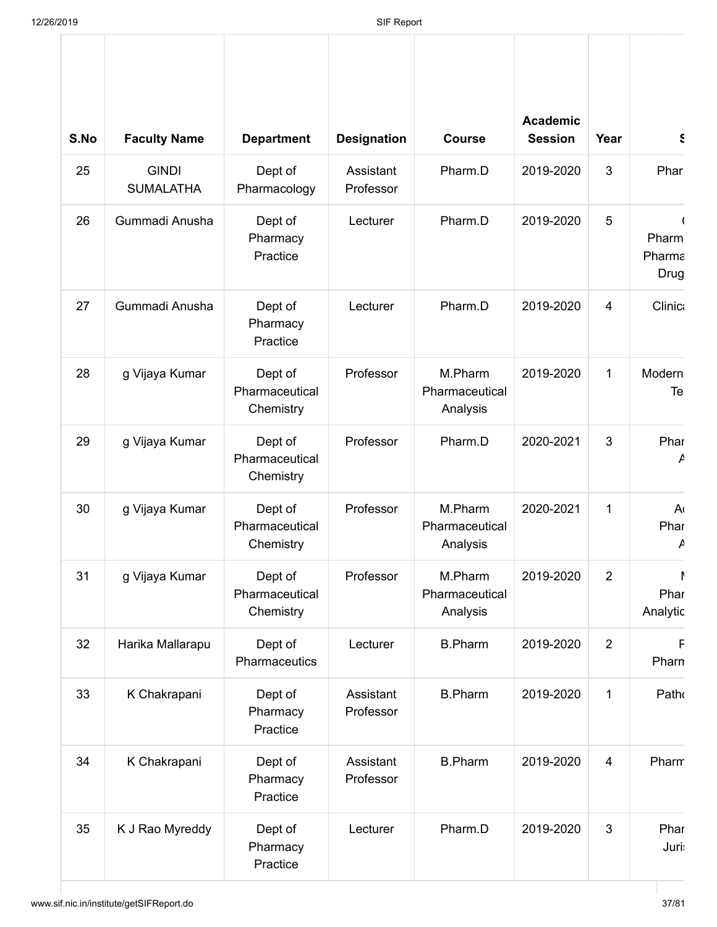| S.No | <b>Faculty Name</b>              | <b>Department</b>                      | <b>Designation</b>     | <b>Course</b>                         | <b>Academic</b><br><b>Session</b> | Year           | $\epsilon$              |
|------|----------------------------------|----------------------------------------|------------------------|---------------------------------------|-----------------------------------|----------------|-------------------------|
| 25   | <b>GINDI</b><br><b>SUMALATHA</b> | Dept of<br>Pharmacology                | Assistant<br>Professor | Pharm.D                               | 2019-2020                         | 3              | Phar                    |
| 26   | Gummadi Anusha                   | Dept of<br>Pharmacy<br>Practice        | Lecturer               | Pharm.D                               | 2019-2020                         | 5              | Pharm<br>Pharma<br>Drug |
| 27   | Gummadi Anusha                   | Dept of<br>Pharmacy<br>Practice        | Lecturer               | Pharm.D                               | 2019-2020                         | $\overline{4}$ | <b>Clinic:</b>          |
| 28   | g Vijaya Kumar                   | Dept of<br>Pharmaceutical<br>Chemistry | Professor              | M.Pharm<br>Pharmaceutical<br>Analysis | 2019-2020                         | 1              | Modern<br>Te            |
| 29   | g Vijaya Kumar                   | Dept of<br>Pharmaceutical<br>Chemistry | Professor              | Pharm.D                               | 2020-2021                         | 3              | Phar<br>A               |
| 30   | g Vijaya Kumar                   | Dept of<br>Pharmaceutical<br>Chemistry | Professor              | M.Pharm<br>Pharmaceutical<br>Analysis | 2020-2021                         | 1              | A٠<br>Phar<br>A         |
| 31   | g Vijaya Kumar                   | Dept of<br>Pharmaceutical<br>Chemistry | Professor              | M.Pharm<br>Pharmaceutical<br>Analysis | 2019-2020                         | $\overline{2}$ | Phar<br>Analytic        |
| 32   | Harika Mallarapu                 | Dept of<br>Pharmaceutics               | Lecturer               | <b>B.Pharm</b>                        | 2019-2020                         | $\overline{2}$ | F<br>Pharn              |
| 33   | K Chakrapani                     | Dept of<br>Pharmacy<br>Practice        | Assistant<br>Professor | <b>B.Pharm</b>                        | 2019-2020                         | $\mathbf{1}$   | Patho                   |
| 34   | K Chakrapani                     | Dept of<br>Pharmacy<br>Practice        | Assistant<br>Professor | <b>B.Pharm</b>                        | 2019-2020                         | $\overline{4}$ | Pharm                   |
| 35   | K J Rao Myreddy                  | Dept of<br>Pharmacy<br>Practice        | Lecturer               | Pharm.D                               | 2019-2020                         | 3              | Phar<br><b>Juri:</b>    |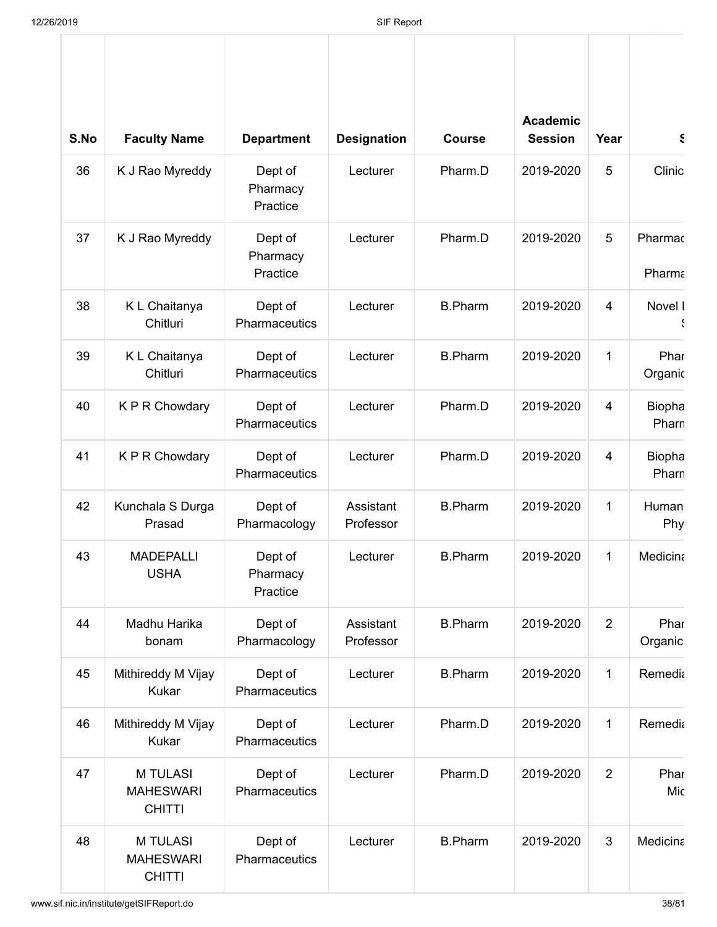| S.No | <b>Faculty Name</b>                                  | <b>Department</b>                           | <b>Designation</b>                      | <b>Course</b>  | <b>Academic</b><br><b>Session</b> | Year           | Ś.                     |
|------|------------------------------------------------------|---------------------------------------------|-----------------------------------------|----------------|-----------------------------------|----------------|------------------------|
| 36   | K J Rao Myreddy                                      | Dept of<br>Pharmacy<br>Practice             | Lecturer                                | Pharm.D        | 2019-2020                         | 5              | Clinic                 |
| 37   | K J Rao Myreddy                                      | Dept of<br>Lecturer<br>Pharmacy<br>Practice |                                         | Pharm.D        | 2019-2020                         | 5              | Pharmac<br>Pharma      |
| 38   | K L Chaitanya<br>Chitluri                            | Dept of<br>Pharmaceutics                    | <b>B.Pharm</b><br>2019-2020<br>Lecturer |                | $\overline{4}$                    | Novel I<br>Ň   |                        |
| 39   | K L Chaitanya<br>Chitluri                            | Dept of<br>Pharmaceutics                    | Lecturer                                | <b>B.Pharm</b> | 2019-2020                         | $\mathbf 1$    | Phar<br>Organic        |
| 40   | K P R Chowdary                                       | Dept of<br>Pharmaceutics                    | Lecturer                                | Pharm.D        | 2019-2020                         | 4              | <b>Biopha</b><br>Pharn |
| 41   | K P R Chowdary                                       | Dept of<br>Pharmaceutics                    | Lecturer                                | Pharm.D        | 2019-2020                         | $\overline{4}$ | Biopha<br>Pharn        |
| 42   | Kunchala S Durga<br>Prasad                           | Dept of<br>Pharmacology                     | Assistant<br>Professor                  | <b>B.Pharm</b> | 2019-2020                         | $\mathbf{1}$   | Human<br>Phy           |
| 43   | <b>MADEPALLI</b><br><b>USHA</b>                      | Dept of<br>Pharmacy<br>Practice             | Lecturer                                | <b>B.Pharm</b> | 2019-2020                         | 1              | Medicina               |
| 44   | Madhu Harika<br>bonam                                | Dept of<br>Pharmacology                     | Assistant<br>Professor                  | <b>B.Pharm</b> | 2019-2020                         | $\overline{2}$ | Phar<br>Organic        |
| 45   | Mithireddy M Vijay<br>Kukar                          | Dept of<br>Pharmaceutics                    | Lecturer                                | <b>B.Pharm</b> | 2019-2020                         | $\mathbf{1}$   | Remedia                |
| 46   | Mithireddy M Vijay<br>Kukar                          | Dept of<br>Pharmaceutics                    | Lecturer                                | Pharm.D        | 2019-2020                         | $\mathbf 1$    | Remedia                |
| 47   | <b>M TULASI</b><br><b>MAHESWARI</b><br><b>CHITTI</b> | Dept of<br>Pharmaceutics                    | Lecturer                                | Pharm.D        | 2019-2020                         | $\overline{2}$ | Phar<br>Mic            |
| 48   | <b>M TULASI</b><br><b>MAHESWARI</b><br><b>CHITTI</b> | Dept of<br>Pharmaceutics                    | Lecturer                                | <b>B.Pharm</b> | 2019-2020                         | 3              | Medicina               |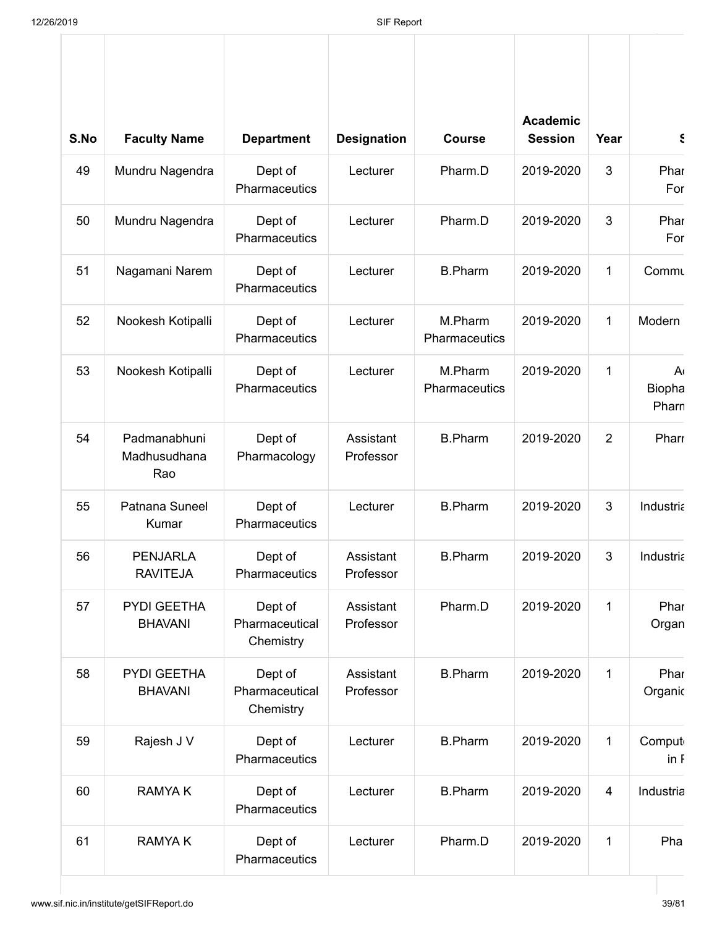| S.No | <b>Faculty Name</b>                 | <b>Department</b>                      | <b>Designation</b>     | <b>Course</b>            | <b>Academic</b><br><b>Session</b> | Year           | $\boldsymbol{\xi}$        |
|------|-------------------------------------|----------------------------------------|------------------------|--------------------------|-----------------------------------|----------------|---------------------------|
| 49   | Mundru Nagendra                     | Dept of<br>Pharmaceutics               | Lecturer               | Pharm.D                  | 2019-2020                         | 3              | Phar<br>For               |
| 50   | Mundru Nagendra                     | Dept of<br>Pharmaceutics               | Lecturer               | Pharm.D                  | 2019-2020                         | 3              | Phar<br>For               |
| 51   | Nagamani Narem                      | Dept of<br>Pharmaceutics               | Lecturer               | <b>B.Pharm</b>           | 2019-2020                         | $\mathbf 1$    | Commu                     |
| 52   | Nookesh Kotipalli                   | Dept of<br>Pharmaceutics               | Lecturer               | M.Pharm<br>Pharmaceutics | 2019-2020                         | 1              | Modern                    |
| 53   | Nookesh Kotipalli                   | Dept of<br>Pharmaceutics               | Lecturer               | M.Pharm<br>Pharmaceutics | 2019-2020                         | $\mathbf 1$    | A١<br>Biopha<br>Pharn     |
| 54   | Padmanabhuni<br>Madhusudhana<br>Rao | Dept of<br>Pharmacology                | Assistant<br>Professor | <b>B.Pharm</b>           | 2019-2020                         | $\overline{2}$ | Pharr                     |
| 55   | Patnana Suneel<br>Kumar             | Dept of<br>Pharmaceutics               | Lecturer               | <b>B.Pharm</b>           | 2019-2020                         | 3              | Industria                 |
| 56   | <b>PENJARLA</b><br><b>RAVITEJA</b>  | Dept of<br>Pharmaceutics               | Assistant<br>Professor | <b>B.Pharm</b>           | 2019-2020                         | 3              | Industria                 |
| 57   | PYDI GEETHA<br><b>BHAVANI</b>       | Dept of<br>Pharmaceutical<br>Chemistry | Assistant<br>Professor | Pharm.D                  | 2019-2020                         | $\mathbf 1$    | Phar<br>Organ             |
| 58   | PYDI GEETHA<br><b>BHAVANI</b>       | Dept of<br>Pharmaceutical<br>Chemistry | Assistant<br>Professor | <b>B.Pharm</b>           | 2019-2020                         | $\mathbf 1$    | Phar<br>Organic           |
| 59   | Rajesh J V                          | Dept of<br>Pharmaceutics               | Lecturer               | <b>B.Pharm</b>           | 2019-2020                         | 1              | Comput<br>in <sub>f</sub> |
| 60   | <b>RAMYAK</b>                       | Dept of<br>Pharmaceutics               | Lecturer               | <b>B.Pharm</b>           | 2019-2020                         | $\overline{4}$ | Industria                 |
| 61   | <b>RAMYAK</b>                       | Dept of<br>Pharmaceutics               | Lecturer               | Pharm.D                  | 2019-2020                         | $\mathbf 1$    | Pha                       |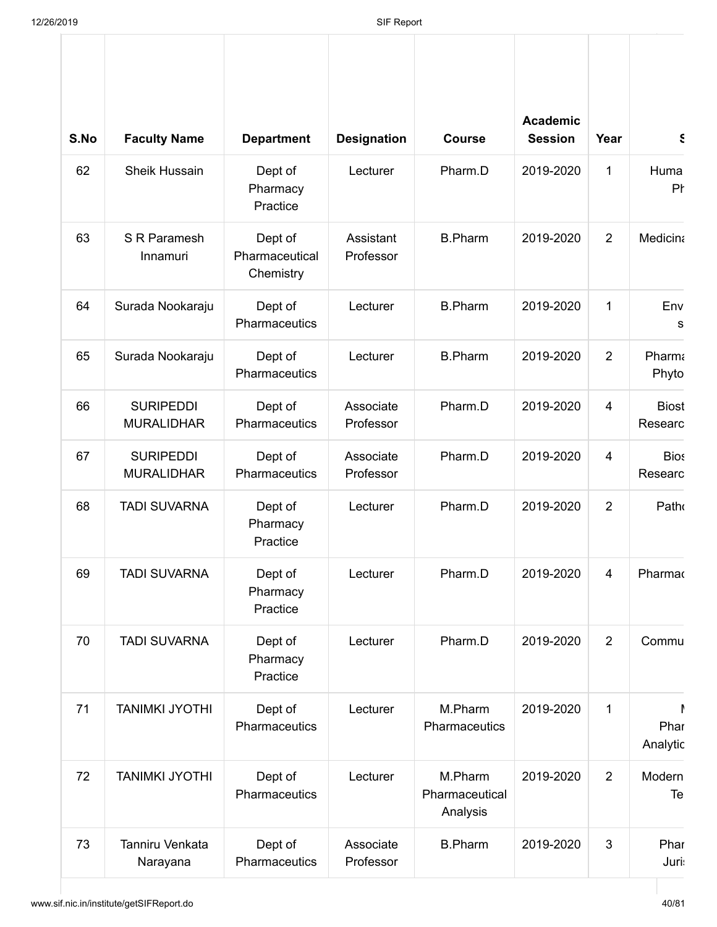| S.No | <b>Faculty Name</b>                   | <b>Department</b>                      | <b>Designation</b>     | <b>Course</b>                         | <b>Academic</b><br><b>Session</b> | Year           | $\epsilon$              |
|------|---------------------------------------|----------------------------------------|------------------------|---------------------------------------|-----------------------------------|----------------|-------------------------|
| 62   | <b>Sheik Hussain</b>                  | Dept of<br>Pharmacy<br>Practice        | Lecturer               | Pharm.D                               | 2019-2020                         | 1              | Huma<br>Pł              |
| 63   | S R Paramesh<br>Innamuri              | Dept of<br>Pharmaceutical<br>Chemistry | Assistant<br>Professor | <b>B.Pharm</b>                        | 2019-2020                         | 2              | <b>Medicina</b>         |
| 64   | Surada Nookaraju                      | Dept of<br>Pharmaceutics               | Lecturer               | <b>B.Pharm</b>                        | 2019-2020                         | 1              | Env<br>s                |
| 65   | Surada Nookaraju                      | Dept of<br>Pharmaceutics               | Lecturer               | <b>B.Pharm</b>                        | 2019-2020                         | 2              | Pharma<br>Phyto         |
| 66   | <b>SURIPEDDI</b><br><b>MURALIDHAR</b> | Dept of<br>Pharmaceutics               | Associate<br>Professor | Pharm.D                               | 2019-2020                         | 4              | <b>Biost</b><br>Researc |
| 67   | <b>SURIPEDDI</b><br><b>MURALIDHAR</b> | Dept of<br>Pharmaceutics               | Associate<br>Professor | Pharm.D                               | 2019-2020                         | $\overline{4}$ | <b>Bios</b><br>Researc  |
| 68   | <b>TADI SUVARNA</b>                   | Dept of<br>Pharmacy<br>Practice        | Lecturer               | Pharm.D                               | 2019-2020                         | $\overline{2}$ | Patho                   |
| 69   | <b>TADI SUVARNA</b>                   | Dept of<br>Pharmacy<br>Practice        | Lecturer               | Pharm.D                               | 2019-2020                         | 4              | Pharmad                 |
| 70   | <b>TADI SUVARNA</b>                   | Dept of<br>Pharmacy<br>Practice        | Lecturer               | Pharm.D                               | 2019-2020                         | $\overline{2}$ | Commu                   |
| 71   | <b>TANIMKI JYOTHI</b>                 | Dept of<br>Pharmaceutics               | Lecturer               | M.Pharm<br>Pharmaceutics              | 2019-2020                         | $\mathbf{1}$   | Phar<br>Analytic        |
| 72   | <b>TANIMKI JYOTHI</b>                 | Dept of<br>Pharmaceutics               | Lecturer               | M.Pharm<br>Pharmaceutical<br>Analysis | 2019-2020                         | $\overline{2}$ | Modern<br>Te            |
| 73   | Tanniru Venkata<br>Narayana           | Dept of<br>Pharmaceutics               | Associate<br>Professor | <b>B.Pharm</b>                        | 2019-2020                         | 3              | Phar<br><b>Juri:</b>    |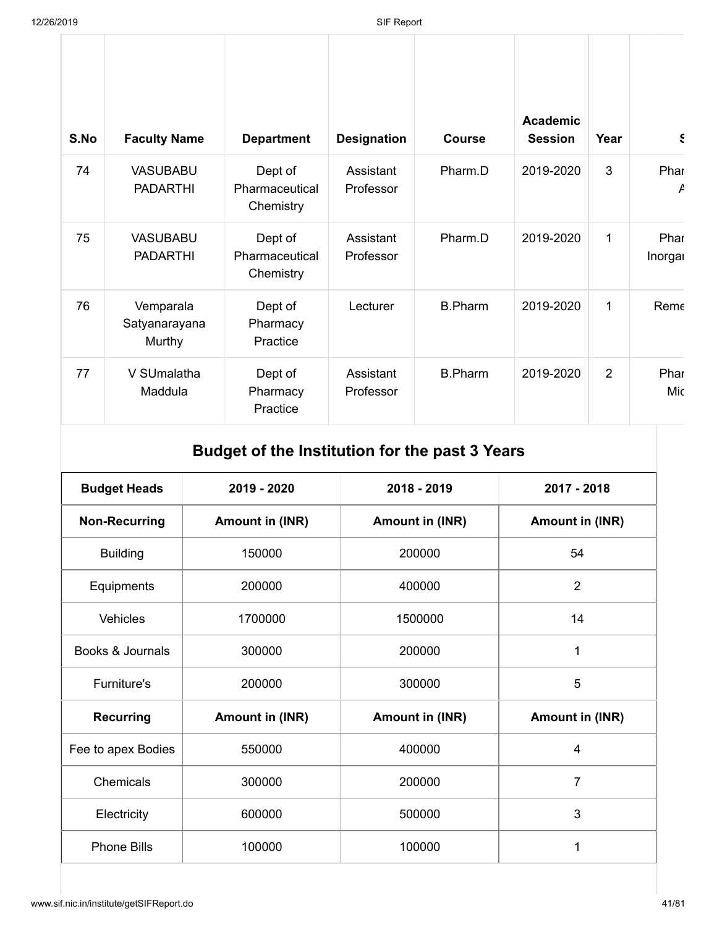| S.No | <b>Faculty Name</b>                  | <b>Department</b>                      | <b>Designation</b>     | <b>Course</b>  | <b>Academic</b><br><b>Session</b> | Year | $\epsilon$      |
|------|--------------------------------------|----------------------------------------|------------------------|----------------|-----------------------------------|------|-----------------|
| 74   | <b>VASUBABU</b><br><b>PADARTHI</b>   | Dept of<br>Pharmaceutical<br>Chemistry | Assistant<br>Professor | Pharm.D        | 2019-2020                         | 3    | Phar<br>P       |
| 75   | <b>VASUBABU</b><br><b>PADARTHI</b>   | Dept of<br>Pharmaceutical<br>Chemistry | Assistant<br>Professor | Pharm.D        | 2019-2020                         | 1    | Phar<br>Inorgal |
| 76   | Vemparala<br>Satyanarayana<br>Murthy | Dept of<br>Pharmacy<br>Practice        | Lecturer               | <b>B.Pharm</b> | 2019-2020                         | 1    | Reme            |
| 77   | V SUmalatha<br>Maddula               | Dept of<br>Pharmacy<br>Practice        | Assistant<br>Professor | <b>B.Pharm</b> | 2019-2020                         | 2    | Phar<br>Mic     |

# **Budget of the Institution for the past 3 Years**

| <b>Budget Heads</b>  | 2019 - 2020            | 2018 - 2019            | 2017 - 2018            |
|----------------------|------------------------|------------------------|------------------------|
| <b>Non-Recurring</b> | <b>Amount in (INR)</b> | <b>Amount in (INR)</b> | <b>Amount in (INR)</b> |
| <b>Building</b>      | 150000                 | 200000                 | 54                     |
| Equipments           | 200000                 | 400000                 | $\overline{2}$         |
| Vehicles             | 1700000                | 1500000                | 14                     |
| Books & Journals     | 300000                 | 200000                 | 1                      |
| <b>Furniture's</b>   | 200000                 | 300000                 | 5                      |
| <b>Recurring</b>     | <b>Amount in (INR)</b> | <b>Amount in (INR)</b> | Amount in (INR)        |
| Fee to apex Bodies   | 550000                 | 400000                 | $\overline{4}$         |
| Chemicals            | 300000                 | 200000                 | $\overline{7}$         |
| Electricity          | 600000                 | 500000                 | 3                      |
| <b>Phone Bills</b>   | 100000                 | 100000                 | 1                      |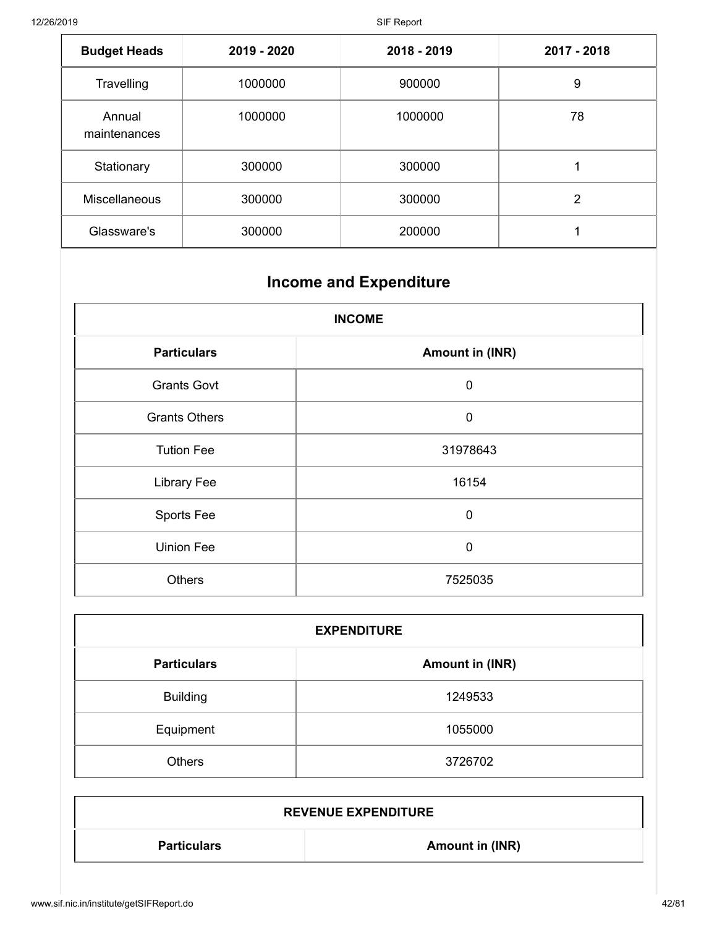| <b>Budget Heads</b>    | 2019 - 2020 | 2018 - 2019 | 2017 - 2018 |
|------------------------|-------------|-------------|-------------|
| Travelling             | 1000000     | 900000      | 9           |
| Annual<br>maintenances | 1000000     | 1000000     | 78          |
| Stationary             | 300000      | 300000      |             |
| Miscellaneous          | 300000      | 300000      | 2           |
| Glassware's            | 300000      | 200000      |             |

# **Income and Expenditure**

| <b>INCOME</b>        |                        |  |  |  |
|----------------------|------------------------|--|--|--|
| <b>Particulars</b>   | <b>Amount in (INR)</b> |  |  |  |
| <b>Grants Govt</b>   | $\mathbf 0$            |  |  |  |
| <b>Grants Others</b> | $\mathbf 0$            |  |  |  |
| <b>Tution Fee</b>    | 31978643               |  |  |  |
| <b>Library Fee</b>   | 16154                  |  |  |  |
| Sports Fee           | $\mathbf 0$            |  |  |  |
| <b>Uinion Fee</b>    | $\mathbf 0$            |  |  |  |
| <b>Others</b>        | 7525035                |  |  |  |

| <b>EXPENDITURE</b> |                        |  |  |  |
|--------------------|------------------------|--|--|--|
| <b>Particulars</b> | <b>Amount in (INR)</b> |  |  |  |
| <b>Building</b>    | 1249533                |  |  |  |
| Equipment          | 1055000                |  |  |  |
| <b>Others</b>      | 3726702                |  |  |  |

| <b>REVENUE EXPENDITURE</b> |                 |  |  |  |
|----------------------------|-----------------|--|--|--|
| <b>Particulars</b>         | Amount in (INR) |  |  |  |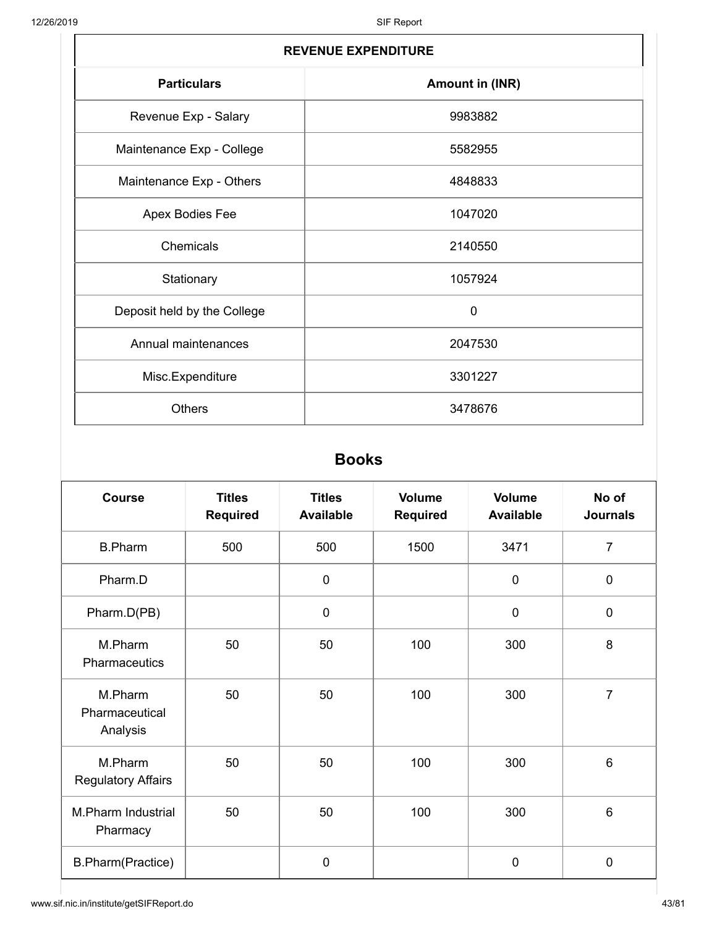| <b>REVENUE EXPENDITURE</b>  |                        |  |  |
|-----------------------------|------------------------|--|--|
| <b>Particulars</b>          | <b>Amount in (INR)</b> |  |  |
| Revenue Exp - Salary        | 9983882                |  |  |
| Maintenance Exp - College   | 5582955                |  |  |
| Maintenance Exp - Others    | 4848833                |  |  |
| Apex Bodies Fee             | 1047020                |  |  |
| Chemicals                   | 2140550                |  |  |
| Stationary                  | 1057924                |  |  |
| Deposit held by the College | $\mathbf 0$            |  |  |
| Annual maintenances         | 2047530                |  |  |
| Misc.Expenditure            | 3301227                |  |  |
| <b>Others</b>               | 3478676                |  |  |

#### **Books**

| <b>Course</b>                         | <b>Titles</b><br><b>Required</b> | <b>Titles</b><br><b>Available</b> | <b>Volume</b><br><b>Required</b> | <b>Volume</b><br><b>Available</b> | No of<br><b>Journals</b> |
|---------------------------------------|----------------------------------|-----------------------------------|----------------------------------|-----------------------------------|--------------------------|
| <b>B.Pharm</b>                        | 500                              | 500                               | 1500                             | 3471                              | $\overline{7}$           |
| Pharm.D                               |                                  | $\mathbf 0$                       |                                  | $\mathbf 0$                       | $\mathbf 0$              |
| Pharm.D(PB)                           |                                  | $\boldsymbol{0}$                  |                                  | $\pmb{0}$                         | $\mathbf 0$              |
| M.Pharm<br><b>Pharmaceutics</b>       | 50                               | 50                                | 100                              | 300                               | 8                        |
| M.Pharm<br>Pharmaceutical<br>Analysis | 50                               | 50                                | 100                              | 300                               | $\overline{7}$           |
| M.Pharm<br><b>Regulatory Affairs</b>  | 50                               | 50                                | 100                              | 300                               | $6\phantom{1}6$          |
| M.Pharm Industrial<br>Pharmacy        | 50                               | 50                                | 100                              | 300                               | $6\phantom{1}6$          |
| B.Pharm(Practice)                     |                                  | 0                                 |                                  | 0                                 | $\mathbf 0$              |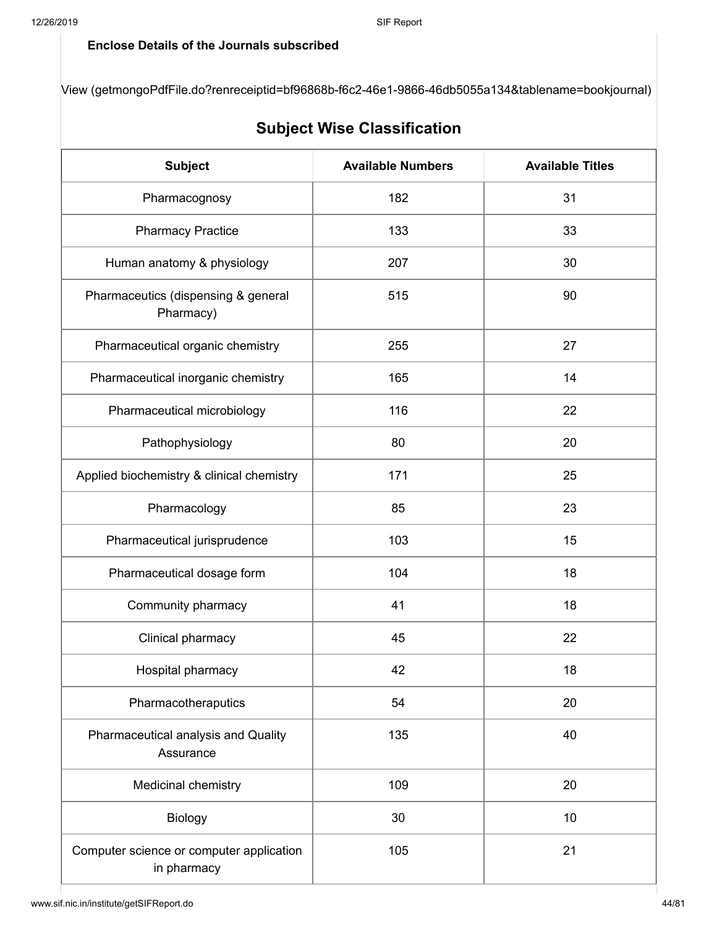#### **Enclose Details of the Journals subscribed**

[View \(getmongoPdfFile.do?renreceiptid=bf96868b-f6c2-46e1-9866-46db5055a134&tablename=bookjournal\)](http://www.sif.nic.in/institute/getmongoPdfFile.do?renreceiptid=bf96868b-f6c2-46e1-9866-46db5055a134&tablename=bookjournal)

|                                                         | <b>JUNJELI IIIJE UIASSIIILALIUII</b> |                         |
|---------------------------------------------------------|--------------------------------------|-------------------------|
| <b>Subject</b>                                          | <b>Available Numbers</b>             | <b>Available Titles</b> |
| Pharmacognosy                                           | 182                                  | 31                      |
| <b>Pharmacy Practice</b>                                | 133                                  | 33                      |
| Human anatomy & physiology                              | 207                                  | 30                      |
| Pharmaceutics (dispensing & general<br>Pharmacy)        | 515                                  | 90                      |
| Pharmaceutical organic chemistry                        | 255                                  | 27                      |
| Pharmaceutical inorganic chemistry                      | 165                                  | 14                      |
| Pharmaceutical microbiology                             | 116                                  | 22                      |
| Pathophysiology                                         | 80                                   | 20                      |
| Applied biochemistry & clinical chemistry               | 171                                  | 25                      |
| Pharmacology                                            | 85                                   | 23                      |
| Pharmaceutical jurisprudence                            | 103                                  | 15                      |
| Pharmaceutical dosage form                              | 104                                  | 18                      |
| Community pharmacy                                      | 41                                   | 18                      |
| Clinical pharmacy                                       | 45                                   | 22                      |
| Hospital pharmacy                                       | 42                                   | 18                      |
| Pharmacotheraputics                                     | 54                                   | 20                      |
| Pharmaceutical analysis and Quality<br>Assurance        | 135                                  | 40                      |
| Medicinal chemistry                                     | 109                                  | 20                      |
| Biology                                                 | 30                                   | 10                      |
| Computer science or computer application<br>in pharmacy | 105                                  | 21                      |

### **Subject Wise Classification**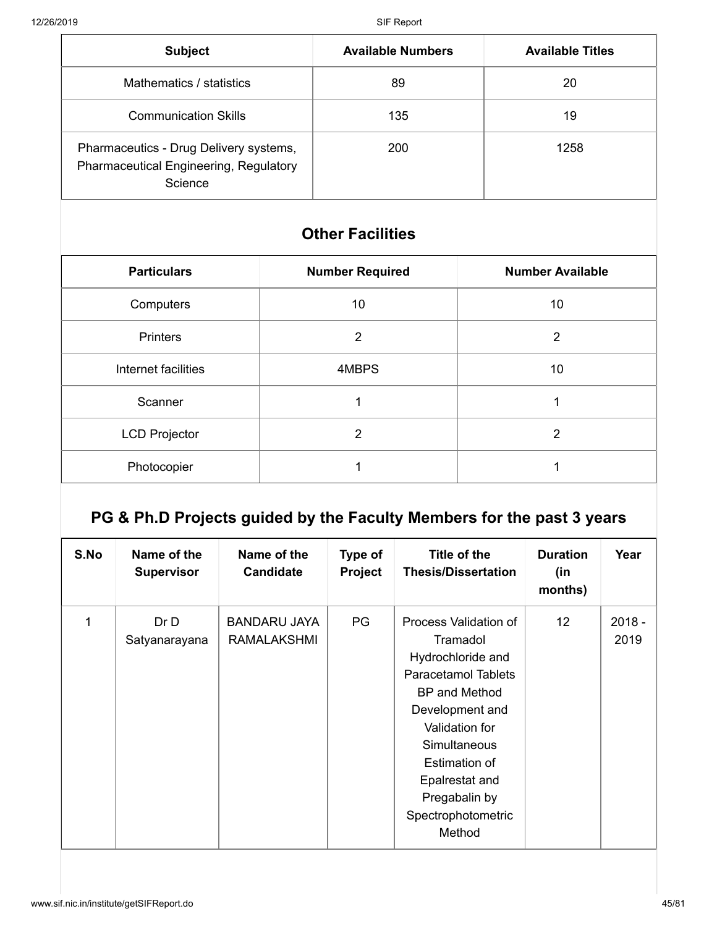| <b>Subject</b>                                                                                     | <b>Available Numbers</b> | <b>Available Titles</b> |
|----------------------------------------------------------------------------------------------------|--------------------------|-------------------------|
| Mathematics / statistics                                                                           | 89                       | 20                      |
| <b>Communication Skills</b>                                                                        | 135                      | 19                      |
| Pharmaceutics - Drug Delivery systems,<br><b>Pharmaceutical Engineering, Regulatory</b><br>Science | 200                      | 1258                    |

## **Other Facilities**

| <b>Particulars</b>   | <b>Number Required</b> | <b>Number Available</b> |
|----------------------|------------------------|-------------------------|
| Computers            | 10                     | 10                      |
| <b>Printers</b>      | $\overline{2}$         | $\overline{2}$          |
| Internet facilities  | 4MBPS                  | 10                      |
| Scanner              |                        |                         |
| <b>LCD Projector</b> | 2                      | $\overline{2}$          |
| Photocopier          |                        |                         |

# **PG & Ph.D Projects guided by the Faculty Members for the past 3 years**

| S.No | Name of the<br><b>Supervisor</b> | Name of the<br><b>Candidate</b>           | Type of<br>Project | Title of the<br><b>Thesis/Dissertation</b>                                                                                                                                                                                                                   | <b>Duration</b><br>(in<br>months) | Year             |
|------|----------------------------------|-------------------------------------------|--------------------|--------------------------------------------------------------------------------------------------------------------------------------------------------------------------------------------------------------------------------------------------------------|-----------------------------------|------------------|
| 1    | Dr D<br>Satyanarayana            | <b>BANDARU JAYA</b><br><b>RAMALAKSHMI</b> | PG                 | Process Validation of<br>Tramadol<br>Hydrochloride and<br><b>Paracetamol Tablets</b><br><b>BP</b> and Method<br>Development and<br>Validation for<br><b>Simultaneous</b><br>Estimation of<br>Epalrestat and<br>Pregabalin by<br>Spectrophotometric<br>Method | 12 <sup>2</sup>                   | $2018 -$<br>2019 |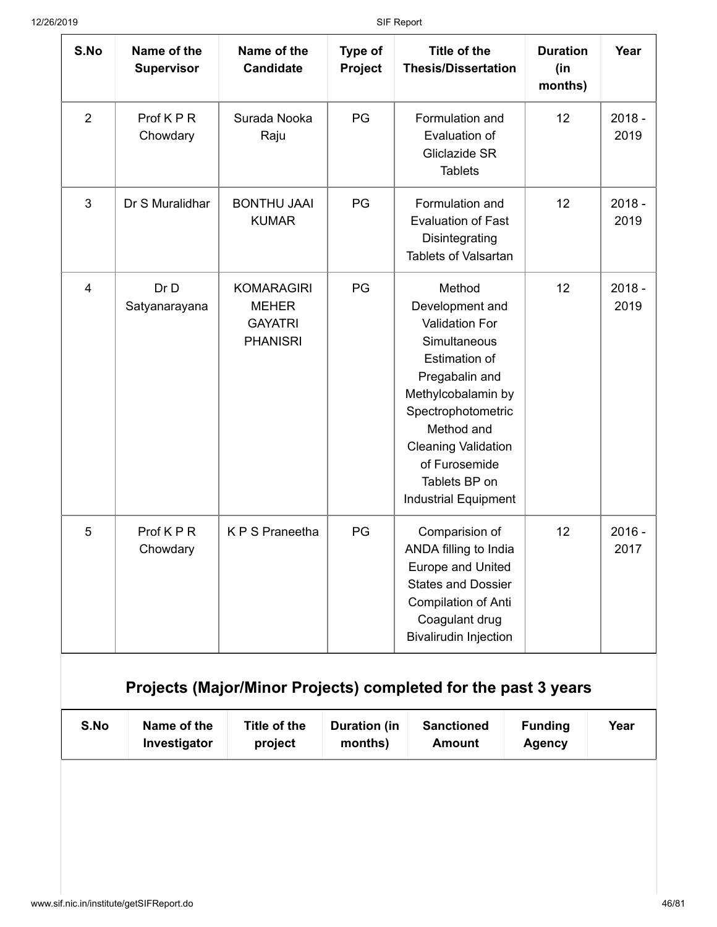| S.No           | Name of the<br><b>Supervisor</b> | Name of the<br><b>Candidate</b>                                        | Type of<br>Project             | <b>Title of the</b><br><b>Thesis/Dissertation</b>                                                                                                                                                                                                                     | <b>Duration</b><br>(in<br>months) | Year             |
|----------------|----------------------------------|------------------------------------------------------------------------|--------------------------------|-----------------------------------------------------------------------------------------------------------------------------------------------------------------------------------------------------------------------------------------------------------------------|-----------------------------------|------------------|
| $\overline{2}$ | Prof KPR<br>Chowdary             | Surada Nooka<br>Raju                                                   | PG                             | Formulation and<br>Evaluation of<br>Gliclazide SR<br><b>Tablets</b>                                                                                                                                                                                                   | 12                                | $2018 -$<br>2019 |
| 3              | Dr S Muralidhar                  | <b>BONTHU JAAI</b><br><b>KUMAR</b>                                     | PG                             | Formulation and<br><b>Evaluation of Fast</b><br>Disintegrating<br><b>Tablets of Valsartan</b>                                                                                                                                                                         | 12                                | $2018 -$<br>2019 |
| 4              | Dr D<br>Satyanarayana            | <b>KOMARAGIRI</b><br><b>MEHER</b><br><b>GAYATRI</b><br><b>PHANISRI</b> | PG                             | Method<br>Development and<br><b>Validation For</b><br>Simultaneous<br><b>Estimation of</b><br>Pregabalin and<br>Methylcobalamin by<br>Spectrophotometric<br>Method and<br><b>Cleaning Validation</b><br>of Furosemide<br>Tablets BP on<br><b>Industrial Equipment</b> | 12                                | $2018 -$<br>2019 |
| 5              | Prof KPR<br>Chowdary             | K P S Praneetha                                                        | PG                             | Comparision of<br>ANDA filling to India<br><b>Europe and United</b><br><b>States and Dossier</b><br>Compilation of Anti<br>Coagulant drug<br><b>Bivalirudin Injection</b><br>Projects (Major/Minor Projects) completed for the past 3 years                           | 12                                | $2016 -$<br>2017 |
| S.No           | Name of the                      | Title of the<br>project                                                | <b>Duration (in</b><br>months) | <b>Sanctioned</b><br><b>Amount</b>                                                                                                                                                                                                                                    | <b>Funding</b><br><b>Agency</b>   | Year             |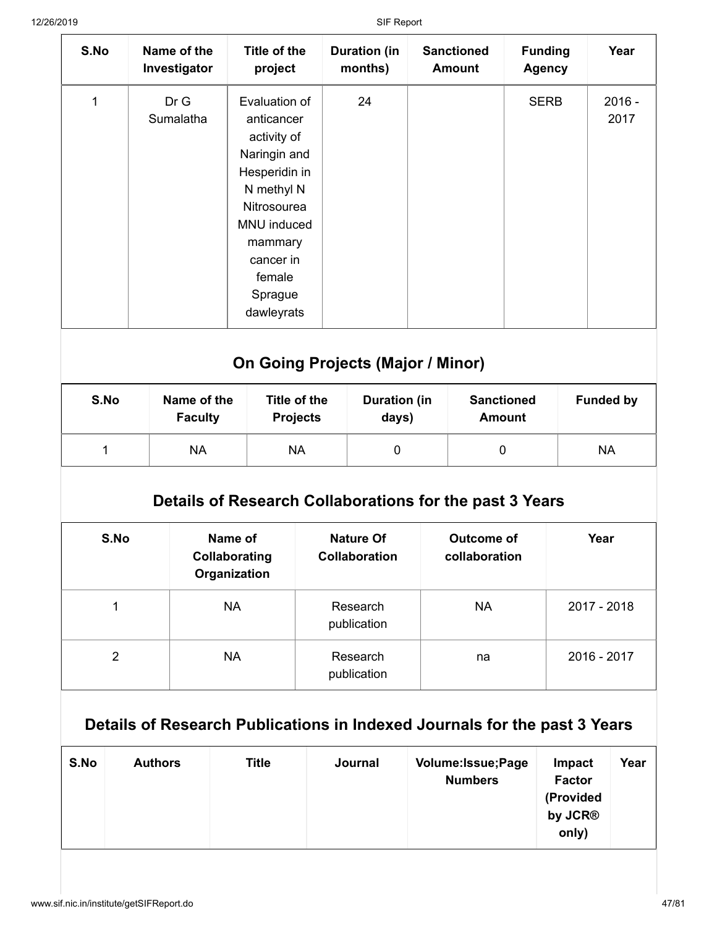| S.No | Name of the<br>Investigator | Title of the<br>project                                                                                                                                                            | <b>Duration (in</b><br>months) | <b>Sanctioned</b><br><b>Amount</b> | <b>Funding</b><br><b>Agency</b> | Year             |
|------|-----------------------------|------------------------------------------------------------------------------------------------------------------------------------------------------------------------------------|--------------------------------|------------------------------------|---------------------------------|------------------|
| 1    | Dr G<br>Sumalatha           | Evaluation of<br>anticancer<br>activity of<br>Naringin and<br>Hesperidin in<br>N methyl N<br>Nitrosourea<br>MNU induced<br>mammary<br>cancer in<br>female<br>Sprague<br>dawleyrats | 24                             |                                    | <b>SERB</b>                     | $2016 -$<br>2017 |
|      |                             |                                                                                                                                                                                    |                                |                                    |                                 |                  |

## **On Going Projects (Major / Minor)**

| S.No | Name of the<br><b>Faculty</b> | Title of the<br><b>Projects</b> | <b>Duration (in</b><br>days) | <b>Sanctioned</b><br><b>Amount</b> | <b>Funded by</b> |
|------|-------------------------------|---------------------------------|------------------------------|------------------------------------|------------------|
|      | NA                            | ΝA                              | 0                            |                                    | <b>NA</b>        |

### **Details of Research Collaborations for the past 3 Years**

| S.No | Name of<br>Collaborating<br>Organization | <b>Nature Of</b><br><b>Collaboration</b> | Outcome of<br>collaboration | Year        |
|------|------------------------------------------|------------------------------------------|-----------------------------|-------------|
|      | <b>NA</b>                                | Research<br>publication                  | <b>NA</b>                   | 2017 - 2018 |
| 2    | <b>NA</b>                                | Research<br>publication                  | na                          | 2016 - 2017 |

## **Details of Research Publications in Indexed Journals for the past 3 Years**

| S.No | <b>Authors</b> | <b>Title</b> | Journal | Volume: Issue; Page<br><b>Numbers</b> | Impact<br><b>Factor</b><br>(Provided<br>by JCR <sup>®</sup><br>only) | Year |
|------|----------------|--------------|---------|---------------------------------------|----------------------------------------------------------------------|------|
|------|----------------|--------------|---------|---------------------------------------|----------------------------------------------------------------------|------|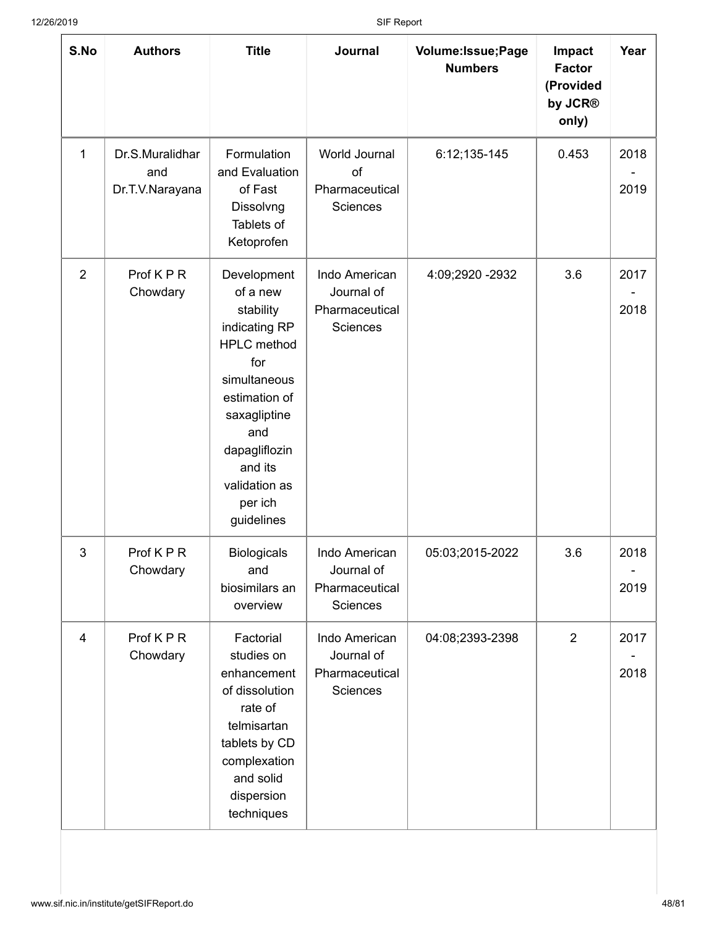| S.No           | <b>Authors</b>                            | <b>Title</b>                                                                                                                                                                                                     | Journal                                                          | Volume: Issue; Page<br><b>Numbers</b> | <b>Impact</b><br><b>Factor</b><br>(Provided<br>by JCR®<br>only) | Year         |
|----------------|-------------------------------------------|------------------------------------------------------------------------------------------------------------------------------------------------------------------------------------------------------------------|------------------------------------------------------------------|---------------------------------------|-----------------------------------------------------------------|--------------|
| 1              | Dr.S.Muralidhar<br>and<br>Dr.T.V.Narayana | Formulation<br>and Evaluation<br>of Fast<br>Dissolvng<br>Tablets of<br>Ketoprofen                                                                                                                                | World Journal<br>of<br>Pharmaceutical<br>Sciences                | 6:12;135-145                          | 0.453                                                           | 2018<br>2019 |
| $\overline{2}$ | Prof KPR<br>Chowdary                      | Development<br>of a new<br>stability<br>indicating RP<br><b>HPLC</b> method<br>for<br>simultaneous<br>estimation of<br>saxagliptine<br>and<br>dapagliflozin<br>and its<br>validation as<br>per ich<br>guidelines | Indo American<br>Journal of<br>Pharmaceutical<br><b>Sciences</b> | 4:09;2920 -2932                       | 3.6                                                             | 2017<br>2018 |
| 3              | Prof K P R<br>Chowdary                    | <b>Biologicals</b><br>and<br>biosimilars an<br>overview                                                                                                                                                          | Indo American<br>Journal of<br>Pharmaceutical<br>Sciences        | 05:03:2015-2022                       | 3.6                                                             | 2018<br>2019 |
| $\overline{4}$ | Prof KPR<br>Chowdary                      | Factorial<br>studies on<br>enhancement<br>of dissolution<br>rate of<br>telmisartan<br>tablets by CD<br>complexation<br>and solid<br>dispersion<br>techniques                                                     | Indo American<br>Journal of<br>Pharmaceutical<br>Sciences        | 04:08;2393-2398                       | $\overline{2}$                                                  | 2017<br>2018 |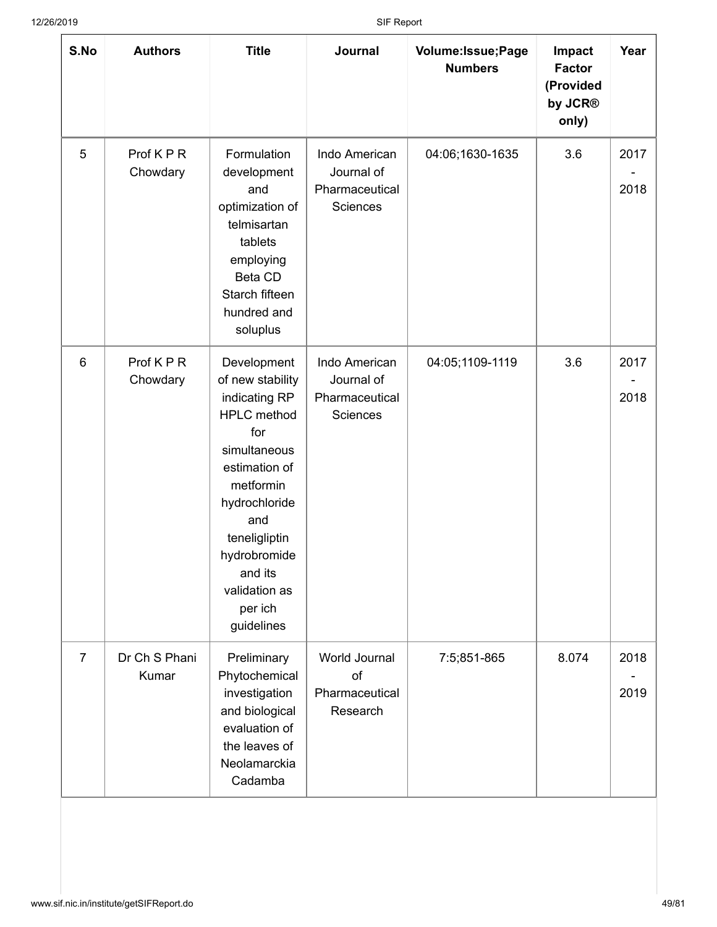| S.No            | <b>Authors</b>         | <b>Title</b>                                                                                                                                                                                                                              | Journal                                                   | Volume: Issue; Page<br><b>Numbers</b> | <b>Impact</b><br><b>Factor</b><br>(Provided<br>by JCR®<br>only) | Year         |
|-----------------|------------------------|-------------------------------------------------------------------------------------------------------------------------------------------------------------------------------------------------------------------------------------------|-----------------------------------------------------------|---------------------------------------|-----------------------------------------------------------------|--------------|
| 5               | Prof KPR<br>Chowdary   | Formulation<br>development<br>and<br>optimization of<br>telmisartan<br>tablets<br>employing<br>Beta CD<br>Starch fifteen<br>hundred and<br>soluplus                                                                                       | Indo American<br>Journal of<br>Pharmaceutical<br>Sciences | 04:06;1630-1635                       | 3.6                                                             | 2017<br>2018 |
| $6\phantom{1}6$ | Prof K P R<br>Chowdary | Development<br>of new stability<br>indicating RP<br><b>HPLC</b> method<br>for<br>simultaneous<br>estimation of<br>metformin<br>hydrochloride<br>and<br>teneligliptin<br>hydrobromide<br>and its<br>validation as<br>per ich<br>guidelines | Indo American<br>Journal of<br>Pharmaceutical<br>Sciences | 04:05;1109-1119                       | 3.6                                                             | 2017<br>2018 |
| $\overline{7}$  | Dr Ch S Phani<br>Kumar | Preliminary<br>Phytochemical<br>investigation<br>and biological<br>evaluation of<br>the leaves of<br>Neolamarckia<br>Cadamba                                                                                                              | World Journal<br>of<br>Pharmaceutical<br>Research         | 7:5;851-865                           | 8.074                                                           | 2018<br>2019 |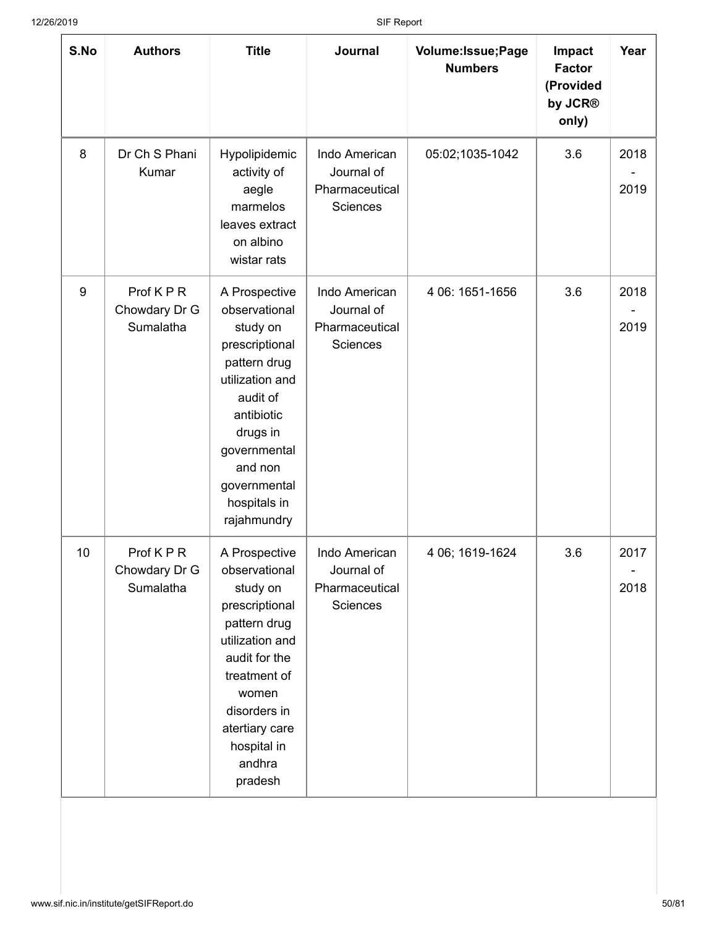| S.No | <b>Authors</b>                         | <b>Title</b>                                                                                                                                                                                                    | Journal                                                   | Volume: Issue; Page<br><b>Numbers</b> | Impact<br><b>Factor</b><br>(Provided<br>by JCR®<br>only) | Year         |
|------|----------------------------------------|-----------------------------------------------------------------------------------------------------------------------------------------------------------------------------------------------------------------|-----------------------------------------------------------|---------------------------------------|----------------------------------------------------------|--------------|
| 8    | Dr Ch S Phani<br>Kumar                 | Hypolipidemic<br>activity of<br>aegle<br>marmelos<br>leaves extract<br>on albino<br>wistar rats                                                                                                                 | Indo American<br>Journal of<br>Pharmaceutical<br>Sciences | 05:02;1035-1042                       | 3.6                                                      | 2018<br>2019 |
| 9    | Prof KPR<br>Chowdary Dr G<br>Sumalatha | A Prospective<br>observational<br>study on<br>prescriptional<br>pattern drug<br>utilization and<br>audit of<br>antibiotic<br>drugs in<br>governmental<br>and non<br>governmental<br>hospitals in<br>rajahmundry | Indo American<br>Journal of<br>Pharmaceutical<br>Sciences | 4 06: 1651-1656                       | 3.6                                                      | 2018<br>2019 |
| 10   | Prof KPR<br>Chowdary Dr G<br>Sumalatha | A Prospective<br>observational<br>study on<br>prescriptional<br>pattern drug<br>utilization and<br>audit for the<br>treatment of<br>women<br>disorders in<br>atertiary care<br>hospital in<br>andhra<br>pradesh | Indo American<br>Journal of<br>Pharmaceutical<br>Sciences | 4 06; 1619-1624                       | 3.6                                                      | 2017<br>2018 |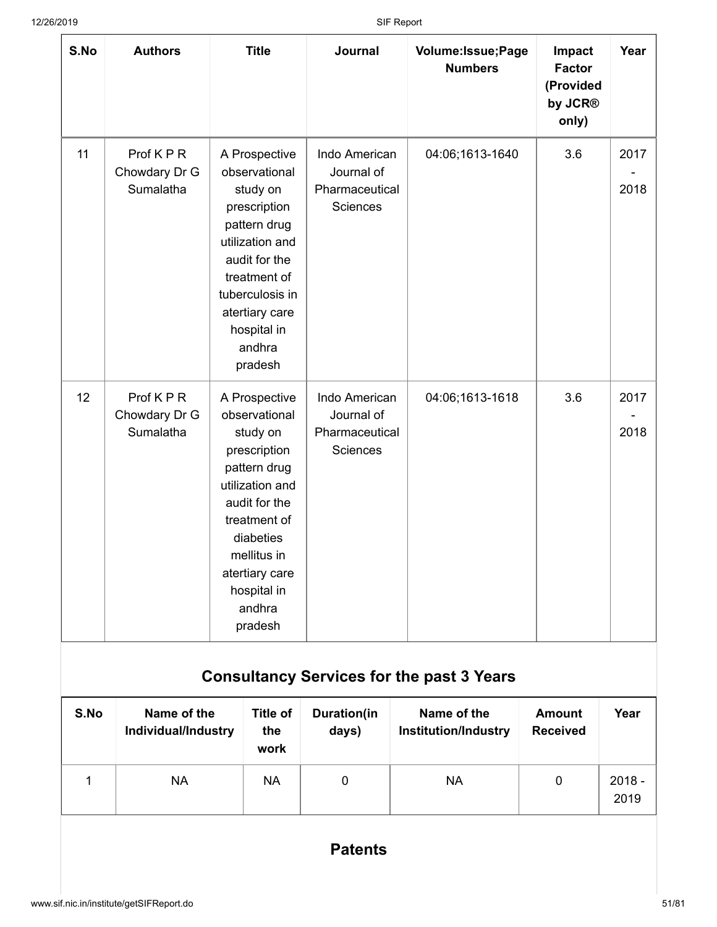| S.No | <b>Authors</b>                           | <b>Title</b>                                                                                                                                                                                                     | Journal                                                   | Volume: Issue; Page<br><b>Numbers</b> | Impact<br><b>Factor</b><br>(Provided<br>by JCR®<br>only) | Year         |
|------|------------------------------------------|------------------------------------------------------------------------------------------------------------------------------------------------------------------------------------------------------------------|-----------------------------------------------------------|---------------------------------------|----------------------------------------------------------|--------------|
| 11   | Prof K P R<br>Chowdary Dr G<br>Sumalatha | A Prospective<br>observational<br>study on<br>prescription<br>pattern drug<br>utilization and<br>audit for the<br>treatment of<br>tuberculosis in<br>atertiary care<br>hospital in<br>andhra<br>pradesh          | Indo American<br>Journal of<br>Pharmaceutical<br>Sciences | 04:06;1613-1640                       | 3.6                                                      | 2017<br>2018 |
| 12   | Prof KPR<br>Chowdary Dr G<br>Sumalatha   | A Prospective<br>observational<br>study on<br>prescription<br>pattern drug<br>utilization and<br>audit for the<br>treatment of<br>diabeties<br>mellitus in<br>atertiary care<br>hospital in<br>andhra<br>pradesh | Indo American<br>Journal of<br>Pharmaceutical<br>Sciences | 04:06;1613-1618                       | 3.6                                                      | 2017<br>2018 |

# **Consultancy Services for the past 3 Years**

| S.No | Name of the<br>Individual/Industry | Title of<br>the<br>work | <b>Duration(in</b><br>days) | Name of the<br><b>Institution/Industry</b> | <b>Amount</b><br><b>Received</b> | Year             |
|------|------------------------------------|-------------------------|-----------------------------|--------------------------------------------|----------------------------------|------------------|
|      | NА                                 | <b>NA</b>               | 0                           | NA                                         | 0                                | $2018 -$<br>2019 |

### **Patents**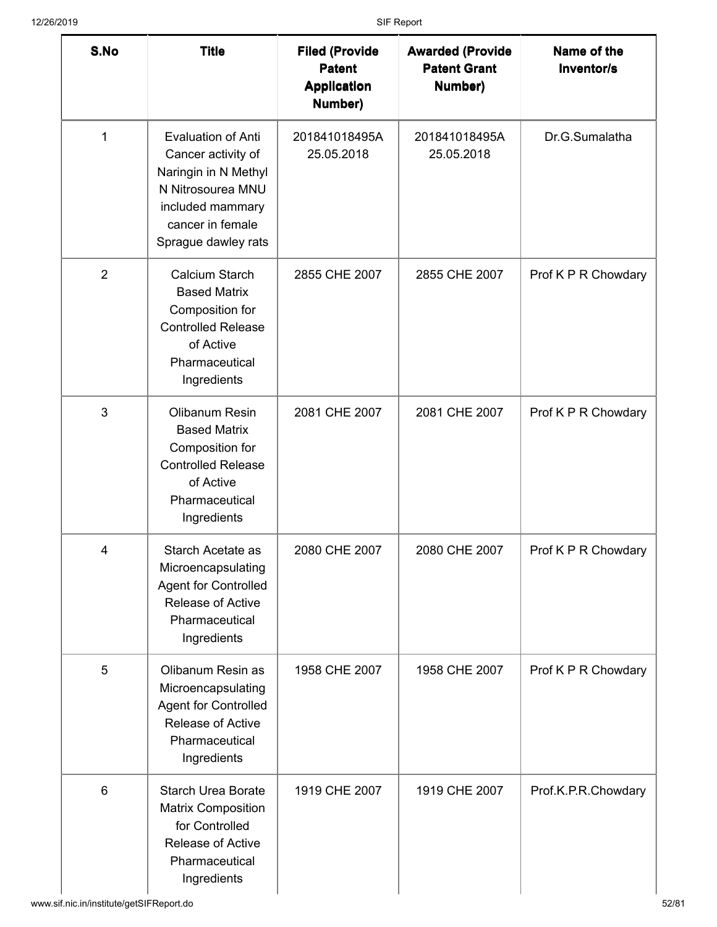| S.No           | <b>Title</b>                                                                                                                                                | <b>Filed (Provide</b><br><b>Patent</b><br><b>Application</b><br>Number) | <b>Awarded (Provide</b><br><b>Patent Grant</b><br>Number) | Name of the<br>Inventor/s |
|----------------|-------------------------------------------------------------------------------------------------------------------------------------------------------------|-------------------------------------------------------------------------|-----------------------------------------------------------|---------------------------|
| $\mathbf 1$    | <b>Evaluation of Anti</b><br>Cancer activity of<br>Naringin in N Methyl<br>N Nitrosourea MNU<br>included mammary<br>cancer in female<br>Sprague dawley rats | 201841018495A<br>25.05.2018                                             | 201841018495A<br>25.05.2018                               | Dr.G.Sumalatha            |
| $\overline{2}$ | Calcium Starch<br><b>Based Matrix</b><br>Composition for<br><b>Controlled Release</b><br>of Active<br>Pharmaceutical<br>Ingredients                         | 2855 CHE 2007                                                           | 2855 CHE 2007                                             | Prof K P R Chowdary       |
| 3              | Olibanum Resin<br><b>Based Matrix</b><br>Composition for<br><b>Controlled Release</b><br>of Active<br>Pharmaceutical<br>Ingredients                         | 2081 CHE 2007                                                           | 2081 CHE 2007                                             | Prof K P R Chowdary       |
| 4              | Starch Acetate as<br>Microencapsulating<br><b>Agent for Controlled</b><br>Release of Active<br>Pharmaceutical<br>Ingredients                                | 2080 CHE 2007                                                           | 2080 CHE 2007                                             | Prof K P R Chowdary       |
| 5              | Olibanum Resin as<br>Microencapsulating<br><b>Agent for Controlled</b><br>Release of Active<br>Pharmaceutical<br>Ingredients                                | 1958 CHE 2007                                                           | 1958 CHE 2007                                             | Prof K P R Chowdary       |
| 6              | <b>Starch Urea Borate</b><br><b>Matrix Composition</b><br>for Controlled<br>Release of Active<br>Pharmaceutical<br>Ingredients                              | 1919 CHE 2007                                                           | 1919 CHE 2007                                             | Prof.K.P.R.Chowdary       |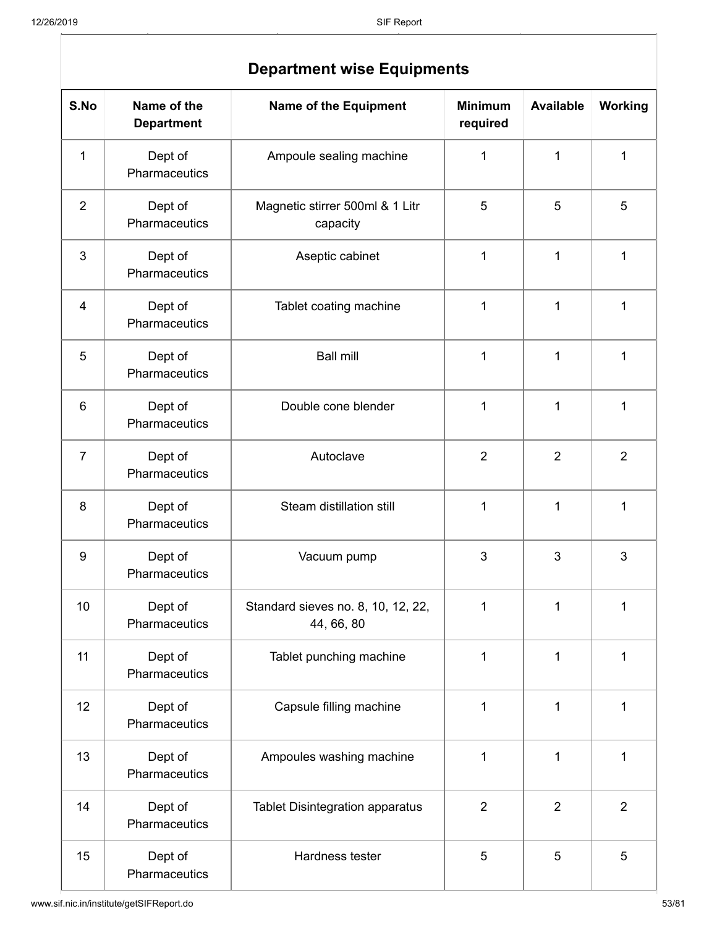| S.No           | Name of the<br><b>Department</b> | <b>Name of the Equipment</b>                     | <b>Minimum</b><br>required | <b>Available</b> | Working        |  |  |  |
|----------------|----------------------------------|--------------------------------------------------|----------------------------|------------------|----------------|--|--|--|
| 1              | Dept of<br>Pharmaceutics         | Ampoule sealing machine                          | 1                          | $\mathbf{1}$     | 1              |  |  |  |
| $\overline{2}$ | Dept of<br>Pharmaceutics         | Magnetic stirrer 500ml & 1 Litr<br>capacity      | 5                          | 5                | 5              |  |  |  |
| 3              | Dept of<br>Pharmaceutics         | Aseptic cabinet                                  | 1                          | $\mathbf 1$      | 1              |  |  |  |
| 4              | Dept of<br>Pharmaceutics         | Tablet coating machine                           | 1                          | $\mathbf{1}$     | 1              |  |  |  |
| 5              | Dept of<br>Pharmaceutics         | <b>Ball mill</b>                                 | 1                          | $\mathbf 1$      | 1              |  |  |  |
| 6              | Dept of<br>Pharmaceutics         | Double cone blender                              | $\overline{1}$             | $\mathbf{1}$     | $\mathbf{1}$   |  |  |  |
| $\overline{7}$ | Dept of<br>Pharmaceutics         | Autoclave                                        | $\overline{2}$             | $\overline{2}$   | $\overline{2}$ |  |  |  |
| 8              | Dept of<br>Pharmaceutics         | Steam distillation still                         | 1                          | 1                | 1              |  |  |  |
| 9              | Dept of<br>Pharmaceutics         | Vacuum pump                                      | 3                          | 3                | 3              |  |  |  |
| 10             | Dept of<br>Pharmaceutics         | Standard sieves no. 8, 10, 12, 22,<br>44, 66, 80 | 1                          | 1                | 1              |  |  |  |
| 11             | Dept of<br>Pharmaceutics         | Tablet punching machine                          | 1                          | $\mathbf 1$      | 1              |  |  |  |
| 12             | Dept of<br>Pharmaceutics         | Capsule filling machine                          | $\mathbf{1}$               | $\mathbf{1}$     | 1              |  |  |  |
| 13             | Dept of<br>Pharmaceutics         | Ampoules washing machine                         | 1                          | 1                | 1              |  |  |  |
| 14             | Dept of<br>Pharmaceutics         | <b>Tablet Disintegration apparatus</b>           | $\overline{2}$             | $\overline{2}$   | $\overline{2}$ |  |  |  |
| 15             | Dept of<br>Pharmaceutics         | Hardness tester                                  | 5                          | 5                | 5              |  |  |  |

### **Department wise Equipments**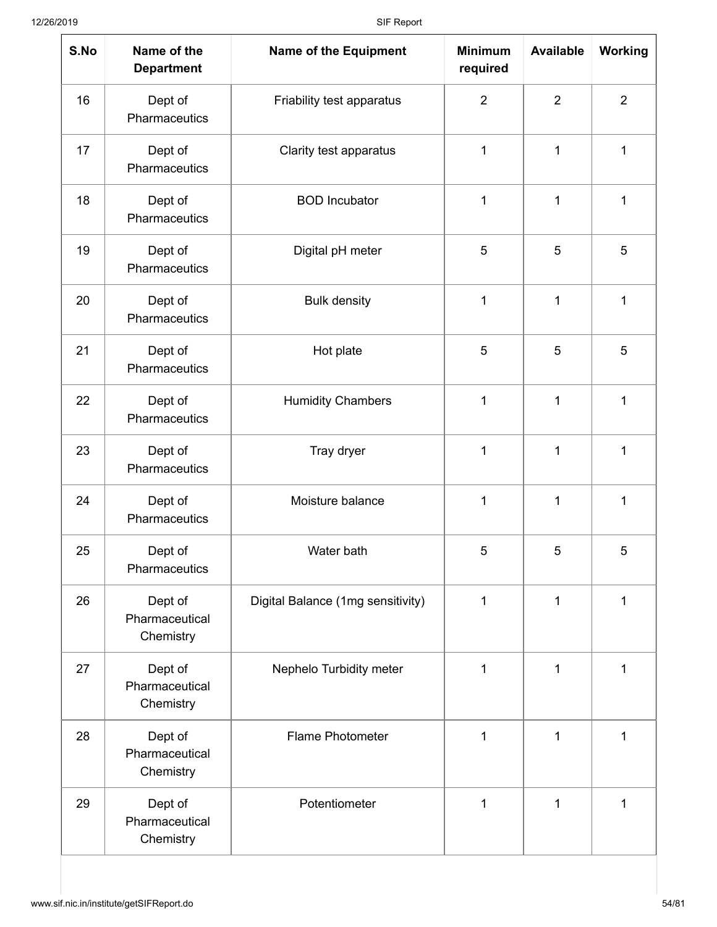| S.No | Name of the<br><b>Department</b>       | <b>Name of the Equipment</b>      | <b>Minimum</b><br>required | <b>Available</b> | <b>Working</b> |
|------|----------------------------------------|-----------------------------------|----------------------------|------------------|----------------|
| 16   | Dept of<br>Pharmaceutics               | Friability test apparatus         | $\overline{2}$             | $\overline{2}$   | $\overline{2}$ |
| 17   | Dept of<br>Pharmaceutics               | Clarity test apparatus            | 1                          | 1                | 1              |
| 18   | Dept of<br>Pharmaceutics               | <b>BOD</b> Incubator              | 1                          | 1                | 1              |
| 19   | Dept of<br>Pharmaceutics               | Digital pH meter                  | 5                          | 5                | 5              |
| 20   | Dept of<br>Pharmaceutics               | <b>Bulk density</b>               | 1                          | $\mathbf{1}$     | 1              |
| 21   | Dept of<br>Pharmaceutics               | Hot plate                         | 5                          | 5                | 5              |
| 22   | Dept of<br>Pharmaceutics               | <b>Humidity Chambers</b>          | 1                          | 1                | 1              |
| 23   | Dept of<br>Pharmaceutics               | Tray dryer                        | 1                          | 1                | 1              |
| 24   | Dept of<br>Pharmaceutics               | Moisture balance                  | 1                          | $\mathbf{1}$     | 1              |
| 25   | Dept of<br>Pharmaceutics               | Water bath                        | 5                          | 5                | 5              |
| 26   | Dept of<br>Pharmaceutical<br>Chemistry | Digital Balance (1mg sensitivity) | 1                          | 1                | 1              |
| 27   | Dept of<br>Pharmaceutical<br>Chemistry | Nephelo Turbidity meter           | 1                          | 1                | 1              |
| 28   | Dept of<br>Pharmaceutical<br>Chemistry | <b>Flame Photometer</b>           | 1                          | 1                | $\mathbf 1$    |
| 29   | Dept of<br>Pharmaceutical<br>Chemistry | Potentiometer                     | $\mathbf{1}$               | 1                | 1              |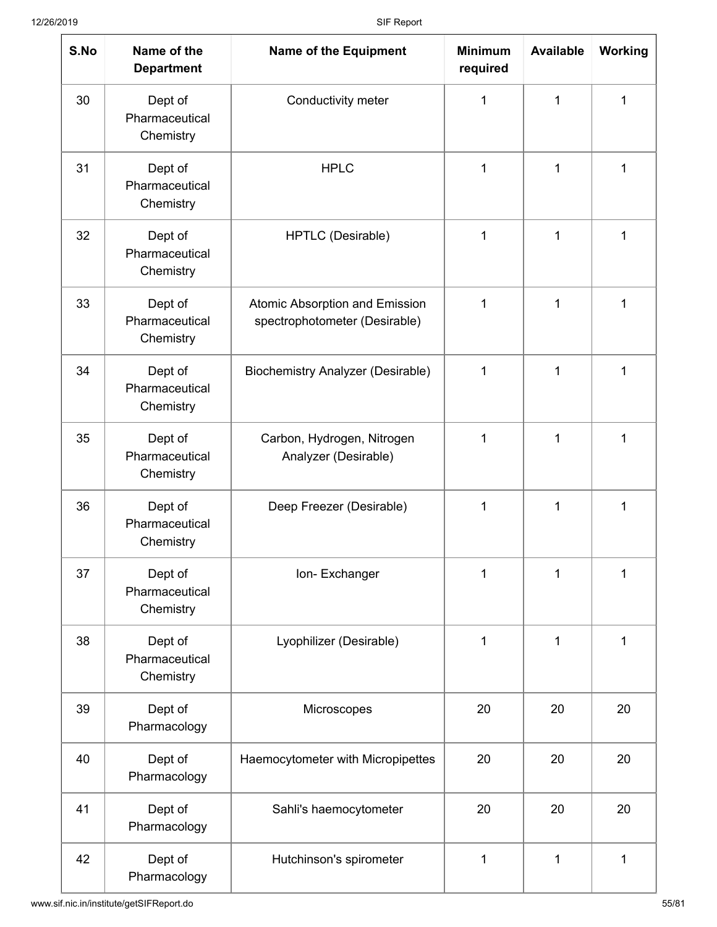| S.No | Name of the<br><b>Department</b>       | <b>Name of the Equipment</b>                                    | <b>Minimum</b><br>required | <b>Available</b> | <b>Working</b> |
|------|----------------------------------------|-----------------------------------------------------------------|----------------------------|------------------|----------------|
| 30   | Dept of<br>Pharmaceutical<br>Chemistry | Conductivity meter                                              | 1                          | 1                | 1              |
| 31   | Dept of<br>Pharmaceutical<br>Chemistry | <b>HPLC</b>                                                     | 1                          | 1                | 1              |
| 32   | Dept of<br>Pharmaceutical<br>Chemistry | HPTLC (Desirable)                                               | 1                          | 1                | 1              |
| 33   | Dept of<br>Pharmaceutical<br>Chemistry | Atomic Absorption and Emission<br>spectrophotometer (Desirable) | 1                          | 1                | 1              |
| 34   | Dept of<br>Pharmaceutical<br>Chemistry | <b>Biochemistry Analyzer (Desirable)</b>                        | 1                          | 1                | 1              |
| 35   | Dept of<br>Pharmaceutical<br>Chemistry | Carbon, Hydrogen, Nitrogen<br>Analyzer (Desirable)              | 1                          | 1                | 1              |
| 36   | Dept of<br>Pharmaceutical<br>Chemistry | Deep Freezer (Desirable)                                        | 1                          | 1                | 1              |
| 37   | Dept of<br>Pharmaceutical<br>Chemistry | Ion-Exchanger                                                   | 1                          | 1                | 1              |
| 38   | Dept of<br>Pharmaceutical<br>Chemistry | Lyophilizer (Desirable)                                         | 1                          | 1                | 1              |
| 39   | Dept of<br>Pharmacology                | Microscopes                                                     | 20                         | 20               | 20             |
| 40   | Dept of<br>Pharmacology                | Haemocytometer with Micropipettes                               | 20                         | 20               | 20             |
| 41   | Dept of<br>Pharmacology                | Sahli's haemocytometer                                          | 20                         | 20               | 20             |
| 42   | Dept of<br>Pharmacology                | Hutchinson's spirometer                                         | 1                          | 1                | 1              |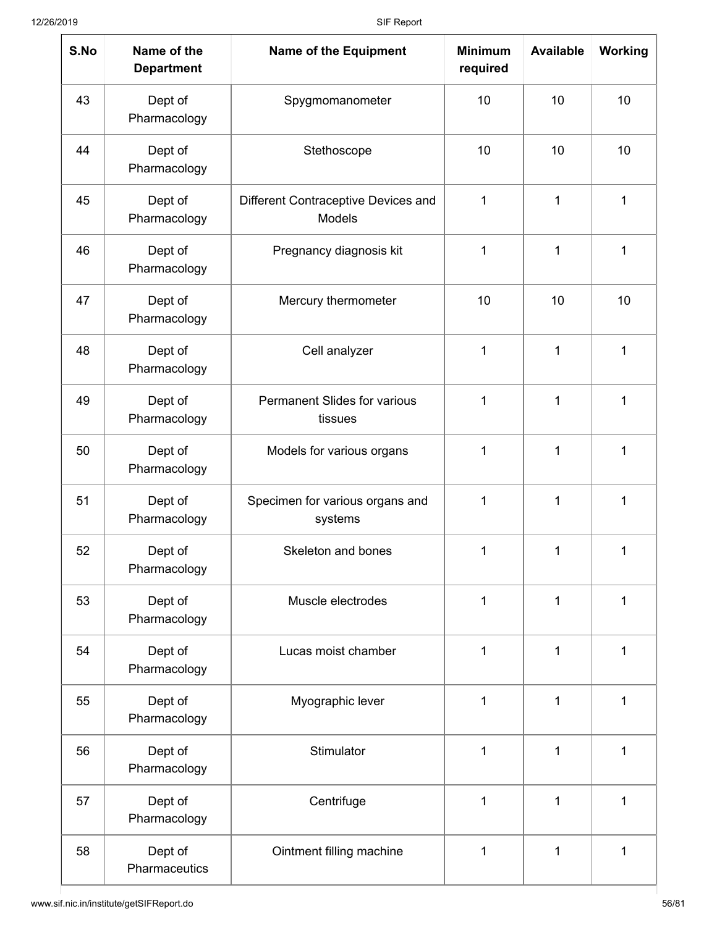| S.No | Name of the<br><b>Department</b> | <b>Name of the Equipment</b>                   | <b>Minimum</b><br>required | <b>Available</b> | <b>Working</b> |
|------|----------------------------------|------------------------------------------------|----------------------------|------------------|----------------|
| 43   | Dept of<br>Pharmacology          | Spygmomanometer                                | 10                         | 10               | 10             |
| 44   | Dept of<br>Pharmacology          | Stethoscope                                    | 10                         | 10               | 10             |
| 45   | Dept of<br>Pharmacology          | Different Contraceptive Devices and<br>Models  | 1                          | 1                | 1              |
| 46   | Dept of<br>Pharmacology          | Pregnancy diagnosis kit                        | 1                          | 1                | 1              |
| 47   | Dept of<br>Pharmacology          | Mercury thermometer                            | 10                         | 10               | 10             |
| 48   | Dept of<br>Pharmacology          | Cell analyzer                                  | 1                          | 1                | 1              |
| 49   | Dept of<br>Pharmacology          | <b>Permanent Slides for various</b><br>tissues | 1                          | 1                | 1              |
| 50   | Dept of<br>Pharmacology          | Models for various organs                      | 1                          | 1                | 1              |
| 51   | Dept of<br>Pharmacology          | Specimen for various organs and<br>systems     | 1                          | 1                | 1              |
| 52   | Dept of<br>Pharmacology          | Skeleton and bones                             | 1                          | 1                | 1              |
| 53   | Dept of<br>Pharmacology          | Muscle electrodes                              | 1                          | 1                | 1              |
| 54   | Dept of<br>Pharmacology          | Lucas moist chamber                            | 1                          | $\mathbf 1$      | $\mathbf 1$    |
| 55   | Dept of<br>Pharmacology          | Myographic lever                               | 1                          | 1                | 1              |
| 56   | Dept of<br>Pharmacology          | Stimulator                                     | 1                          | 1                | 1              |
| 57   | Dept of<br>Pharmacology          | Centrifuge                                     | 1                          | 1                | 1              |
| 58   | Dept of<br>Pharmaceutics         | Ointment filling machine                       | 1                          | 1                | 1              |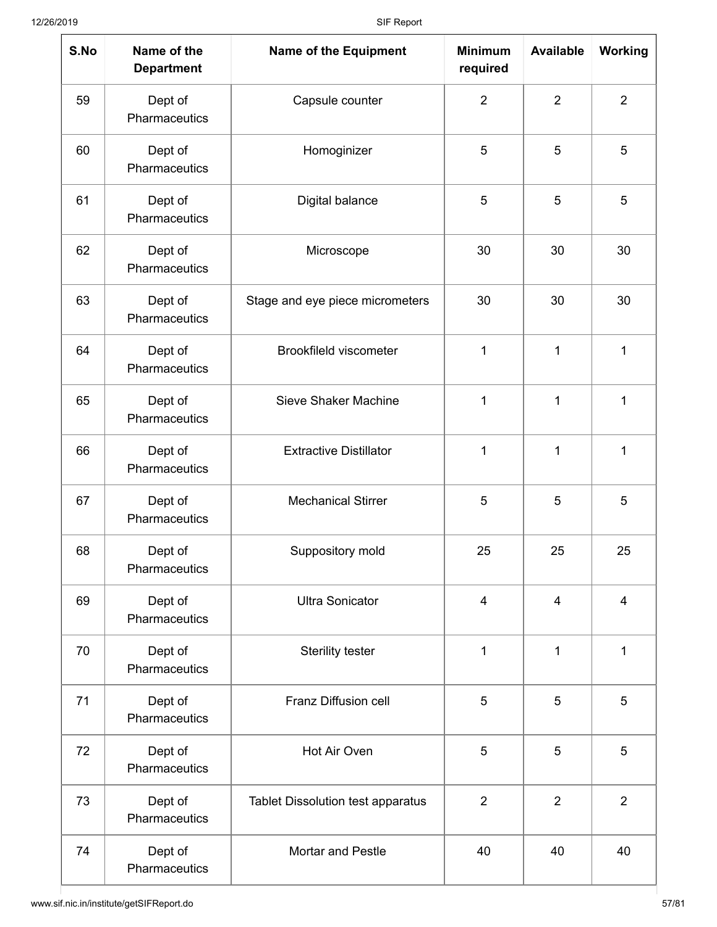| S.No | Name of the<br><b>Department</b> | <b>Name of the Equipment</b>             | <b>Minimum</b><br>required | <b>Available</b> | <b>Working</b> |
|------|----------------------------------|------------------------------------------|----------------------------|------------------|----------------|
| 59   | Dept of<br>Pharmaceutics         | Capsule counter                          | $\overline{2}$             | $\overline{2}$   | $\overline{2}$ |
| 60   | Dept of<br>Pharmaceutics         | Homoginizer                              | 5                          | 5                | 5              |
| 61   | Dept of<br>Pharmaceutics         | Digital balance                          | 5                          | 5                | 5              |
| 62   | Dept of<br>Pharmaceutics         | Microscope                               | 30                         | 30               | 30             |
| 63   | Dept of<br>Pharmaceutics         | Stage and eye piece micrometers          | 30                         | 30               | 30             |
| 64   | Dept of<br>Pharmaceutics         | <b>Brookfileld viscometer</b>            | $\mathbf{1}$               | 1                | 1              |
| 65   | Dept of<br>Pharmaceutics         | <b>Sieve Shaker Machine</b>              | 1                          | 1                | 1              |
| 66   | Dept of<br>Pharmaceutics         | <b>Extractive Distillator</b>            | 1                          | 1                | 1              |
| 67   | Dept of<br>Pharmaceutics         | <b>Mechanical Stirrer</b>                | 5                          | 5                | 5              |
| 68   | Dept of<br>Pharmaceutics         | Suppository mold                         | 25                         | 25               | 25             |
| 69   | Dept of<br>Pharmaceutics         | <b>Ultra Sonicator</b>                   | $\overline{4}$             | $\overline{4}$   | $\overline{4}$ |
| 70   | Dept of<br>Pharmaceutics         | Sterility tester                         | 1                          | $\mathbf{1}$     | 1              |
| 71   | Dept of<br>Pharmaceutics         | Franz Diffusion cell                     | 5                          | 5                | 5              |
| 72   | Dept of<br>Pharmaceutics         | Hot Air Oven                             | 5                          | 5                | 5              |
| 73   | Dept of<br>Pharmaceutics         | <b>Tablet Dissolution test apparatus</b> | $\overline{2}$             | $\overline{2}$   | $\overline{2}$ |
| 74   | Dept of<br>Pharmaceutics         | <b>Mortar and Pestle</b>                 | 40                         | 40               | 40             |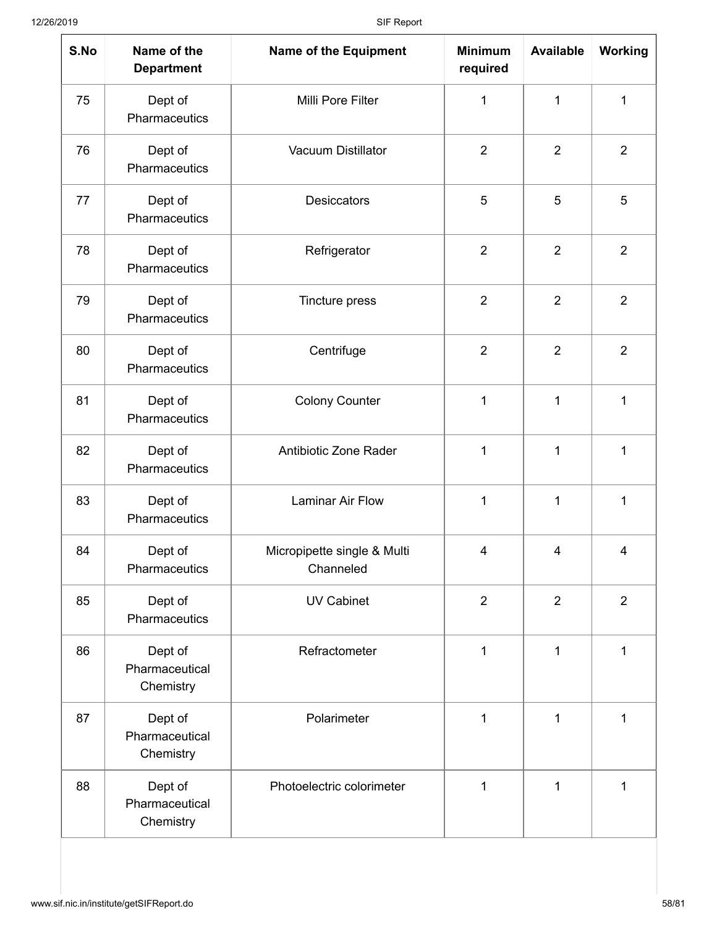| S.No | Name of the<br><b>Department</b>       | <b>Name of the Equipment</b>             | <b>Minimum</b><br>required | <b>Available</b> | <b>Working</b> |
|------|----------------------------------------|------------------------------------------|----------------------------|------------------|----------------|
| 75   | Dept of<br>Pharmaceutics               | Milli Pore Filter                        | 1                          | 1                | 1              |
| 76   | Dept of<br>Pharmaceutics               | Vacuum Distillator                       | $\overline{2}$             | $\overline{2}$   | $\overline{2}$ |
| 77   | Dept of<br>Pharmaceutics               | <b>Desiccators</b>                       | 5                          | 5                | 5              |
| 78   | Dept of<br>Pharmaceutics               | Refrigerator                             | $\overline{2}$             | $\overline{2}$   | $\overline{2}$ |
| 79   | Dept of<br>Pharmaceutics               | Tincture press                           | $\overline{2}$             | $\overline{2}$   | $\overline{2}$ |
| 80   | Dept of<br>Pharmaceutics               | Centrifuge                               | $\overline{2}$             | $\overline{2}$   | $\overline{2}$ |
| 81   | Dept of<br>Pharmaceutics               | <b>Colony Counter</b>                    | 1                          | 1                | 1              |
| 82   | Dept of<br>Pharmaceutics               | Antibiotic Zone Rader                    | 1                          | 1                | 1              |
| 83   | Dept of<br>Pharmaceutics               | <b>Laminar Air Flow</b>                  | 1                          | 1                | 1              |
| 84   | Dept of<br>Pharmaceutics               | Micropipette single & Multi<br>Channeled | 4                          | 4                | $\overline{4}$ |
| 85   | Dept of<br>Pharmaceutics               | <b>UV Cabinet</b>                        | $\overline{2}$             | $\overline{2}$   | $\overline{2}$ |
| 86   | Dept of<br>Pharmaceutical<br>Chemistry | Refractometer                            | $\mathbf 1$                | 1                | 1              |
| 87   | Dept of<br>Pharmaceutical<br>Chemistry | Polarimeter                              | 1                          | 1                | 1              |
| 88   | Dept of<br>Pharmaceutical<br>Chemistry | Photoelectric colorimeter                | 1                          | 1                | 1              |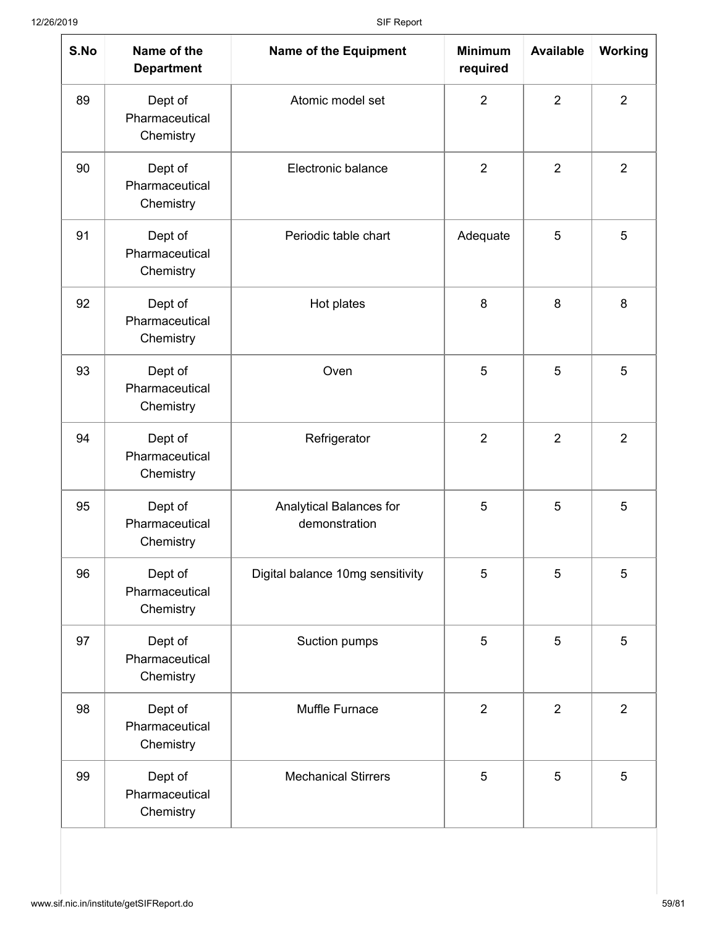| S.No | Name of the<br><b>Department</b>       | <b>Name of the Equipment</b>             | <b>Minimum</b><br>required | <b>Available</b> | Working        |
|------|----------------------------------------|------------------------------------------|----------------------------|------------------|----------------|
| 89   | Dept of<br>Pharmaceutical<br>Chemistry | Atomic model set                         | $\overline{2}$             | $\overline{2}$   | $\overline{2}$ |
| 90   | Dept of<br>Pharmaceutical<br>Chemistry | Electronic balance                       | $\overline{2}$             | $\overline{2}$   | $\overline{2}$ |
| 91   | Dept of<br>Pharmaceutical<br>Chemistry | Periodic table chart                     | Adequate                   | 5                | 5              |
| 92   | Dept of<br>Pharmaceutical<br>Chemistry | Hot plates                               | 8                          | 8                | 8              |
| 93   | Dept of<br>Pharmaceutical<br>Chemistry | Oven                                     | 5                          | 5                | 5              |
| 94   | Dept of<br>Pharmaceutical<br>Chemistry | Refrigerator                             | $\overline{2}$             | $\overline{2}$   | $\overline{2}$ |
| 95   | Dept of<br>Pharmaceutical<br>Chemistry | Analytical Balances for<br>demonstration | 5                          | 5                | 5              |
| 96   | Dept of<br>Pharmaceutical<br>Chemistry | Digital balance 10mg sensitivity         | 5                          | 5                | 5              |
| 97   | Dept of<br>Pharmaceutical<br>Chemistry | Suction pumps                            | 5                          | 5                | 5              |
| 98   | Dept of<br>Pharmaceutical<br>Chemistry | Muffle Furnace                           | $\overline{2}$             | $\overline{2}$   | $\overline{2}$ |
| 99   | Dept of<br>Pharmaceutical<br>Chemistry | <b>Mechanical Stirrers</b>               | 5                          | 5                | 5              |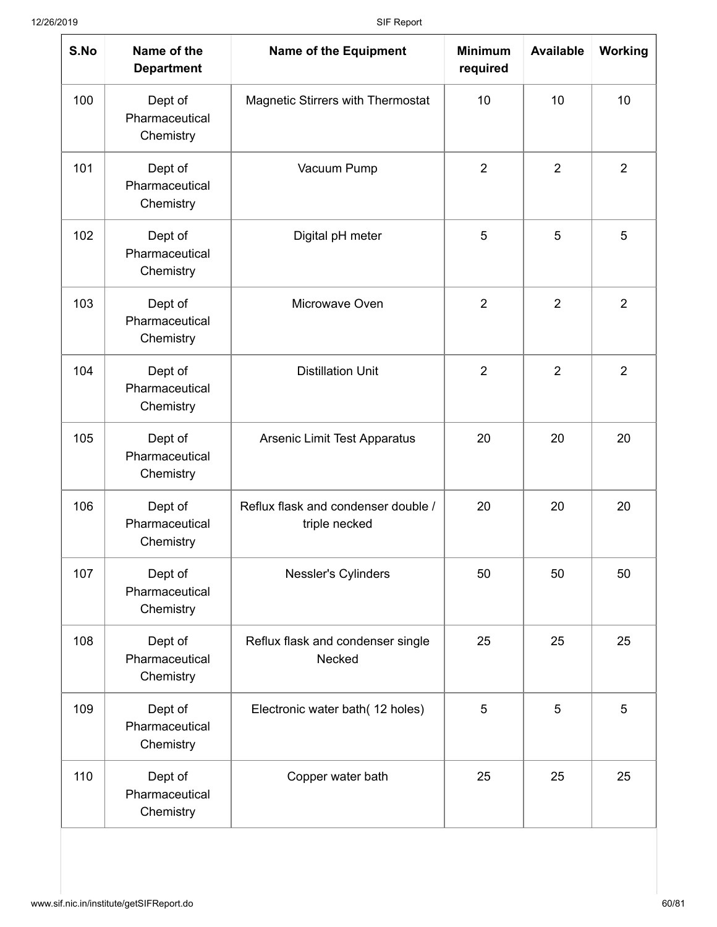| S.No | Name of the<br><b>Department</b>       | <b>Name of the Equipment</b>                         | <b>Minimum</b><br>required | <b>Available</b> | Working        |
|------|----------------------------------------|------------------------------------------------------|----------------------------|------------------|----------------|
| 100  | Dept of<br>Pharmaceutical<br>Chemistry | <b>Magnetic Stirrers with Thermostat</b>             | 10                         | 10               | 10             |
| 101  | Dept of<br>Pharmaceutical<br>Chemistry | Vacuum Pump                                          | $\overline{2}$             | $\overline{2}$   | $\overline{2}$ |
| 102  | Dept of<br>Pharmaceutical<br>Chemistry | Digital pH meter                                     | 5                          | 5                | 5              |
| 103  | Dept of<br>Pharmaceutical<br>Chemistry | Microwave Oven                                       | $\overline{2}$             | $\overline{2}$   | $\overline{2}$ |
| 104  | Dept of<br>Pharmaceutical<br>Chemistry | <b>Distillation Unit</b>                             | $\overline{2}$             | $\overline{2}$   | $\overline{2}$ |
| 105  | Dept of<br>Pharmaceutical<br>Chemistry | Arsenic Limit Test Apparatus                         | 20                         | 20               | 20             |
| 106  | Dept of<br>Pharmaceutical<br>Chemistry | Reflux flask and condenser double /<br>triple necked | 20                         | 20               | 20             |
| 107  | Dept of<br>Pharmaceutical<br>Chemistry | Nessler's Cylinders                                  | 50                         | 50               | 50             |
| 108  | Dept of<br>Pharmaceutical<br>Chemistry | Reflux flask and condenser single<br>Necked          | 25                         | 25               | 25             |
| 109  | Dept of<br>Pharmaceutical<br>Chemistry | Electronic water bath(12 holes)                      | 5                          | 5                | 5              |
| 110  | Dept of<br>Pharmaceutical<br>Chemistry | Copper water bath                                    | 25                         | 25               | 25             |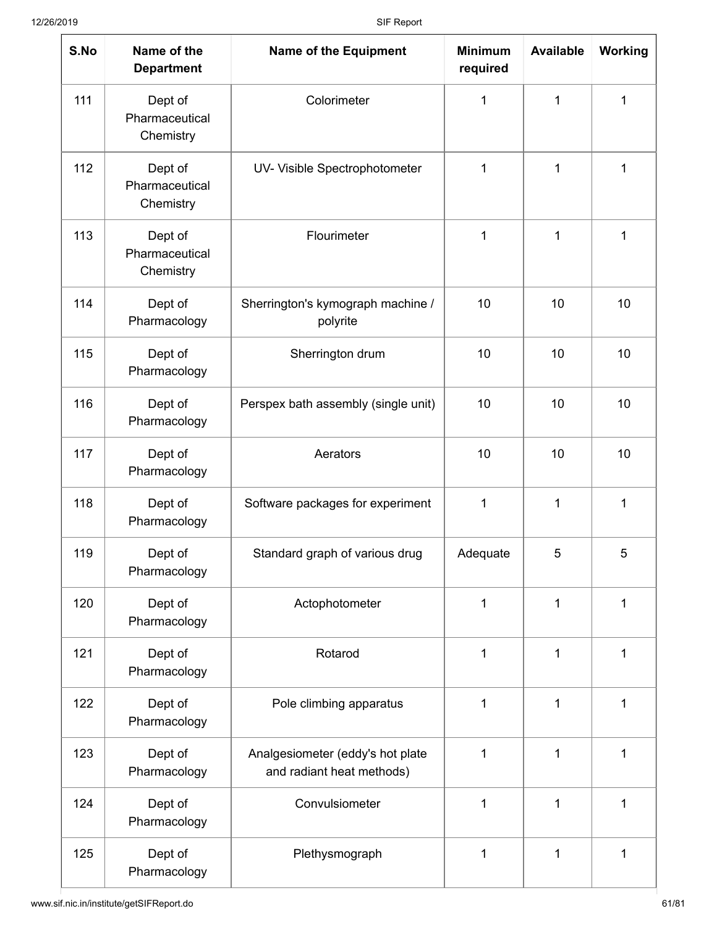| S.No | Name of the<br><b>Department</b>       | <b>Name of the Equipment</b>                                  | <b>Minimum</b><br>required | <b>Available</b> | <b>Working</b> |
|------|----------------------------------------|---------------------------------------------------------------|----------------------------|------------------|----------------|
| 111  | Dept of<br>Pharmaceutical<br>Chemistry | Colorimeter                                                   | 1                          | $\mathbf{1}$     | 1              |
| 112  | Dept of<br>Pharmaceutical<br>Chemistry | UV- Visible Spectrophotometer                                 | 1                          | 1                | 1              |
| 113  | Dept of<br>Pharmaceutical<br>Chemistry | Flourimeter                                                   | $\mathbf{1}$               | 1                | 1              |
| 114  | Dept of<br>Pharmacology                | Sherrington's kymograph machine /<br>polyrite                 | 10                         | 10               | 10             |
| 115  | Dept of<br>Pharmacology                | Sherrington drum                                              | 10                         | 10               | 10             |
| 116  | Dept of<br>Pharmacology                | Perspex bath assembly (single unit)                           | 10                         | 10               | 10             |
| 117  | Dept of<br>Pharmacology                | Aerators                                                      | 10                         | 10               | 10             |
| 118  | Dept of<br>Pharmacology                | Software packages for experiment                              | $\mathbf{1}$               | 1                | 1              |
| 119  | Dept of<br>Pharmacology                | Standard graph of various drug                                | Adequate                   | 5                | 5              |
| 120  | Dept of<br>Pharmacology                | Actophotometer                                                | 1                          | 1                | 1              |
| 121  | Dept of<br>Pharmacology                | Rotarod                                                       | 1                          | 1                | 1              |
| 122  | Dept of<br>Pharmacology                | Pole climbing apparatus                                       | 1                          | 1                | 1              |
| 123  | Dept of<br>Pharmacology                | Analgesiometer (eddy's hot plate<br>and radiant heat methods) | 1                          | 1                | 1              |
| 124  | Dept of<br>Pharmacology                | Convulsiometer                                                | 1                          | 1                | 1              |
| 125  | Dept of<br>Pharmacology                | Plethysmograph                                                | 1                          | 1                | 1              |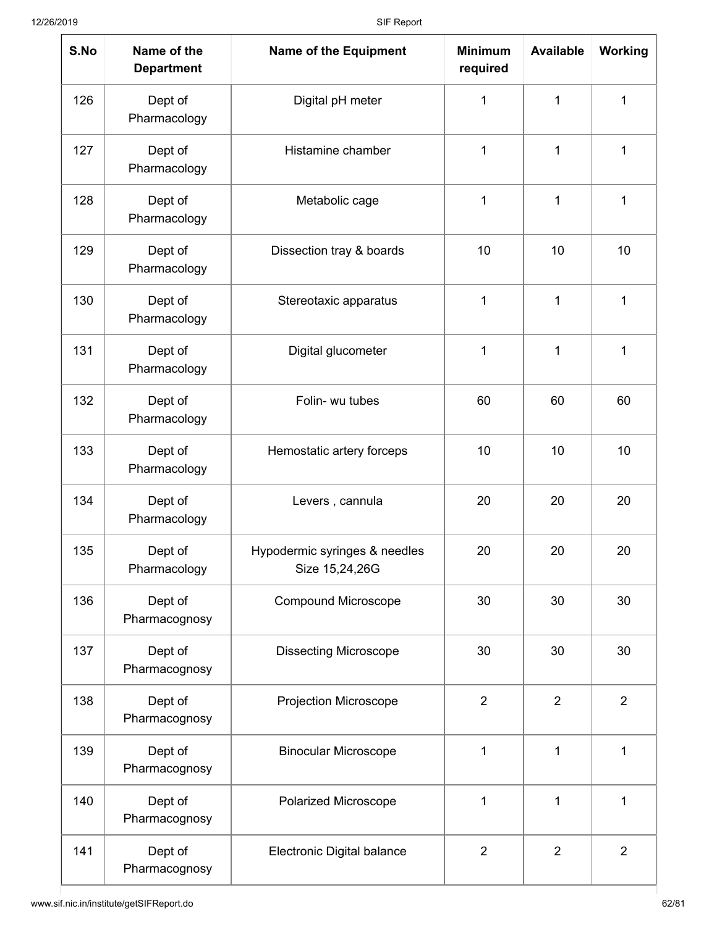| S.No | Name of the<br><b>Department</b> | <b>Name of the Equipment</b>                    | <b>Minimum</b><br>required | <b>Available</b> | Working        |
|------|----------------------------------|-------------------------------------------------|----------------------------|------------------|----------------|
| 126  | Dept of<br>Pharmacology          | Digital pH meter                                | 1                          | 1                | 1              |
| 127  | Dept of<br>Pharmacology          | Histamine chamber                               | 1                          | $\mathbf{1}$     | 1              |
| 128  | Dept of<br>Pharmacology          | Metabolic cage                                  | 1                          | 1                | 1              |
| 129  | Dept of<br>Pharmacology          | Dissection tray & boards                        | 10<br>10                   |                  | 10             |
| 130  | Dept of<br>Pharmacology          | Stereotaxic apparatus                           | 1                          | 1                | 1              |
| 131  | Dept of<br>Pharmacology          | Digital glucometer                              | 1                          | 1                | 1              |
| 132  | Dept of<br>Pharmacology          | Folin- wu tubes                                 | 60                         | 60               | 60             |
| 133  | Dept of<br>Pharmacology          | Hemostatic artery forceps                       | 10                         | 10               | 10             |
| 134  | Dept of<br>Pharmacology          | Levers, cannula                                 | 20                         | 20               | 20             |
| 135  | Dept of<br>Pharmacology          | Hypodermic syringes & needles<br>Size 15,24,26G | 20                         | 20               | 20             |
| 136  | Dept of<br>Pharmacognosy         | <b>Compound Microscope</b>                      | 30                         | 30               | 30             |
| 137  | Dept of<br>Pharmacognosy         | <b>Dissecting Microscope</b>                    | 30                         | 30               | 30             |
| 138  | Dept of<br>Pharmacognosy         | Projection Microscope                           | $\overline{2}$             | $\overline{2}$   | $\overline{2}$ |
| 139  | Dept of<br>Pharmacognosy         | <b>Binocular Microscope</b>                     | 1<br>1                     |                  | 1              |
| 140  | Dept of<br>Pharmacognosy         | Polarized Microscope                            | 1                          | 1                | 1              |
| 141  | Dept of<br>Pharmacognosy         | Electronic Digital balance                      | $\overline{2}$             | $\overline{2}$   | 2              |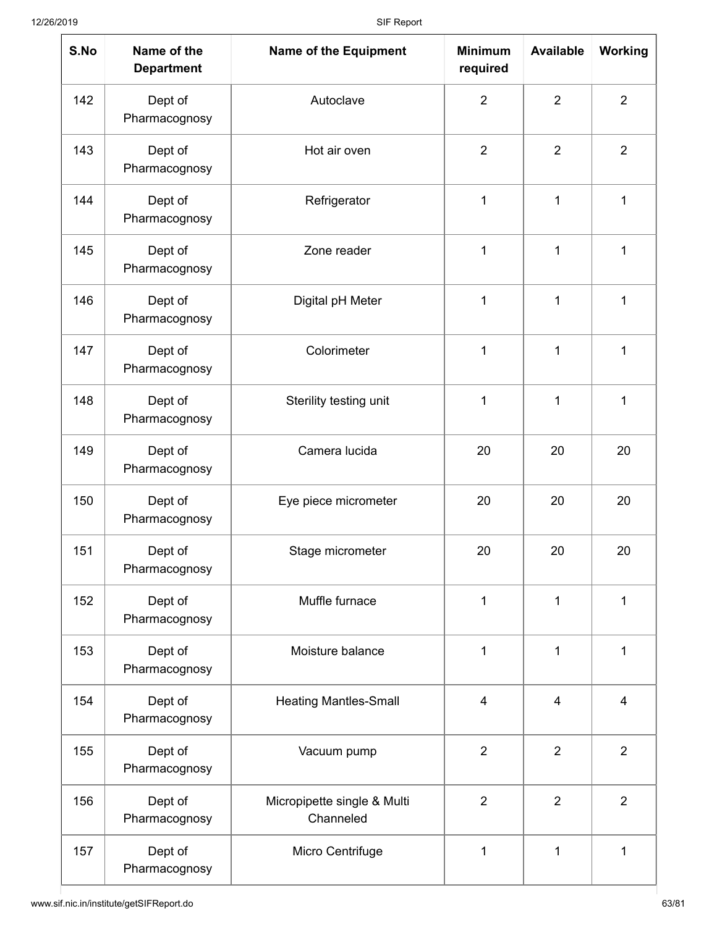| S.No | Name of the<br><b>Department</b> | <b>Name of the Equipment</b>             | <b>Minimum</b><br>required | <b>Available</b> | <b>Working</b> |
|------|----------------------------------|------------------------------------------|----------------------------|------------------|----------------|
| 142  | Dept of<br>Pharmacognosy         | Autoclave                                | $\overline{2}$             | $\overline{2}$   | $\overline{2}$ |
| 143  | Dept of<br>Pharmacognosy         | Hot air oven                             | $\overline{2}$             | $\overline{2}$   | $\overline{2}$ |
| 144  | Dept of<br>Pharmacognosy         | Refrigerator                             | 1                          | 1                | 1              |
| 145  | Dept of<br>Pharmacognosy         | Zone reader                              | 1                          | 1                | 1              |
| 146  | Dept of<br>Pharmacognosy         | Digital pH Meter                         | 1                          | 1                | 1              |
| 147  | Dept of<br>Pharmacognosy         | Colorimeter                              | 1                          |                  | 1              |
| 148  | Dept of<br>Pharmacognosy         | Sterility testing unit                   | 1                          | 1                | 1              |
| 149  | Dept of<br>Pharmacognosy         | Camera lucida                            | 20                         | 20               | 20             |
| 150  | Dept of<br>Pharmacognosy         | Eye piece micrometer                     | 20                         | 20               | 20             |
| 151  | Dept of<br>Pharmacognosy         | Stage micrometer                         | 20                         | 20               | 20             |
| 152  | Dept of<br>Pharmacognosy         | Muffle furnace                           | 1                          | 1                | 1              |
| 153  | Dept of<br>Pharmacognosy         | Moisture balance                         | 1                          | 1                | 1              |
| 154  | Dept of<br>Pharmacognosy         | <b>Heating Mantles-Small</b>             | $\overline{4}$             | $\overline{4}$   | $\overline{4}$ |
| 155  | Dept of<br>Pharmacognosy         | Vacuum pump                              | $\overline{2}$             | $\overline{2}$   | $\overline{2}$ |
| 156  | Dept of<br>Pharmacognosy         | Micropipette single & Multi<br>Channeled | $\overline{2}$             | $\overline{2}$   | $\overline{2}$ |
| 157  | Dept of<br>Pharmacognosy         | Micro Centrifuge                         | 1<br>1                     |                  | 1              |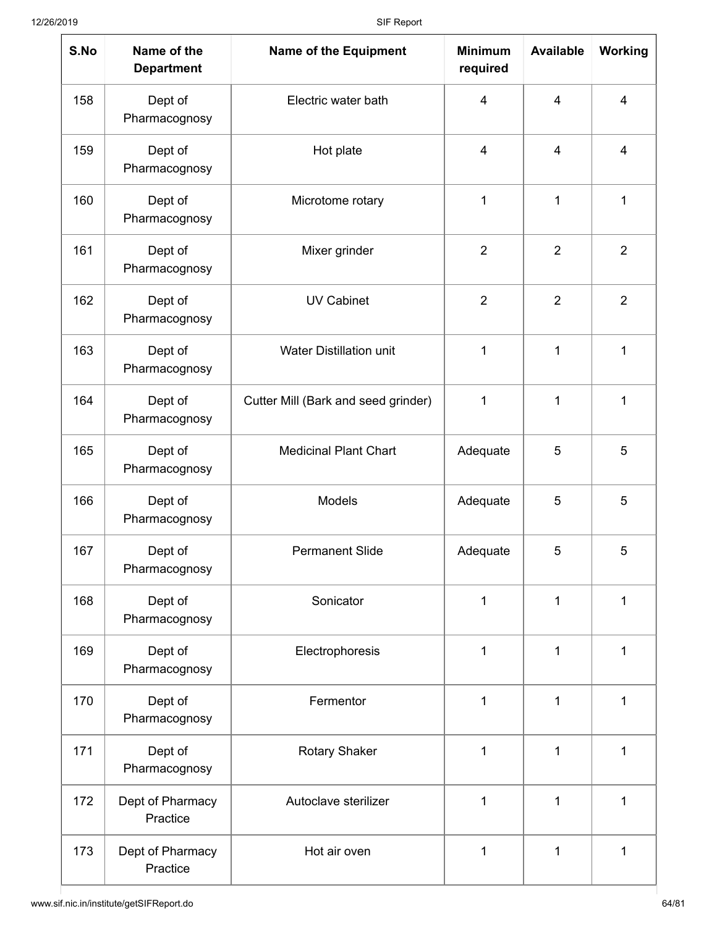| S.No | Name of the<br><b>Department</b> | <b>Name of the Equipment</b>             | <b>Minimum</b><br>required | <b>Available</b>        | <b>Working</b> |
|------|----------------------------------|------------------------------------------|----------------------------|-------------------------|----------------|
| 158  | Dept of<br>Pharmacognosy         | Electric water bath                      | 4                          | $\overline{\mathbf{4}}$ | $\overline{4}$ |
| 159  | Dept of<br>Pharmacognosy         | Hot plate                                | $\overline{\mathcal{A}}$   | $\overline{\mathbf{4}}$ | $\overline{4}$ |
| 160  | Dept of<br>Pharmacognosy         | Microtome rotary                         | 1                          | 1                       | 1              |
| 161  | Dept of<br>Pharmacognosy         | Mixer grinder                            | $\overline{2}$             | $\overline{2}$          | $\overline{2}$ |
| 162  | Dept of<br>Pharmacognosy         | <b>UV Cabinet</b>                        | $\overline{2}$             | $\overline{2}$          | $\overline{2}$ |
| 163  | Dept of<br>Pharmacognosy         | <b>Water Distillation unit</b>           | 1                          |                         | 1              |
| 164  | Dept of<br>Pharmacognosy         | Cutter Mill (Bark and seed grinder)<br>1 |                            | 1                       | 1              |
| 165  | Dept of<br>Pharmacognosy         | <b>Medicinal Plant Chart</b><br>Adequate |                            | 5                       | 5              |
| 166  | Dept of<br>Pharmacognosy         | Models                                   | Adequate                   | 5                       | 5              |
| 167  | Dept of<br>Pharmacognosy         | <b>Permanent Slide</b>                   | Adequate                   | 5                       | 5              |
| 168  | Dept of<br>Pharmacognosy         | Sonicator                                | 1                          | 1                       | 1              |
| 169  | Dept of<br>Pharmacognosy         | Electrophoresis                          | 1                          | 1                       | 1              |
| 170  | Dept of<br>Pharmacognosy         | Fermentor                                | 1                          | 1                       | 1              |
| 171  | Dept of<br>Pharmacognosy         | <b>Rotary Shaker</b>                     | 1<br>1                     |                         | 1              |
| 172  | Dept of Pharmacy<br>Practice     | Autoclave sterilizer                     | 1<br>1                     |                         | 1              |
| 173  | Dept of Pharmacy<br>Practice     | Hot air oven                             | 1<br>1                     |                         | 1              |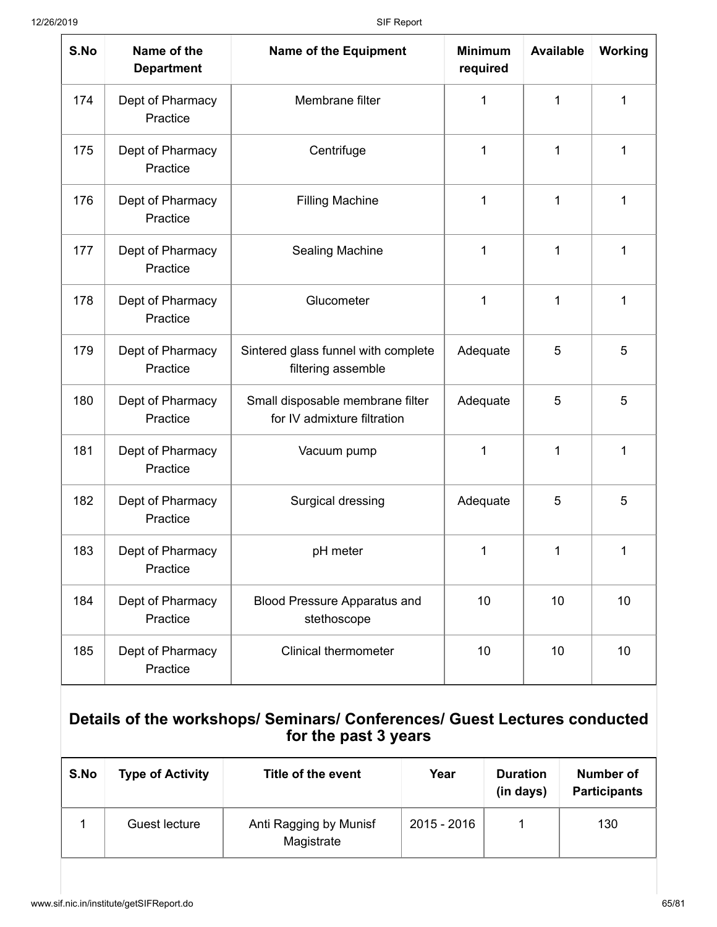| S.No | Name of the<br><b>Department</b> | <b>Name of the Equipment</b>                                    | <b>Minimum</b><br>required | <b>Available</b> | Working |
|------|----------------------------------|-----------------------------------------------------------------|----------------------------|------------------|---------|
| 174  | Dept of Pharmacy<br>Practice     | Membrane filter                                                 | 1                          | 1                | 1       |
| 175  | Dept of Pharmacy<br>Practice     | Centrifuge                                                      | 1                          | 1                | 1       |
| 176  | Dept of Pharmacy<br>Practice     | 1<br><b>Filling Machine</b>                                     |                            | 1                | 1       |
| 177  | Dept of Pharmacy<br>Practice     | <b>Sealing Machine</b><br>1                                     |                            | $\mathbf{1}$     | 1       |
| 178  | Dept of Pharmacy<br>Practice     | Glucometer                                                      | 1                          | 1                | 1       |
| 179  | Dept of Pharmacy<br>Practice     | Sintered glass funnel with complete<br>filtering assemble       | Adequate                   | 5                | 5       |
| 180  | Dept of Pharmacy<br>Practice     | Small disposable membrane filter<br>for IV admixture filtration | Adequate                   | 5                | 5       |
| 181  | Dept of Pharmacy<br>Practice     | Vacuum pump                                                     | 1                          | 1                | 1       |
| 182  | Dept of Pharmacy<br>Practice     | Surgical dressing                                               | Adequate                   | 5                | 5       |
| 183  | Dept of Pharmacy<br>Practice     | pH meter                                                        | 1                          | 1                | 1       |
| 184  | Dept of Pharmacy<br>Practice     | <b>Blood Pressure Apparatus and</b><br>stethoscope              | 10                         | 10               | 10      |
| 185  | Dept of Pharmacy<br>Practice     | <b>Clinical thermometer</b>                                     | 10                         | 10               | 10      |

#### **Details of the workshops/ Seminars/ Conferences/ Guest Lectures conducted for the past 3 years**

| S.No | <b>Type of Activity</b> | Title of the event                   | Year        | <b>Duration</b><br>(in days) | Number of<br><b>Participants</b> |
|------|-------------------------|--------------------------------------|-------------|------------------------------|----------------------------------|
|      | Guest lecture           | Anti Ragging by Munisf<br>Magistrate | 2015 - 2016 |                              | 130                              |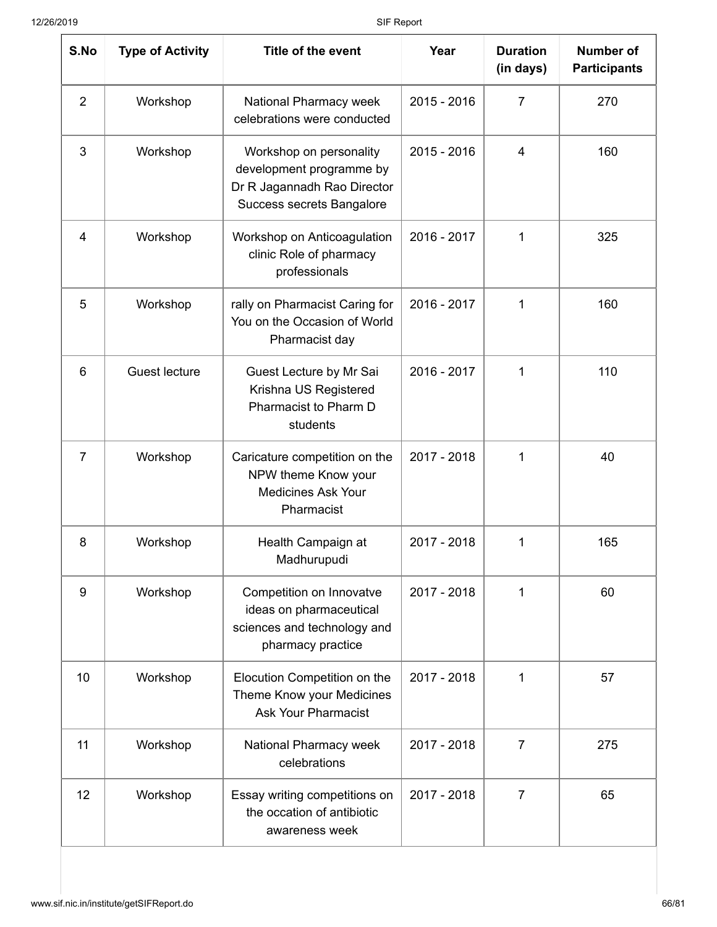| S.No           | <b>Type of Activity</b> | Title of the event                                                                                                     | Year                       | <b>Duration</b><br>(in days) | <b>Number of</b><br><b>Participants</b> |
|----------------|-------------------------|------------------------------------------------------------------------------------------------------------------------|----------------------------|------------------------------|-----------------------------------------|
| $\overline{2}$ | Workshop                | National Pharmacy week<br>celebrations were conducted                                                                  | 2015 - 2016                | $\overline{7}$               | 270                                     |
| 3              | Workshop                | Workshop on personality<br>development programme by<br>Dr R Jagannadh Rao Director<br><b>Success secrets Bangalore</b> | 2015 - 2016                | 4                            | 160                                     |
| $\overline{4}$ | Workshop                | Workshop on Anticoagulation<br>clinic Role of pharmacy<br>professionals                                                | 2016 - 2017<br>$\mathbf 1$ |                              | 325                                     |
| 5              | Workshop                | rally on Pharmacist Caring for<br>You on the Occasion of World<br>Pharmacist day                                       | 2016 - 2017<br>1           |                              | 160                                     |
| 6              | <b>Guest lecture</b>    | Guest Lecture by Mr Sai<br>Krishna US Registered<br>Pharmacist to Pharm D<br>students                                  | 2016 - 2017                | $\mathbf{1}$                 | 110                                     |
| 7              | Workshop                | Caricature competition on the<br>NPW theme Know your<br><b>Medicines Ask Your</b><br>Pharmacist                        | 2017 - 2018                | 1                            | 40                                      |
| 8              | Workshop                | Health Campaign at<br>Madhurupudi                                                                                      | 2017 - 2018                | 1                            | 165                                     |
| 9              | Workshop                | Competition on Innovatve<br>ideas on pharmaceutical<br>sciences and technology and<br>pharmacy practice                | 2017 - 2018                | 1                            | 60                                      |
| 10             | Workshop                | Elocution Competition on the<br>Theme Know your Medicines<br><b>Ask Your Pharmacist</b>                                | 2017 - 2018                | $\mathbf 1$                  | 57                                      |
| 11             | Workshop                | National Pharmacy week<br>celebrations                                                                                 | 2017 - 2018                | $\overline{7}$               | 275                                     |
| 12             | Workshop                | Essay writing competitions on<br>the occation of antibiotic<br>awareness week                                          | 2017 - 2018                | $\overline{7}$               | 65                                      |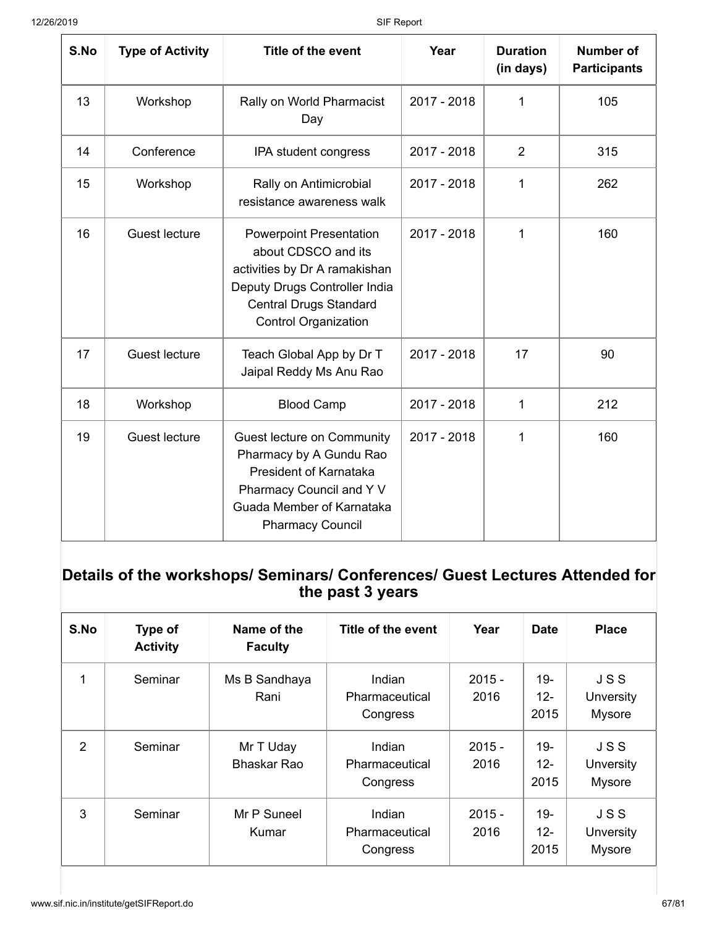| S.No | <b>Type of Activity</b> | Title of the event                                                                                                                                                                      | Year                        | <b>Duration</b><br>(in days) | <b>Number of</b><br><b>Participants</b> |
|------|-------------------------|-----------------------------------------------------------------------------------------------------------------------------------------------------------------------------------------|-----------------------------|------------------------------|-----------------------------------------|
| 13   | Workshop                | Rally on World Pharmacist<br>Day                                                                                                                                                        | 2017 - 2018                 | 1                            | 105                                     |
| 14   | Conference              | IPA student congress                                                                                                                                                                    | 2017 - 2018                 | $\overline{2}$               | 315                                     |
| 15   | Workshop                | Rally on Antimicrobial<br>resistance awareness walk                                                                                                                                     | 2017 - 2018<br>$\mathbf{1}$ |                              | 262                                     |
| 16   | <b>Guest lecture</b>    | <b>Powerpoint Presentation</b><br>about CDSCO and its<br>activities by Dr A ramakishan<br>Deputy Drugs Controller India<br><b>Central Drugs Standard</b><br><b>Control Organization</b> | 2017 - 2018                 | $\mathbf 1$                  | 160                                     |
| 17   | Guest lecture           | Teach Global App by Dr T<br>Jaipal Reddy Ms Anu Rao                                                                                                                                     | 2017 - 2018                 | 17                           | 90                                      |
| 18   | Workshop                | <b>Blood Camp</b>                                                                                                                                                                       | 2017 - 2018                 | 1                            | 212                                     |
| 19   | Guest lecture           | Guest lecture on Community<br>Pharmacy by A Gundu Rao<br><b>President of Karnataka</b><br>Pharmacy Council and Y V<br>Guada Member of Karnataka<br><b>Pharmacy Council</b>              | 2017 - 2018                 | 1                            | 160                                     |

### **Details of the workshops/ Seminars/ Conferences/ Guest Lectures Attended for the past 3 years**

| S.No           | Type of<br><b>Activity</b> | Name of the<br><b>Faculty</b>   | Title of the event                   | Year             |                          | <b>Place</b>                      |
|----------------|----------------------------|---------------------------------|--------------------------------------|------------------|--------------------------|-----------------------------------|
| 1              | Seminar                    | Ms B Sandhaya<br>Rani           | Indian<br>Pharmaceutical<br>Congress | $2015 -$<br>2016 | 19-<br>$12-$<br>2015     | <b>JSS</b><br>Unversity<br>Mysore |
| $\overline{2}$ | Seminar                    | Mr T Uday<br><b>Bhaskar Rao</b> | Indian<br>Pharmaceutical<br>Congress | $2015 -$<br>2016 | $19 -$<br>$12 -$<br>2015 | <b>JSS</b><br>Unversity<br>Mysore |
| 3              | Seminar                    | Mr P Suneel<br>Kumar            | Indian<br>Pharmaceutical<br>Congress | $2015 -$<br>2016 | $19 -$<br>$12 -$<br>2015 | <b>JSS</b><br>Unversity<br>Mysore |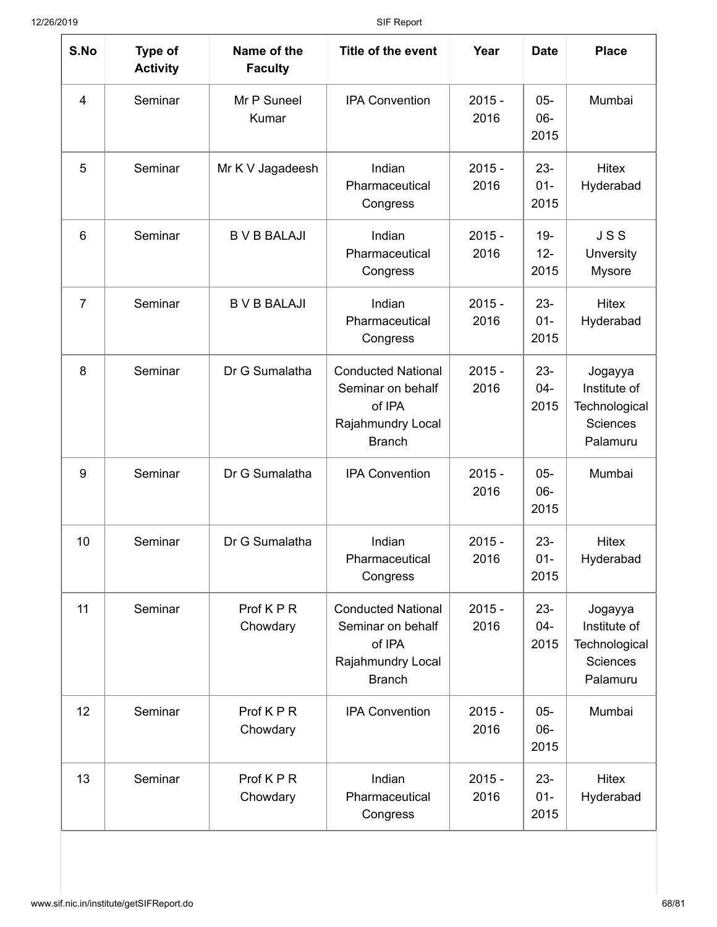| S.No            | Type of<br><b>Activity</b> | Name of the<br><b>Faculty</b> | Title of the event                                                                             | Year             | <b>Date</b>              | <b>Place</b>                                                     |
|-----------------|----------------------------|-------------------------------|------------------------------------------------------------------------------------------------|------------------|--------------------------|------------------------------------------------------------------|
| $\overline{4}$  | Seminar                    | Mr P Suneel<br>Kumar          | <b>IPA Convention</b>                                                                          | $2015 -$<br>2016 | $05 -$<br>$06 -$<br>2015 | Mumbai                                                           |
| 5               | Seminar                    | Mr K V Jagadeesh              | Indian<br>Pharmaceutical<br>Congress                                                           | $2015 -$<br>2016 | $23 -$<br>$01 -$<br>2015 | Hitex<br>Hyderabad                                               |
| $6\phantom{1}6$ | Seminar                    | <b>B V B BALAJI</b>           | Indian<br>$2015 -$<br>2016<br>Pharmaceutical<br>Congress<br>Indian                             |                  | $19 -$<br>$12 -$<br>2015 | <b>JSS</b><br>Unversity<br><b>Mysore</b>                         |
| $\overline{7}$  | Seminar                    | <b>B V B BALAJI</b>           | Pharmaceutical<br>Congress                                                                     | $2015 -$<br>2016 |                          | <b>Hitex</b><br>Hyderabad                                        |
| 8               | Seminar                    | Dr G Sumalatha                | <b>Conducted National</b><br>Seminar on behalf<br>of IPA<br>Rajahmundry Local<br><b>Branch</b> | $2015 -$<br>2016 | $23 -$<br>$04 -$<br>2015 | Jogayya<br>Institute of<br>Technological<br>Sciences<br>Palamuru |
| 9               | Seminar                    | Dr G Sumalatha                | <b>IPA Convention</b>                                                                          | $2015 -$<br>2016 | $05 -$<br>$06 -$<br>2015 | Mumbai                                                           |
| 10              | Seminar                    | Dr G Sumalatha                | Indian<br>Pharmaceutical<br>Congress                                                           | $2015 -$<br>2016 | $23 -$<br>$01 -$<br>2015 | <b>Hitex</b><br>Hyderabad                                        |
| 11              | Seminar                    | Prof KPR<br>Chowdary          | <b>Conducted National</b><br>Seminar on behalf<br>of IPA<br>Rajahmundry Local<br><b>Branch</b> | $2015 -$<br>2016 | $23 -$<br>$04 -$<br>2015 | Jogayya<br>Institute of<br>Technological<br>Sciences<br>Palamuru |
| 12              | Seminar                    | Prof KPR<br>Chowdary          | <b>IPA Convention</b>                                                                          | $2015 -$<br>2016 | $05 -$<br>$06 -$<br>2015 | Mumbai                                                           |
| 13              | Seminar                    | Prof KPR<br>Chowdary          | Indian<br>Pharmaceutical<br>Congress                                                           | $2015 -$<br>2016 | $23 -$<br>$01 -$<br>2015 | Hitex<br>Hyderabad                                               |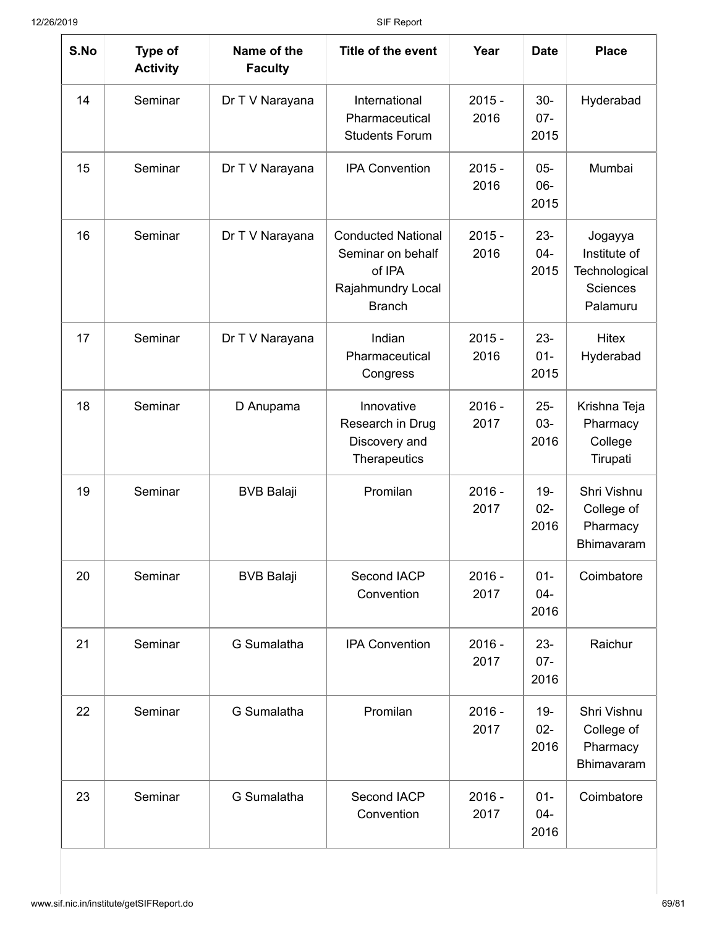| S.No | Type of<br><b>Activity</b> | Name of the<br><b>Faculty</b> | Title of the event                                                                                                 | Year             | <b>Date</b>              | <b>Place</b>                                                            |
|------|----------------------------|-------------------------------|--------------------------------------------------------------------------------------------------------------------|------------------|--------------------------|-------------------------------------------------------------------------|
| 14   | Seminar                    | Dr T V Narayana               | International<br>Pharmaceutical<br><b>Students Forum</b>                                                           | $2015 -$<br>2016 | $30-$<br>$07 -$<br>2015  | Hyderabad                                                               |
| 15   | Seminar                    | Dr T V Narayana               | <b>IPA Convention</b><br>$2015 -$<br>2016                                                                          |                  | $05 -$<br>$06 -$<br>2015 | Mumbai                                                                  |
| 16   | Seminar                    | Dr T V Narayana               | <b>Conducted National</b><br>$2015 -$<br>2016<br>Seminar on behalf<br>of IPA<br>Rajahmundry Local<br><b>Branch</b> |                  | $23 -$<br>$04 -$<br>2015 | Jogayya<br>Institute of<br>Technological<br><b>Sciences</b><br>Palamuru |
| 17   | Seminar                    | Dr T V Narayana               | Indian<br>Pharmaceutical<br>Congress                                                                               | $2015 -$<br>2016 |                          | <b>Hitex</b><br>Hyderabad                                               |
| 18   | Seminar                    | D Anupama                     | Innovative<br>Research in Drug<br>Discovery and<br>Therapeutics                                                    | $2016 -$<br>2017 |                          | Krishna Teja<br>Pharmacy<br>College<br>Tirupati                         |
| 19   | Seminar                    | <b>BVB Balaji</b>             | Promilan                                                                                                           | $2016 -$<br>2017 | $19 -$<br>$02-$<br>2016  | Shri Vishnu<br>College of<br>Pharmacy<br>Bhimavaram                     |
| 20   | Seminar                    | <b>BVB Balaji</b>             | Second IACP<br>Convention                                                                                          | $2016 -$<br>2017 | $01 -$<br>$04 -$<br>2016 | Coimbatore                                                              |
| 21   | Seminar                    | G Sumalatha                   | <b>IPA Convention</b>                                                                                              | $2016 -$<br>2017 | $23 -$<br>$07 -$<br>2016 | Raichur                                                                 |
| 22   | Seminar                    | G Sumalatha                   | Promilan                                                                                                           | $2016 -$<br>2017 | $19 -$<br>$02 -$<br>2016 | Shri Vishnu<br>College of<br>Pharmacy<br>Bhimavaram                     |
| 23   | Seminar                    | G Sumalatha                   | Second IACP<br>Convention                                                                                          | $2016 -$<br>2017 | $01 -$<br>$04 -$<br>2016 | Coimbatore                                                              |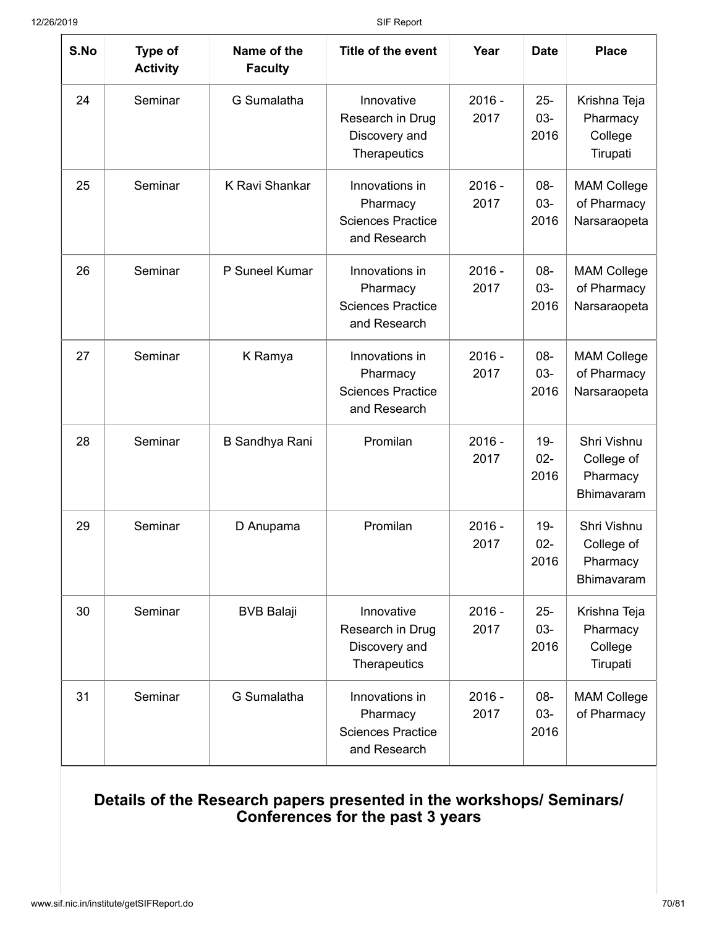| S.No | Type of<br><b>Activity</b> | Name of the<br><b>Faculty</b> | Title of the event                                                     | Year             | <b>Date</b>              | <b>Place</b>                                               |
|------|----------------------------|-------------------------------|------------------------------------------------------------------------|------------------|--------------------------|------------------------------------------------------------|
| 24   | Seminar                    | G Sumalatha                   | Innovative<br>Research in Drug<br>Discovery and<br>Therapeutics        | $2016 -$<br>2017 | $25 -$<br>$03 -$<br>2016 | Krishna Teja<br>Pharmacy<br>College<br>Tirupati            |
| 25   | Seminar                    | K Ravi Shankar                | Innovations in<br>Pharmacy<br><b>Sciences Practice</b><br>and Research | $2016 -$<br>2017 | 08-<br>$03 -$<br>2016    | <b>MAM College</b><br>of Pharmacy<br>Narsaraopeta          |
| 26   | Seminar                    | P Suneel Kumar                | Innovations in<br>Pharmacy<br><b>Sciences Practice</b><br>and Research | $2016 -$<br>2017 | 08-<br>$03 -$<br>2016    | <b>MAM College</b><br>of Pharmacy<br>Narsaraopeta          |
| 27   | Seminar                    | K Ramya                       | Innovations in<br>Pharmacy<br><b>Sciences Practice</b><br>and Research | $2016 -$<br>2017 | 08-<br>$03 -$<br>2016    | <b>MAM College</b><br>of Pharmacy<br>Narsaraopeta          |
| 28   | Seminar                    | <b>B Sandhya Rani</b>         | Promilan                                                               | $2016 -$<br>2017 | $19-$<br>$02 -$<br>2016  | Shri Vishnu<br>College of<br>Pharmacy<br><b>Bhimavaram</b> |
| 29   | Seminar                    | D Anupama                     | Promilan                                                               | $2016 -$<br>2017 | $19 -$<br>$02 -$<br>2016 | Shri Vishnu<br>College of<br>Pharmacy<br>Bhimavaram        |
| 30   | Seminar                    | <b>BVB Balaji</b>             | Innovative<br>Research in Drug<br>Discovery and<br>Therapeutics        | $2016 -$<br>2017 |                          | Krishna Teja<br>Pharmacy<br>College<br>Tirupati            |
| 31   | Seminar                    | G Sumalatha                   | Innovations in<br>Pharmacy<br><b>Sciences Practice</b><br>and Research | $2016 -$<br>2017 | $08 -$<br>$03 -$<br>2016 | <b>MAM College</b><br>of Pharmacy                          |

#### **Details of the Research papers presented in the workshops/ Seminars/ Conferences for the past 3 years**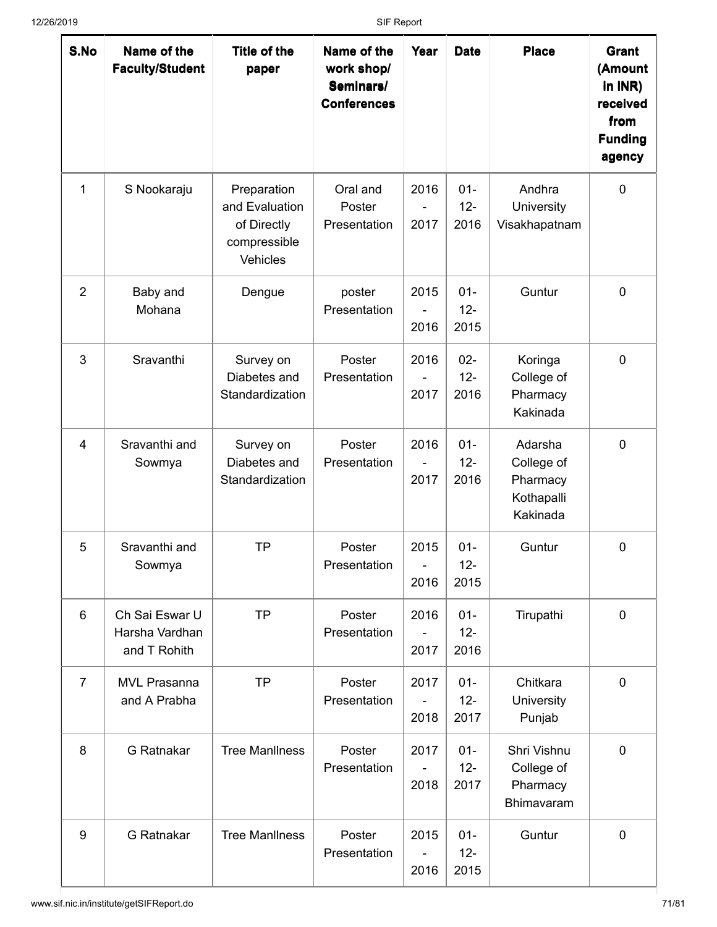| S.No           | Name of the<br><b>Faculty/Student</b>            | Title of the<br>paper                                                    | Name of the<br>work shop/<br>Seminars/<br><b>Conferences</b> | Year                           | <b>Date</b>              | <b>Place</b>                                                | Grant<br>(Amount<br>$ln$ INR)<br>received<br>from<br><b>Funding</b><br>agency |
|----------------|--------------------------------------------------|--------------------------------------------------------------------------|--------------------------------------------------------------|--------------------------------|--------------------------|-------------------------------------------------------------|-------------------------------------------------------------------------------|
| 1              | S Nookaraju                                      | Preparation<br>and Evaluation<br>of Directly<br>compressible<br>Vehicles | Oral and<br>Poster<br>Presentation                           | 2016<br>2017                   | $01 -$<br>$12-$<br>2016  | Andhra<br>University<br>Visakhapatnam                       | $\mathbf 0$                                                                   |
| $\overline{2}$ | Baby and<br>Mohana                               | Dengue                                                                   | poster<br>Presentation                                       | 2015<br>2016                   | $01 -$<br>$12 -$<br>2015 | Guntur                                                      | $\mathbf 0$                                                                   |
| 3              | Sravanthi                                        | Survey on<br>Diabetes and<br>Standardization                             | Poster<br>Presentation                                       | 2016<br>2017                   | $02 -$<br>$12 -$<br>2016 | Koringa<br>College of<br>Pharmacy<br>Kakinada               | $\mathbf 0$                                                                   |
| 4              | Sravanthi and<br>Sowmya                          | Survey on<br>Diabetes and<br>Standardization                             | Poster<br>Presentation                                       | 2016<br>2017                   | $01 -$<br>$12 -$<br>2016 | Adarsha<br>College of<br>Pharmacy<br>Kothapalli<br>Kakinada | $\mathbf 0$                                                                   |
| 5              | Sravanthi and<br>Sowmya                          | <b>TP</b>                                                                | Poster<br>Presentation                                       | 2015<br>$\overline{a}$<br>2016 | $01 -$<br>$12 -$<br>2015 | Guntur                                                      | $\mathbf 0$                                                                   |
| 6              | Ch Sai Eswar U<br>Harsha Vardhan<br>and T Rohith | <b>TP</b>                                                                | Poster<br>Presentation                                       | 2016<br>2017                   | $01 -$<br>$12 -$<br>2016 | Tirupathi                                                   | $\mathbf 0$                                                                   |
| 7              | <b>MVL Prasanna</b><br>and A Prabha              | <b>TP</b>                                                                | Poster<br>Presentation                                       | 2017<br>2018                   | $01 -$<br>$12 -$<br>2017 | Chitkara<br>University<br>Punjab                            | $\pmb{0}$                                                                     |
| 8              | <b>G</b> Ratnakar                                | <b>Tree Manliness</b>                                                    | Poster<br>Presentation                                       | 2017<br>2018                   | $01 -$<br>$12 -$<br>2017 | Shri Vishnu<br>College of<br>Pharmacy<br>Bhimavaram         | $\mathbf 0$                                                                   |
| 9              | G Ratnakar                                       | <b>Tree Manliness</b>                                                    | Poster<br>Presentation                                       | 2015<br>2016                   | $01 -$<br>$12 -$<br>2015 | Guntur                                                      | $\mathbf 0$                                                                   |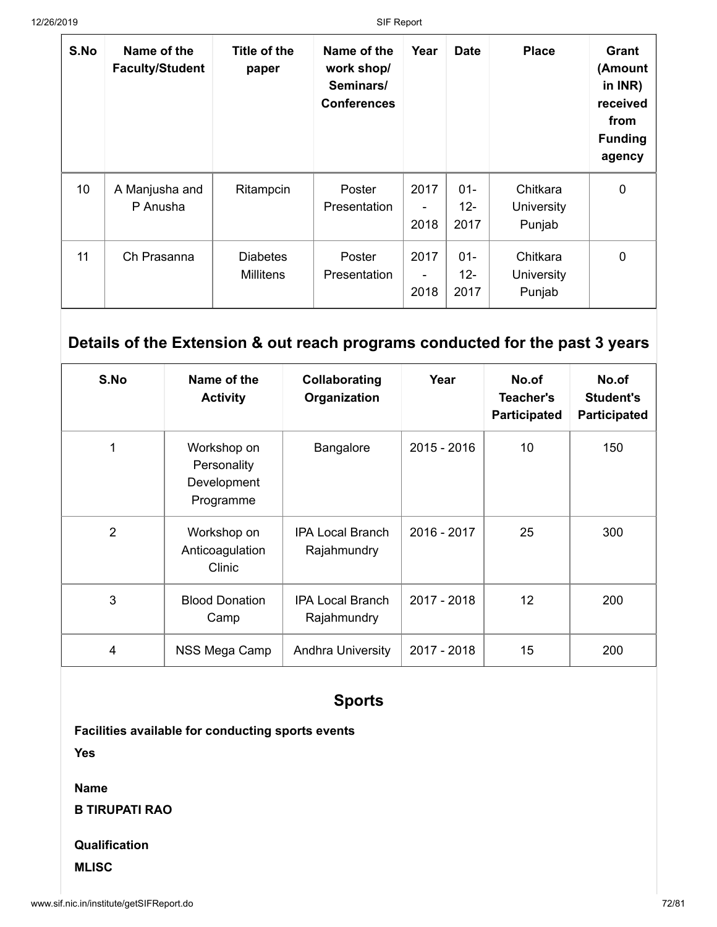| S.No | Name of the<br><b>Faculty/Student</b> | Title of the<br>paper               | Name of the<br>work shop/<br>Seminars/<br><b>Conferences</b> | Year                                     | <b>Date</b>              | <b>Place</b>                     | Grant<br>(Amount<br>in $INR$ )<br>received<br>from<br><b>Funding</b><br>agency |
|------|---------------------------------------|-------------------------------------|--------------------------------------------------------------|------------------------------------------|--------------------------|----------------------------------|--------------------------------------------------------------------------------|
| 10   | A Manjusha and<br>P Anusha            | Ritampcin                           | Poster<br>Presentation                                       | 2017<br>2018                             | $01 -$<br>$12 -$<br>2017 | Chitkara<br>University<br>Punjab | $\Omega$                                                                       |
| 11   | Ch Prasanna                           | <b>Diabetes</b><br><b>Millitens</b> | Poster<br>Presentation                                       | 2017<br>$\overline{\phantom{a}}$<br>2018 | $01 -$<br>$12 -$<br>2017 | Chitkara<br>University<br>Punjab | 0                                                                              |

### **Details of the Extension & out reach programs conducted for the past 3 years**

| S.No           | Name of the<br><b>Activity</b>                         | Collaborating<br>Organization          | Year        | No.of<br>Teacher's<br>Participated | No.of<br>Student's<br>Participated |
|----------------|--------------------------------------------------------|----------------------------------------|-------------|------------------------------------|------------------------------------|
|                | Workshop on<br>Personality<br>Development<br>Programme | Bangalore                              | 2015 - 2016 | 10                                 | 150                                |
| $\overline{2}$ | Workshop on<br>Anticoagulation<br>Clinic               | <b>IPA Local Branch</b><br>Rajahmundry | 2016 - 2017 | 25                                 | 300                                |
| 3              | <b>Blood Donation</b><br>Camp                          | <b>IPA Local Branch</b><br>Rajahmundry | 2017 - 2018 | 12                                 | 200                                |
| 4              | NSS Mega Camp                                          | <b>Andhra University</b>               | 2017 - 2018 | 15                                 | 200                                |

#### **Sports**

**Facilities available for conducting sports events**

**Yes**

**Name**

**B TIRUPATI RAO**

#### **Qualification**

**MLISC**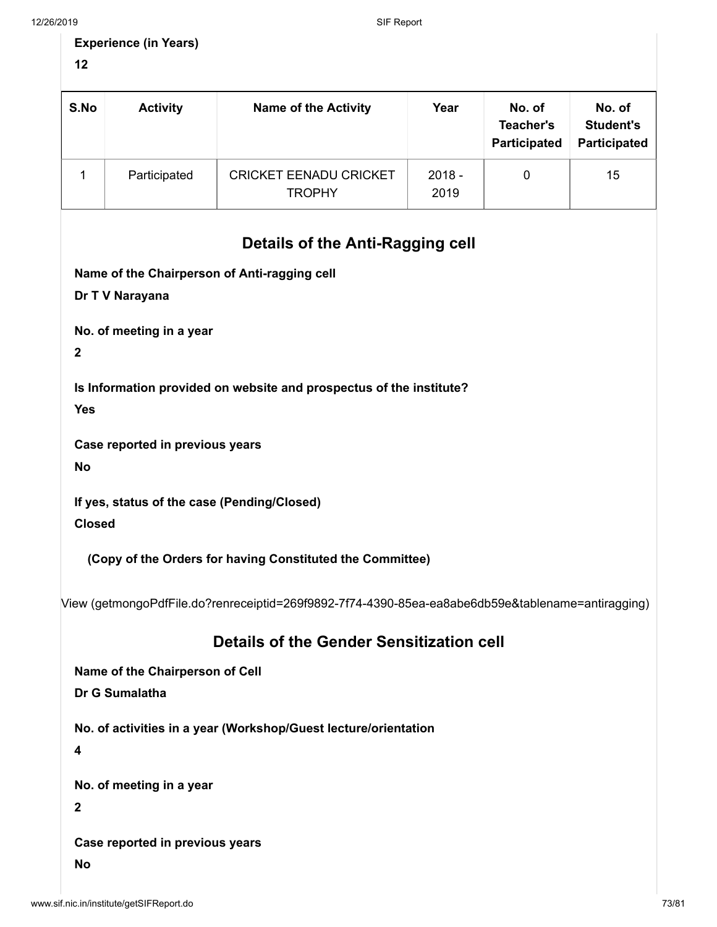| <b>Experience (in Years)</b> |  |
|------------------------------|--|
|------------------------------|--|

**12**

| S.No | <b>Activity</b> | <b>Name of the Activity</b>                    | Year             | No. of<br><b>Teacher's</b><br>Participated | No. of<br><b>Student's</b><br><b>Participated</b> |
|------|-----------------|------------------------------------------------|------------------|--------------------------------------------|---------------------------------------------------|
|      | Participated    | <b>CRICKET EENADU CRICKET</b><br><b>TROPHY</b> | $2018 -$<br>2019 | 0                                          | 15                                                |
|      |                 | But the states Audi Beach, a sell              |                  |                                            |                                                   |

## **Details of the Anti-Ragging cell**

**Name of the Chairperson of Anti-ragging cell**

**Dr T V Narayana**

**No. of meeting in a year**

**2**

**Is Information provided on website and prospectus of the institute?**

**Yes**

**Case reported in previous years**

**No**

**If yes, status of the case (Pending/Closed)**

**Closed**

**(Copy of the Orders for having Constituted the Committee)**

[View \(getmongoPdfFile.do?renreceiptid=269f9892-7f74-4390-85ea-ea8abe6db59e&tablename=antiragging\)](http://www.sif.nic.in/institute/getmongoPdfFile.do?renreceiptid=269f9892-7f74-4390-85ea-ea8abe6db59e&tablename=antiragging)

### **Details of the Gender Sensitization cell**

**Name of the Chairperson of Cell**

**Dr G Sumalatha**

**No. of activities in a year (Workshop/Guest lecture/orientation**

**4**

**No. of meeting in a year**

**2**

**Case reported in previous years**

**No**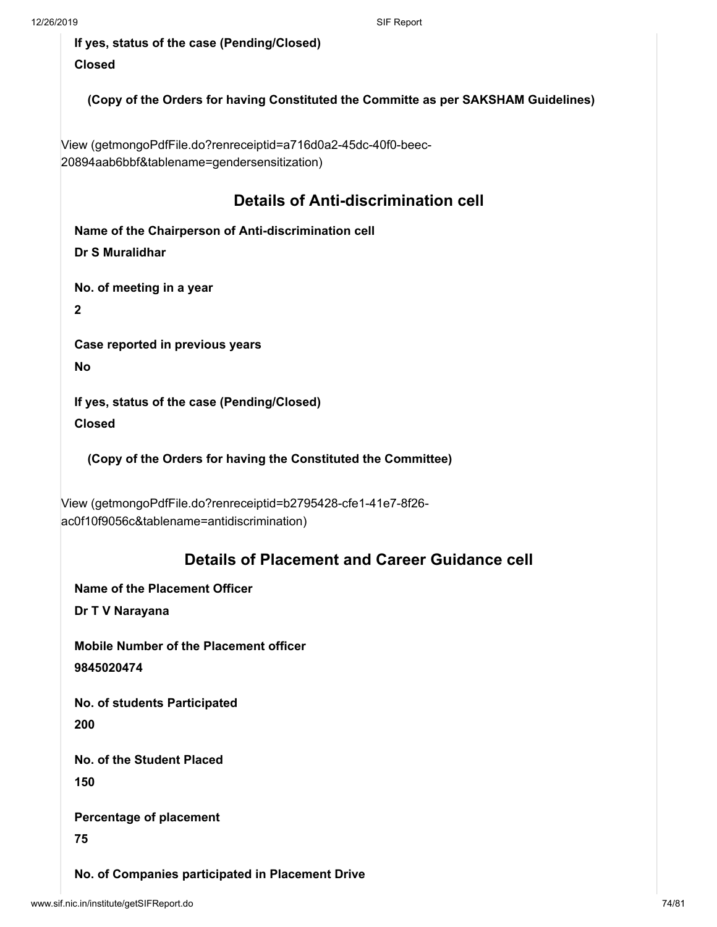**If yes, status of the case (Pending/Closed) Closed**

**(Copy of the Orders for having Constituted the Committe as per SAKSHAM Guidelines)**

[View \(getmongoPdfFile.do?renreceiptid=a716d0a2-45dc-40f0-beec-](http://www.sif.nic.in/institute/getmongoPdfFile.do?renreceiptid=a716d0a2-45dc-40f0-beec-20894aab6bbf&tablename=gendersensitization)20894aab6bbf&tablename=gendersensitization)

## **Details of Anti-discrimination cell**

**Name of the Chairperson of Anti-discrimination cell Dr S Muralidhar**

**No. of meeting in a year**

**2**

**Case reported in previous years**

**No**

**If yes, status of the case (Pending/Closed) Closed**

**(Copy of the Orders for having the Constituted the Committee)**

[View \(getmongoPdfFile.do?renreceiptid=b2795428-cfe1-41e7-8f26](http://www.sif.nic.in/institute/getmongoPdfFile.do?renreceiptid=b2795428-cfe1-41e7-8f26-ac0f10f9056c&tablename=antidiscrimination) ac0f10f9056c&tablename=antidiscrimination)

## **Details of Placement and Career Guidance cell**

**Name of the Placement Officer**

**Dr T V Narayana**

**Mobile Number of the Placement officer 9845020474**

**No. of students Participated 200**

**No. of the Student Placed 150**

**Percentage of placement**

**75**

**No. of Companies participated in Placement Drive**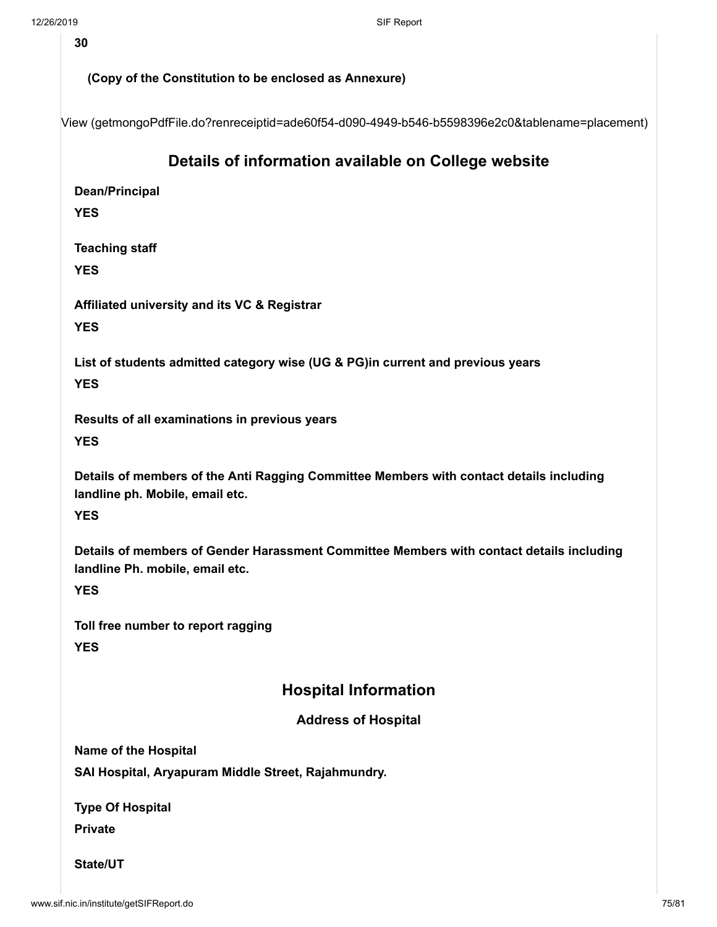**30**

#### **(Copy of the Constitution to be enclosed as Annexure)**

[View \(getmongoPdfFile.do?renreceiptid=ade60f54-d090-4949-b546-b5598396e2c0&tablename=placement\)](http://www.sif.nic.in/institute/getmongoPdfFile.do?renreceiptid=ade60f54-d090-4949-b546-b5598396e2c0&tablename=placement)

### **Details of information available on College website**

**Dean/Principal**

**YES**

**Teaching staff**

**YES**

**Affiliated university and its VC & Registrar**

**YES**

**List of students admitted category wise (UG & PG)in current and previous years YES**

**Results of all examinations in previous years**

**YES**

**Details of members of the Anti Ragging Committee Members with contact details including landline ph. Mobile, email etc.**

**YES**

**Details of members of Gender Harassment Committee Members with contact details including landline Ph. mobile, email etc.**

**YES**

**Toll free number to report ragging YES**

### **Hospital Information**

#### **Address of Hospital**

**Name of the Hospital**

**SAI Hospital, Aryapuram Middle Street, Rajahmundry.**

**Type Of Hospital**

**Private**

**State/UT**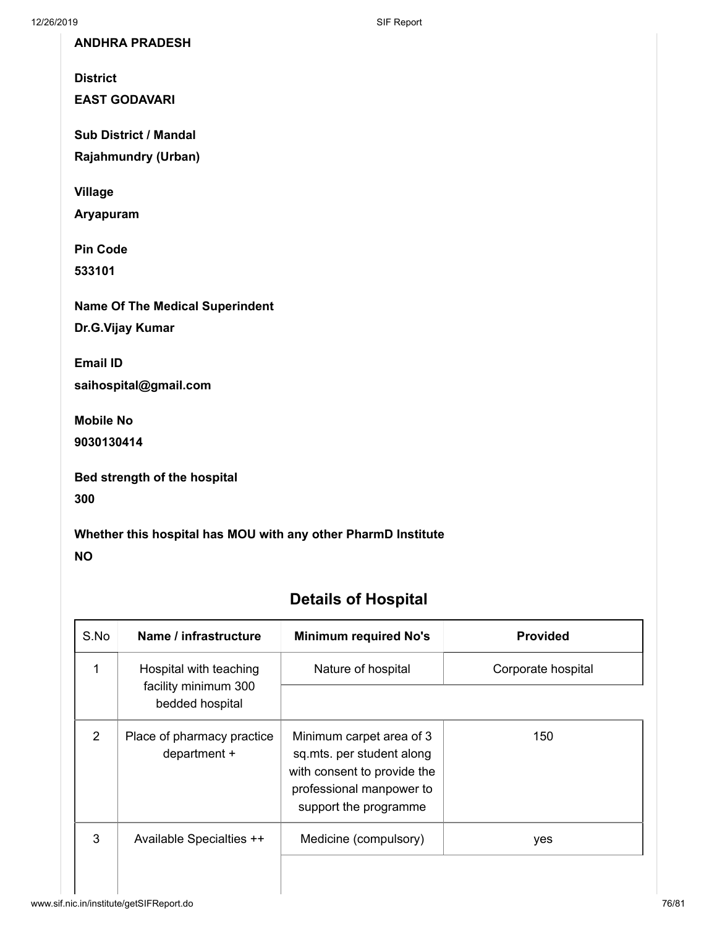**ANDHRA PRADESH**

**District**

**EAST GODAVARI**

**Sub District / Mandal**

**Rajahmundry (Urban)**

**Village**

**Aryapuram**

**Pin Code**

**533101**

**Name Of The Medical Superindent Dr.G.Vijay Kumar**

**Email ID**

**saihospital@gmail.com**

**Mobile No**

**9030130414**

| <b>Bed strength of the hospital</b> |  |  |
|-------------------------------------|--|--|
|                                     |  |  |

**300**

#### **Whether this hospital has MOU with any other PharmD Institute**

**NO**

# **Details of Hospital**

| S.No          | Name / infrastructure                                             | <b>Minimum required No's</b>                                                                                                              | <b>Provided</b>    |
|---------------|-------------------------------------------------------------------|-------------------------------------------------------------------------------------------------------------------------------------------|--------------------|
| 1             | Hospital with teaching<br>facility minimum 300<br>bedded hospital | Nature of hospital                                                                                                                        | Corporate hospital |
| $\mathcal{P}$ | Place of pharmacy practice<br>department +                        | Minimum carpet area of 3<br>sq.mts. per student along<br>with consent to provide the<br>professional manpower to<br>support the programme | 150                |
| 3             | Available Specialties ++                                          | Medicine (compulsory)                                                                                                                     | yes                |
|               |                                                                   |                                                                                                                                           |                    |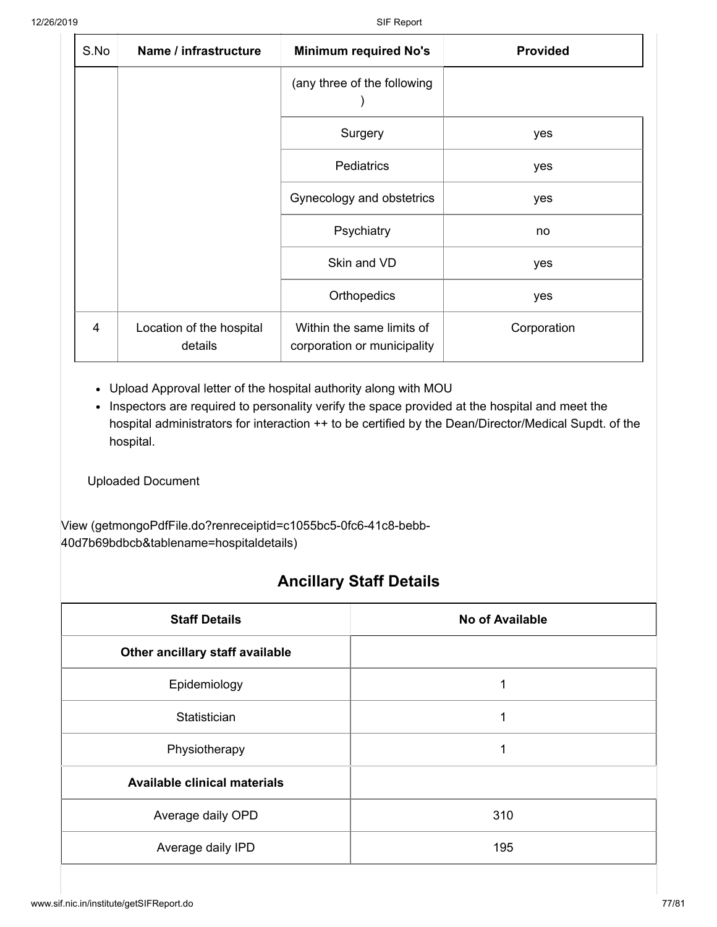| S.No | Name / infrastructure               | <b>Minimum required No's</b><br><b>Provided</b>          |             |  |
|------|-------------------------------------|----------------------------------------------------------|-------------|--|
|      |                                     | (any three of the following                              |             |  |
|      |                                     | Surgery                                                  | yes         |  |
|      |                                     | <b>Pediatrics</b>                                        | yes         |  |
|      |                                     | Gynecology and obstetrics                                | yes         |  |
|      |                                     | Psychiatry                                               | no          |  |
|      |                                     | Skin and VD                                              | yes         |  |
|      |                                     | Orthopedics                                              | yes         |  |
| 4    | Location of the hospital<br>details | Within the same limits of<br>corporation or municipality | Corporation |  |

- Upload Approval letter of the hospital authority along with MOU
- Inspectors are required to personality verify the space provided at the hospital and meet the hospital administrators for interaction ++ to be certified by the Dean/Director/Medical Supdt. of the hospital.

Uploaded Document

[View \(getmongoPdfFile.do?renreceiptid=c1055bc5-0fc6-41c8-bebb-](http://www.sif.nic.in/institute/getmongoPdfFile.do?renreceiptid=c1055bc5-0fc6-41c8-bebb-40d7b69bdbcb&tablename=hospitaldetails)40d7b69bdbcb&tablename=hospitaldetails)

### **Ancillary Staff Details**

| <b>Staff Details</b>                | <b>No of Available</b> |  |  |  |
|-------------------------------------|------------------------|--|--|--|
| Other ancillary staff available     |                        |  |  |  |
| Epidemiology                        | 1                      |  |  |  |
| Statistician                        | 1<br>1                 |  |  |  |
| Physiotherapy                       |                        |  |  |  |
| <b>Available clinical materials</b> |                        |  |  |  |
| Average daily OPD                   | 310                    |  |  |  |
| Average daily IPD                   | 195                    |  |  |  |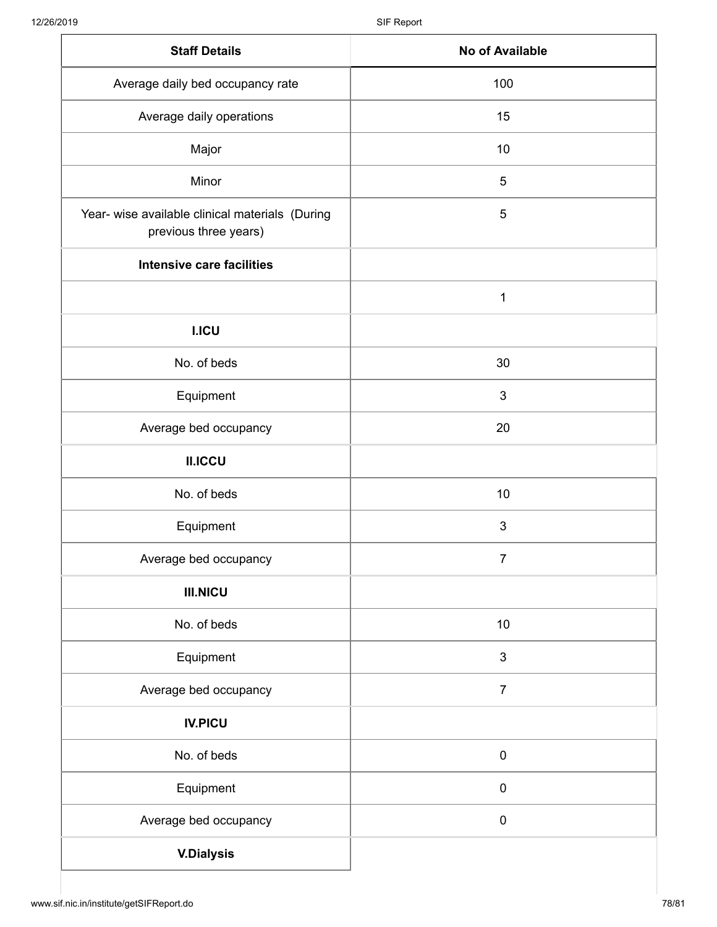| <b>Staff Details</b>                                                     | No of Available |
|--------------------------------------------------------------------------|-----------------|
| Average daily bed occupancy rate                                         | 100             |
| Average daily operations                                                 | 15              |
| Major                                                                    | 10              |
| Minor                                                                    | 5               |
| Year- wise available clinical materials (During<br>previous three years) | 5               |
| <b>Intensive care facilities</b>                                         |                 |
|                                                                          | 1               |
| <b>I.ICU</b>                                                             |                 |
| No. of beds                                                              | 30              |
| Equipment                                                                | $\mathfrak{B}$  |
| Average bed occupancy                                                    | 20              |
| <b>II.ICCU</b>                                                           |                 |
| No. of beds                                                              | 10              |
| Equipment                                                                | $\mathfrak{B}$  |
| Average bed occupancy                                                    | $\overline{7}$  |
| <b>III.NICU</b>                                                          |                 |
| No. of beds                                                              | 10              |
| Equipment                                                                | $\mathfrak{S}$  |
| Average bed occupancy                                                    | $\overline{7}$  |
| <b>IV.PICU</b>                                                           |                 |
| No. of beds                                                              | $\pmb{0}$       |
| Equipment                                                                | $\pmb{0}$       |
| Average bed occupancy                                                    | $\pmb{0}$       |
| <b>V.Dialysis</b>                                                        |                 |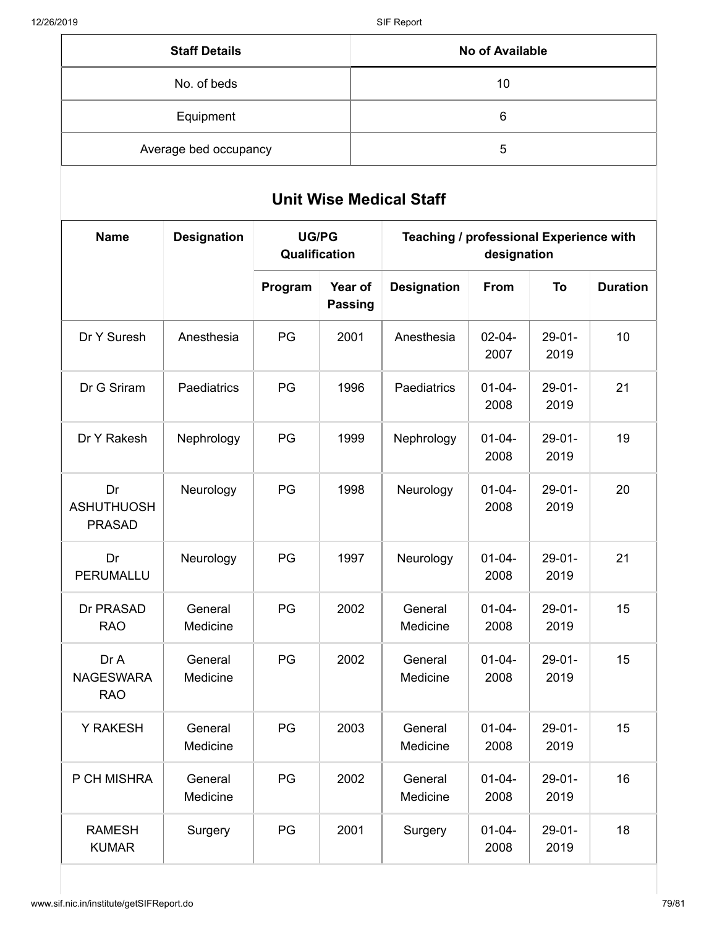| <b>Staff Details</b>  | No of Available |
|-----------------------|-----------------|
| No. of beds           | 10              |
| Equipment             | 6               |
| Average bed occupancy | 5               |

# **Unit Wise Medical Staff**

| <b>Name</b>                              | <b>Designation</b>  | <b>UG/PG</b><br>Qualification |                           | Teaching / professional Experience with<br>designation |                     |                     |                 |
|------------------------------------------|---------------------|-------------------------------|---------------------------|--------------------------------------------------------|---------------------|---------------------|-----------------|
|                                          |                     | Program                       | Year of<br><b>Passing</b> | <b>Designation</b>                                     | From                | To                  | <b>Duration</b> |
| Dr Y Suresh                              | Anesthesia          | PG                            | 2001                      | Anesthesia                                             | $02 - 04 -$<br>2007 | $29-01-$<br>2019    | 10              |
| Dr G Sriram                              | Paediatrics         | PG                            | 1996                      | Paediatrics                                            | $01 - 04 -$<br>2008 | $29-01-$<br>2019    | 21              |
| Dr Y Rakesh                              | Nephrology          | PG                            | 1999                      | Nephrology                                             | $01 - 04 -$<br>2008 | $29 - 01 -$<br>2019 | 19              |
| Dr<br><b>ASHUTHUOSH</b><br><b>PRASAD</b> | Neurology           | PG                            | 1998                      | Neurology                                              | $01 - 04 -$<br>2008 | $29-01-$<br>2019    | 20              |
| Dr<br>PERUMALLU                          | Neurology           | PG                            | 1997                      | Neurology                                              | $01 - 04 -$<br>2008 | $29 - 01 -$<br>2019 | 21              |
| Dr PRASAD<br><b>RAO</b>                  | General<br>Medicine | PG                            | 2002                      | General<br>Medicine                                    | $01 - 04 -$<br>2008 | $29 - 01 -$<br>2019 | 15              |
| Dr A<br><b>NAGESWARA</b><br><b>RAO</b>   | General<br>Medicine | PG                            | 2002                      | General<br>Medicine                                    | $01 - 04 -$<br>2008 | $29-01-$<br>2019    | 15              |
| Y RAKESH                                 | General<br>Medicine | PG                            | 2003                      | General<br>Medicine                                    | $01 - 04 -$<br>2008 | $29-01-$<br>2019    | 15              |
| P CH MISHRA                              | General<br>Medicine | PG                            | 2002                      | General<br>Medicine                                    | $01 - 04 -$<br>2008 | $29 - 01 -$<br>2019 | 16              |
| <b>RAMESH</b><br><b>KUMAR</b>            | Surgery             | PG                            | 2001                      | Surgery                                                | $01 - 04 -$<br>2008 | $29-01-$<br>2019    | 18              |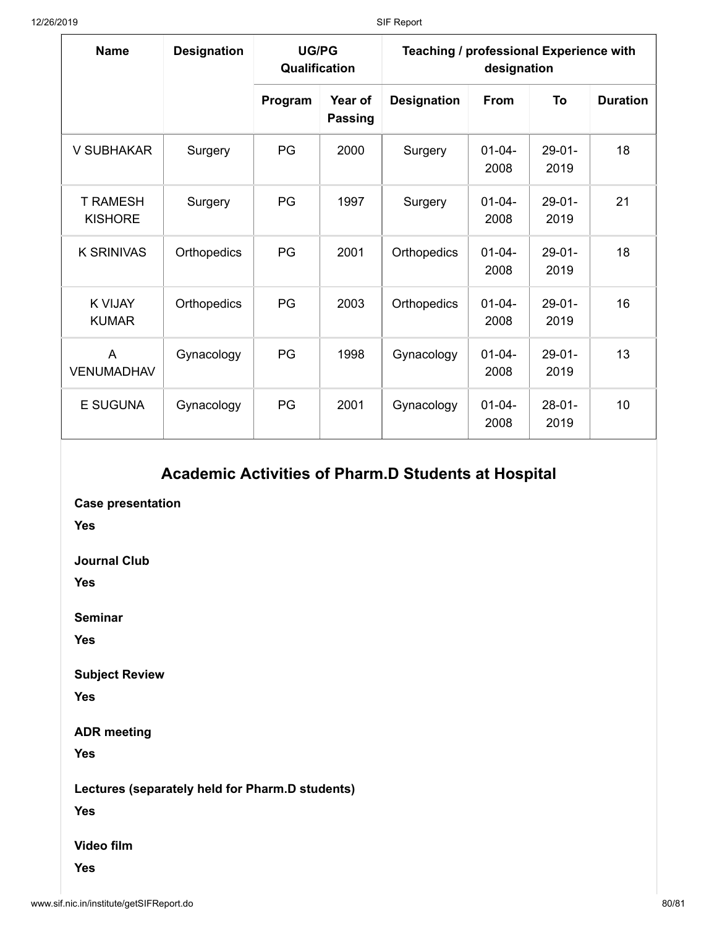| <b>Name</b>                         | <b>Designation</b> | <b>UG/PG</b><br>Qualification |                           | Teaching / professional Experience with<br>designation |                     |                     |                 |  |
|-------------------------------------|--------------------|-------------------------------|---------------------------|--------------------------------------------------------|---------------------|---------------------|-----------------|--|
|                                     |                    | Program                       | Year of<br><b>Passing</b> | <b>Designation</b>                                     | <b>From</b>         | To                  | <b>Duration</b> |  |
| V SUBHAKAR                          | Surgery            | PG                            | 2000                      | Surgery                                                | $01 - 04 -$<br>2008 | $29 - 01 -$<br>2019 | 18              |  |
| <b>T RAMESH</b><br><b>KISHORE</b>   | Surgery            | <b>PG</b>                     | 1997                      | Surgery                                                | $01 - 04 -$<br>2008 | $29-01-$<br>2019    | 21              |  |
| K SRINIVAS                          | Orthopedics        | <b>PG</b>                     | 2001                      | Orthopedics                                            | $01 - 04 -$<br>2008 | $29-01-$<br>2019    | 18              |  |
| <b>K VIJAY</b><br><b>KUMAR</b>      | Orthopedics        | PG                            | 2003                      | Orthopedics                                            | $01 - 04 -$<br>2008 | $29 - 01 -$<br>2019 | 16              |  |
| $\overline{A}$<br><b>VENUMADHAV</b> | Gynacology         | PG                            | 1998                      | Gynacology                                             | $01 - 04 -$<br>2008 | $29-01-$<br>2019    | 13              |  |
| E SUGUNA                            | Gynacology         | PG                            | 2001                      | Gynacology                                             | $01 - 04 -$<br>2008 | $28-01-$<br>2019    | 10              |  |

## **Academic Activities of Pharm.D Students at Hospital**

**Case presentation**

**Yes**

**Journal Club**

**Yes**

**Seminar**

**Yes**

**Subject Review**

**Yes**

**ADR meeting**

**Yes**

**Lectures (separately held for Pharm.D students)**

**Yes**

**Video film**

**Yes**